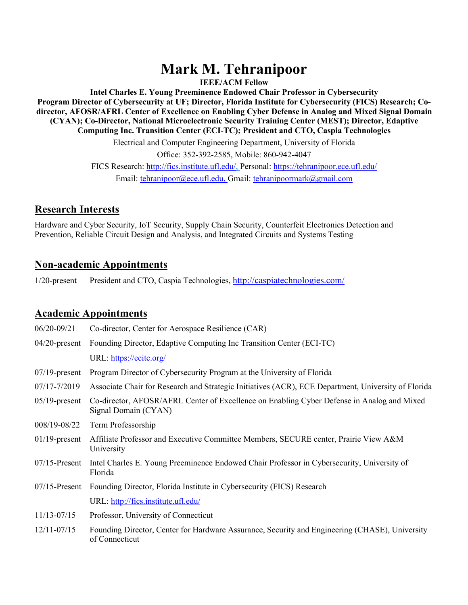# **Mark M. Tehranipoor**

**IEEE/ACM Fellow**

**Intel Charles E. Young Preeminence Endowed Chair Professor in Cybersecurity Program Director of Cybersecurity at UF; Director, Florida Institute for Cybersecurity (FICS) Research; Codirector, AFOSR/AFRL Center of Excellence on Enabling Cyber Defense in Analog and Mixed Signal Domain (CYAN); Co-Director, National Microelectronic Security Training Center (MEST); Director, Edaptive Computing Inc. Transition Center (ECI-TC); President and CTO, Caspia Technologies**

> Electrical and Computer Engineering Department, University of Florida Office: 352-392-2585, Mobile: 860-942-4047 FICS Research: http://fics.institute.ufl.edu/, Personal: https://tehranipoor.ece.ufl.edu/ Email: tehranipoor@ece.ufl.edu, Gmail: tehranipoormark@gmail.com

## **Research Interests**

Hardware and Cyber Security, IoT Security, Supply Chain Security, Counterfeit Electronics Detection and Prevention, Reliable Circuit Design and Analysis, and Integrated Circuits and Systems Testing

## **Non-academic Appointments**

1/20-present President and CTO, Caspia Technologies, http://caspiatechnologies.com/

## **Academic Appointments**

| $06/20 - 09/21$  | Co-director, Center for Aerospace Resilience (CAR)                                                                 |
|------------------|--------------------------------------------------------------------------------------------------------------------|
|                  | 04/20-present Founding Director, Edaptive Computing Inc Transition Center (ECI-TC)                                 |
|                  | URL: https://ecitc.org/                                                                                            |
| $07/19$ -present | Program Director of Cybersecurity Program at the University of Florida                                             |
| 07/17-7/2019     | Associate Chair for Research and Strategic Initiatives (ACR), ECE Department, University of Florida                |
| $05/19$ -present | Co-director, AFOSR/AFRL Center of Excellence on Enabling Cyber Defense in Analog and Mixed<br>Signal Domain (CYAN) |
| 008/19-08/22     | Term Professorship                                                                                                 |
| $01/19$ -present | Affiliate Professor and Executive Committee Members, SECURE center, Prairie View A&M<br>University                 |
| $07/15$ -Present | Intel Charles E. Young Preeminence Endowed Chair Professor in Cybersecurity, University of<br>Florida              |
|                  | 07/15-Present Founding Director, Florida Institute in Cybersecurity (FICS) Research                                |
|                  | URL: http://fics.institute.ufl.edu/                                                                                |
| 11/13-07/15      | Professor, University of Connecticut                                                                               |
| $12/11 - 07/15$  | Founding Director, Center for Hardware Assurance, Security and Engineering (CHASE), University<br>of Connecticut   |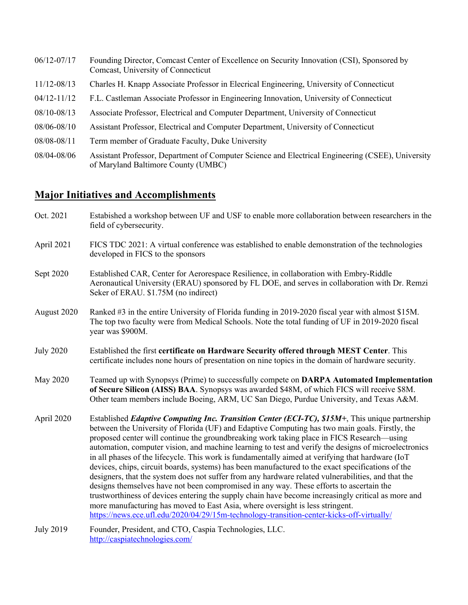| $06/12 - 07/17$ | Founding Director, Comcast Center of Excellence on Security Innovation (CSI), Sponsored by<br>Comcast, University of Connecticut         |
|-----------------|------------------------------------------------------------------------------------------------------------------------------------------|
| 11/12-08/13     | Charles H. Knapp Associate Professor in Elecrical Engineering, University of Connecticut                                                 |
| $04/12 - 11/12$ | F.L. Castleman Associate Professor in Engineering Innovation, University of Connecticut                                                  |
| 08/10-08/13     | Associate Professor, Electrical and Computer Department, University of Connecticut                                                       |
| 08/06-08/10     | Assistant Professor, Electrical and Computer Department, University of Connecticut                                                       |
| 08/08-08/11     | Term member of Graduate Faculty, Duke University                                                                                         |
| 08/04-08/06     | Assistant Professor, Department of Computer Science and Electrical Engineering (CSEE), University<br>of Maryland Baltimore County (UMBC) |

## **Major Initiatives and Accomplishments**

| Oct. 2021        | Estabished a workshop between UF and USF to enable more collaboration between researchers in the<br>field of cybersecurity.                                                                                                                                                                                                                                                                                                                                                                                                                                                                                                                                                                                                                                                                                                                                                                                                                                                                                                                                                                                  |
|------------------|--------------------------------------------------------------------------------------------------------------------------------------------------------------------------------------------------------------------------------------------------------------------------------------------------------------------------------------------------------------------------------------------------------------------------------------------------------------------------------------------------------------------------------------------------------------------------------------------------------------------------------------------------------------------------------------------------------------------------------------------------------------------------------------------------------------------------------------------------------------------------------------------------------------------------------------------------------------------------------------------------------------------------------------------------------------------------------------------------------------|
| April 2021       | FICS TDC 2021: A virtual conference was established to enable demonstration of the technologies<br>developed in FICS to the sponsors                                                                                                                                                                                                                                                                                                                                                                                                                                                                                                                                                                                                                                                                                                                                                                                                                                                                                                                                                                         |
| Sept 2020        | Established CAR, Center for Aerorespace Resilience, in collaboration with Embry-Riddle<br>Aeronautical University (ERAU) sponsored by FL DOE, and serves in collaboration with Dr. Remzi<br>Seker of ERAU. \$1.75M (no indirect)                                                                                                                                                                                                                                                                                                                                                                                                                                                                                                                                                                                                                                                                                                                                                                                                                                                                             |
| August 2020      | Ranked #3 in the entire University of Florida funding in 2019-2020 fiscal year with almost \$15M.<br>The top two faculty were from Medical Schools. Note the total funding of UF in 2019-2020 fiscal<br>year was \$900M.                                                                                                                                                                                                                                                                                                                                                                                                                                                                                                                                                                                                                                                                                                                                                                                                                                                                                     |
| <b>July 2020</b> | Established the first certificate on Hardware Security offered through MEST Center. This<br>certificate includes none hours of presentation on nine topics in the domain of hardware security.                                                                                                                                                                                                                                                                                                                                                                                                                                                                                                                                                                                                                                                                                                                                                                                                                                                                                                               |
| May 2020         | Teamed up with Synopsys (Prime) to successfully compete on DARPA Automated Implementation<br>of Secure Silicon (AISS) BAA. Synopsys was awarded \$48M, of which FICS will receive \$8M.<br>Other team members include Boeing, ARM, UC San Diego, Purdue University, and Texas A&M.                                                                                                                                                                                                                                                                                                                                                                                                                                                                                                                                                                                                                                                                                                                                                                                                                           |
| April 2020       | Established <i>Edaptive Computing Inc. Transition Center (ECI-TC)</i> , \$15M+, This unique partnership<br>between the University of Florida (UF) and Edaptive Computing has two main goals. Firstly, the<br>proposed center will continue the groundbreaking work taking place in FICS Research—using<br>automation, computer vision, and machine learning to test and verify the designs of microelectronics<br>in all phases of the lifecycle. This work is fundamentally aimed at verifying that hardware (IoT<br>devices, chips, circuit boards, systems) has been manufactured to the exact specifications of the<br>designers, that the system does not suffer from any hardware related vulnerabilities, and that the<br>designs themselves have not been compromised in any way. These efforts to ascertain the<br>trustworthiness of devices entering the supply chain have become increasingly critical as more and<br>more manufacturing has moved to East Asia, where oversight is less stringent.<br>https://news.ece.ufl.edu/2020/04/29/15m-technology-transition-center-kicks-off-virtually/ |
| <b>July 2019</b> | Founder, President, and CTO, Caspia Technologies, LLC.<br>http://caspiatechnologies.com/                                                                                                                                                                                                                                                                                                                                                                                                                                                                                                                                                                                                                                                                                                                                                                                                                                                                                                                                                                                                                     |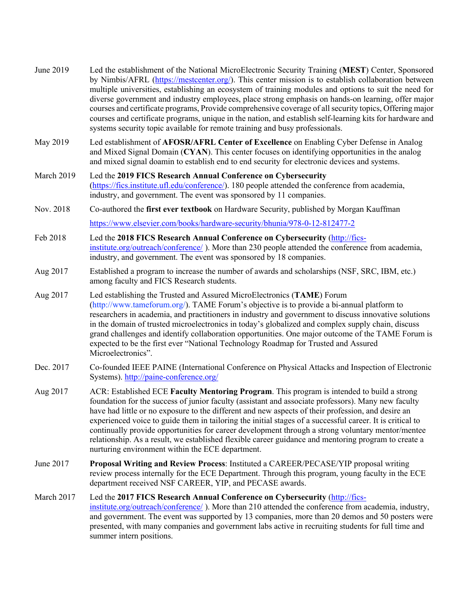| June 2019  | Led the establishment of the National MicroElectronic Security Training (MEST) Center, Sponsored<br>by Nimbis/AFRL (https://mestcenter.org/). This center mission is to establish collaboration between<br>multiple universities, establishing an ecosystem of training modules and options to suit the need for<br>diverse government and industry employees, place strong emphasis on hands-on learning, offer major<br>courses and certificate programs, Provide comprehensive coverage of all security topics, Offering major<br>courses and certificate programs, unique in the nation, and establish self-learning kits for hardware and<br>systems security topic available for remote training and busy professionals. |
|------------|--------------------------------------------------------------------------------------------------------------------------------------------------------------------------------------------------------------------------------------------------------------------------------------------------------------------------------------------------------------------------------------------------------------------------------------------------------------------------------------------------------------------------------------------------------------------------------------------------------------------------------------------------------------------------------------------------------------------------------|
| May 2019   | Led establishment of AFOSR/AFRL Center of Excellence on Enabling Cyber Defense in Analog<br>and Mixed Signal Domain (CYAN). This center focuses on identifying opportunities in the analog<br>and mixed signal doamin to establish end to end security for electronic devices and systems.                                                                                                                                                                                                                                                                                                                                                                                                                                     |
| March 2019 | Led the 2019 FICS Research Annual Conference on Cybersecurity<br>(https://fics.institute.ufl.edu/conference/). 180 people attended the conference from academia,<br>industry, and government. The event was sponsored by 11 companies.                                                                                                                                                                                                                                                                                                                                                                                                                                                                                         |
| Nov. 2018  | Co-authored the first ever textbook on Hardware Security, published by Morgan Kauffman                                                                                                                                                                                                                                                                                                                                                                                                                                                                                                                                                                                                                                         |
|            | https://www.elsevier.com/books/hardware-security/bhunia/978-0-12-812477-2                                                                                                                                                                                                                                                                                                                                                                                                                                                                                                                                                                                                                                                      |
| Feb 2018   | Led the 2018 FICS Research Annual Conference on Cybersecurity (http://fics-<br>institute.org/outreach/conference/). More than 230 people attended the conference from academia,<br>industry, and government. The event was sponsored by 18 companies.                                                                                                                                                                                                                                                                                                                                                                                                                                                                          |
| Aug 2017   | Established a program to increase the number of awards and scholarships (NSF, SRC, IBM, etc.)<br>among faculty and FICS Research students.                                                                                                                                                                                                                                                                                                                                                                                                                                                                                                                                                                                     |
| Aug 2017   | Led establishing the Trusted and Assured MicroElectronics (TAME) Forum<br>(http://www.tameforum.org/). TAME Forum's objective is to provide a bi-annual platform to<br>researchers in academia, and practitioners in industry and government to discuss innovative solutions<br>in the domain of trusted microelectronics in today's globalized and complex supply chain, discuss<br>grand challenges and identify collaboration opportunities. One major outcome of the TAME Forum is<br>expected to be the first ever "National Technology Roadmap for Trusted and Assured<br>Microelectronics".                                                                                                                             |
| Dec. 2017  | Co-founded IEEE PAINE (International Conference on Physical Attacks and Inspection of Electronic<br>Systems). http://paine-conference.org/                                                                                                                                                                                                                                                                                                                                                                                                                                                                                                                                                                                     |
| Aug 2017   | ACR: Established ECE Faculty Mentoring Program. This program is intended to build a strong<br>foundation for the success of junior faculty (assistant and associate professors). Many new faculty<br>have had little or no exposure to the different and new aspects of their profession, and desire an<br>experienced voice to guide them in tailoring the initial stages of a successful career. It is critical to<br>continually provide opportunities for career development through a strong voluntary mentor/mentee<br>relationship. As a result, we established flexible career guidance and mentoring program to create a<br>nurturing environment within the ECE department.                                          |
| June 2017  | Proposal Writing and Review Process: Instituted a CAREER/PECASE/YIP proposal writing<br>review process internally for the ECE Department. Through this program, young faculty in the ECE<br>department received NSF CAREER, YIP, and PECASE awards.                                                                                                                                                                                                                                                                                                                                                                                                                                                                            |
| March 2017 | Led the 2017 FICS Research Annual Conference on Cybersecurity (http://fics-<br>institute.org/outreach/conference/). More than 210 attended the conference from academia, industry,<br>and government. The event was supported by 13 companies, more than 20 demos and 50 posters were<br>presented, with many companies and government labs active in recruiting students for full time and<br>summer intern positions.                                                                                                                                                                                                                                                                                                        |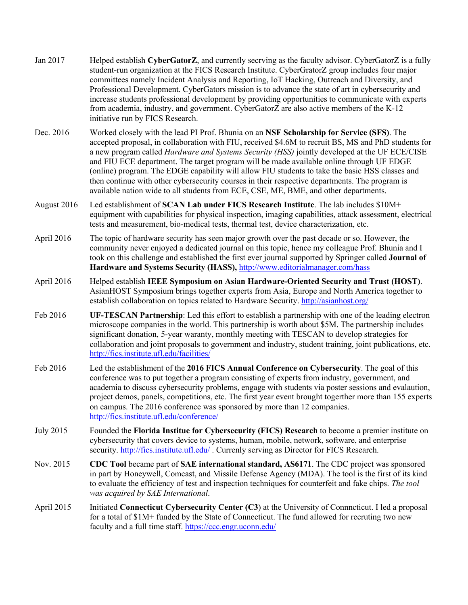| Jan 2017         | Helped establish CyberGatorZ, and currently secrying as the faculty advisor. CyberGatorZ is a fully<br>student-run organization at the FICS Research Institute. CyberGratorZ group includes four major<br>committees namely Incident Analysis and Reporting, IoT Hacking, Outreach and Diversity, and<br>Professional Development. CyberGators mission is to advance the state of art in cybersecurity and<br>increase students professional development by providing opportunities to communicate with experts<br>from academia, industry, and government. CyberGatorZ are also active members of the K-12<br>initiative run by FICS Research.                                             |
|------------------|---------------------------------------------------------------------------------------------------------------------------------------------------------------------------------------------------------------------------------------------------------------------------------------------------------------------------------------------------------------------------------------------------------------------------------------------------------------------------------------------------------------------------------------------------------------------------------------------------------------------------------------------------------------------------------------------|
| Dec. 2016        | Worked closely with the lead PI Prof. Bhunia on an NSF Scholarship for Service (SFS). The<br>accepted proposal, in collaboration with FIU, received \$4.6M to recruit BS, MS and PhD students for<br>a new program called Hardware and Systems Security (HSS) jointly developed at the UF ECE/CISE<br>and FIU ECE department. The target program will be made available online through UF EDGE<br>(online) program. The EDGE capability will allow FIU students to take the basic HSS classes and<br>then continue with other cybersecurity courses in their respective departments. The program is<br>available nation wide to all students from ECE, CSE, ME, BME, and other departments. |
| August 2016      | Led establishment of SCAN Lab under FICS Research Institute. The lab includes \$10M+<br>equipment with capabilities for physical inspection, imaging capabilities, attack assessment, electrical<br>tests and measurement, bio-medical tests, thermal test, device characterization, etc.                                                                                                                                                                                                                                                                                                                                                                                                   |
| April 2016       | The topic of hardware security has seen major growth over the past decade or so. However, the<br>community never enjoyed a dedicated journal on this topic, hence my colleague Prof. Bhunia and I<br>took on this challenge and established the first ever journal supported by Springer called <b>Journal of</b><br>Hardware and Systems Security (HASS), http://www.editorialmanager.com/hass                                                                                                                                                                                                                                                                                             |
| April 2016       | Helped establish IEEE Symposium on Asian Hardware-Oriented Security and Trust (HOST).<br>AsianHOST Symposium brings together experts from Asia, Europe and North America together to<br>establish collaboration on topics related to Hardware Security. http://asianhost.org/                                                                                                                                                                                                                                                                                                                                                                                                               |
| Feb 2016         | UF-TESCAN Partnership: Led this effort to establish a partnership with one of the leading electron<br>microscope companies in the world. This partnership is worth about \$5M. The partnership includes<br>significant donation, 5-year waranty, monthly meeting with TESCAN to develop strategies for<br>collaboration and joint proposals to government and industry, student training, joint publications, etc.<br>http://fics.institute.ufl.edu/facilities/                                                                                                                                                                                                                             |
| Feb 2016         | Led the establishment of the 2016 FICS Annual Conference on Cybersecurity. The goal of this<br>conference was to put together a program consisting of experts from industry, government, and<br>academia to discuss cybersecurity problems, engage with students via poster sessions and evalaution,<br>project demos, panels, competitions, etc. The first year event brought togerther more than 155 experts<br>on campus. The 2016 conference was sponsored by more than 12 companies.<br>http://fics.institute.ufl.edu/conference/                                                                                                                                                      |
| <b>July 2015</b> | Founded the Florida Institue for Cybersecurity (FICS) Research to become a premier institute on<br>cybersecurity that covers device to systems, human, mobile, network, software, and enterprise<br>security. http://fics.institute.ufl.edu/. Currenly serving as Director for FICS Research.                                                                                                                                                                                                                                                                                                                                                                                               |
| Nov. 2015        | CDC Tool became part of SAE international standard, AS6171. The CDC project was sponsored<br>in part by Honeywell, Comcast, and Missile Defense Agency (MDA). The tool is the first of its kind<br>to evaluate the efficiency of test and inspection techniques for counterfeit and fake chips. The tool<br>was acquired by SAE International.                                                                                                                                                                                                                                                                                                                                              |
| April 2015       | Initiated Connecticut Cybersecurity Center (C3) at the University of Connecticut. I led a proposal<br>for a total of \$1M+ funded by the State of Connecticut. The fund allowed for recruting two new<br>faculty and a full time staff. https://ccc.engr.uconn.edu/                                                                                                                                                                                                                                                                                                                                                                                                                         |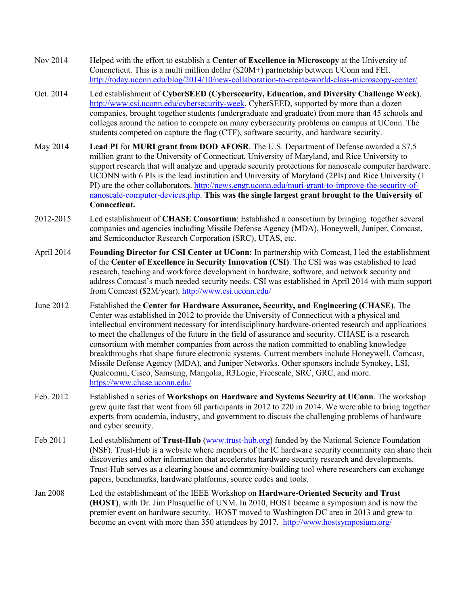- Nov 2014 Helped with the effort to establish a **Center of Excellence in Microscopy** at the University of Conencticut. This is a multi million dollar (\$20M+) partnetship between UConn and FEI. http://today.uconn.edu/blog/2014/10/new-collaboration-to-create-world-class-microscopy-center/
- Oct. 2014 Led establishment of **CyberSEED (Cybersecurity, Education, and Diversity Challenge Week)**. http://www.csi.uconn.edu/cybersecurity-week. CyberSEED, supported by more than a dozen companies, brought together students (undergraduate and graduate) from more than 45 schools and colleges around the nation to compete on many cybersecurity problems on campus at UConn. The students competed on capture the flag (CTF), software security, and hardware security.
- May 2014 **Lead PI** for **MURI grant from DOD AFOSR**. The U.S. Department of Defense awarded a \$7.5 million grant to the University of Connecticut, University of Maryland, and Rice University to support research that will analyze and upgrade security protections for nanoscale computer hardware. UCONN with 6 PIs is the lead institution and University of Maryland (2PIs) and Rice University (1 PI) are the other collaborators. http://news.engr.uconn.edu/muri-grant-to-improve-the-security-ofnanoscale-computer-devices.php. **This was the single largest grant brought to the University of Connecticut.**
- 2012-2015 Led establishment of **CHASE Consortium**: Established a consortium by bringing together several companies and agencies including Missile Defense Agency (MDA), Honeywell, Juniper, Comcast, and Semiconductor Research Corporation (SRC), UTAS, etc.
- April 2014 **Founding Director for CSI Center at UConn:** In partnership with Comcast, I led the establishment of the **Center of Excellence in Security Innovation (CSI)**. The CSI was was established to lead research, teaching and workforce development in hardware, software, and network security and address Comcast's much needed security needs. CSI was established in April 2014 with main support from Comcast (\$2M/year). http://www.csi.uconn.edu/
- June 2012 Established the **Center for Hardware Assurance, Security, and Engineering (CHASE)**. The Center was established in 2012 to provide the University of Connecticut with a physical and intellectual environment necessary for interdisciplinary hardware-oriented research and applications to meet the challenges of the future in the field of assurance and security. CHASE is a research consortium with member companies from across the nation committed to enabling knowledge breakthroughs that shape future electronic systems. Current members include Honeywell, Comcast, Missile Defense Agency (MDA), and Juniper Networks. Other sponsors include Synokey, LSI, Qualcomm, Cisco, Samsung, Mangolia, R3Logic, Freescale, SRC, GRC, and more. https://www.chase.uconn.edu/
- Feb. 2012 Established a series of **Workshops on Hardware and Systems Security at UConn**. The workshop grew quite fast that went from 60 participants in 2012 to 220 in 2014. We were able to bring together experts from academia, industry, and government to discuss the challenging problems of hardware and cyber security.
- Feb 2011 Led establishment of **Trust-Hub** (www.trust-hub.org) funded by the National Science Foundation (NSF). Trust-Hub is a website where members of the IC hardware security community can share their discoveries and other information that accelerates hardware security research and developments. Trust-Hub serves as a clearing house and community-building tool where researchers can exchange papers, benchmarks, hardware platforms, source codes and tools.
- Jan 2008 Led the establishmeant of the IEEE Workshop on **Hardware-Oriented Security and Trust (HOST)**, with Dr. Jim Plusquellic of UNM. In 2010, HOST became a symposium and is now the premier event on hardware security. HOST moved to Washington DC area in 2013 and grew to become an event with more than 350 attendees by 2017. http://www.hostsymposium.org/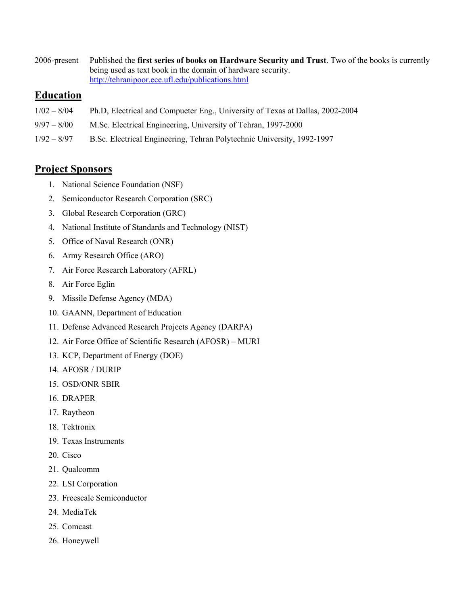2006-present Published the **first series of books on Hardware Security and Trust**. Two of the books is currently being used as text book in the domain of hardware security. http://tehranipoor.ece.ufl.edu/publications.html

### **Education**

- 1/02 8/04 Ph.D, Electrical and Compueter Eng., University of Texas at Dallas, 2002-2004
- 9/97 8/00 M.Sc. Electrical Engineering, University of Tehran, 1997-2000
- 1/92 8/97 B.Sc. Electrical Engineering, Tehran Polytechnic University, 1992-1997

## **Project Sponsors**

- 1. National Science Foundation (NSF)
- 2. Semiconductor Research Corporation (SRC)
- 3. Global Research Corporation (GRC)
- 4. National Institute of Standards and Technology (NIST)
- 5. Office of Naval Research (ONR)
- 6. Army Research Office (ARO)
- 7. Air Force Research Laboratory (AFRL)
- 8. Air Force Eglin
- 9. Missile Defense Agency (MDA)
- 10. GAANN, Department of Education
- 11. Defense Advanced Research Projects Agency (DARPA)
- 12. Air Force Office of Scientific Research (AFOSR) MURI
- 13. KCP, Department of Energy (DOE)
- 14. AFOSR / DURIP
- 15. OSD/ONR SBIR
- 16. DRAPER
- 17. Raytheon
- 18. Tektronix
- 19. Texas Instruments
- 20. Cisco
- 21. Qualcomm
- 22. LSI Corporation
- 23. Freescale Semiconductor
- 24. MediaTek
- 25. Comcast
- 26. Honeywell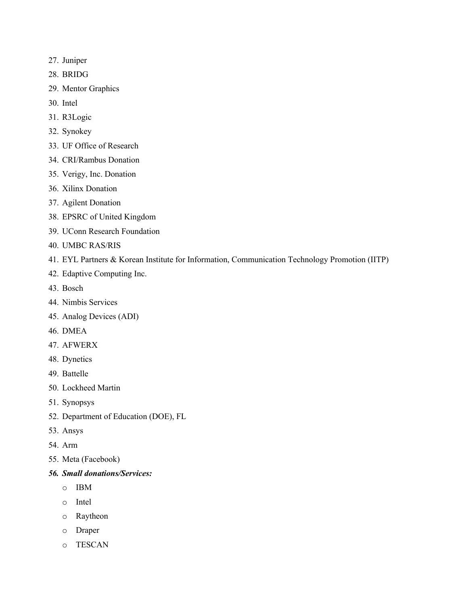- 27. Juniper
- 28. BRIDG
- 29. Mentor Graphics
- 30. Intel
- 31. R3Logic
- 32. Synokey
- 33. UF Office of Research
- 34. CRI/Rambus Donation
- 35. Verigy, Inc. Donation
- 36. Xilinx Donation
- 37. Agilent Donation
- 38. EPSRC of United Kingdom
- 39. UConn Research Foundation
- 40. UMBC RAS/RIS
- 41. EYL Partners & Korean Institute for Information, Communication Technology Promotion (IITP)
- 42. Edaptive Computing Inc.
- 43. Bosch
- 44. Nimbis Services
- 45. Analog Devices (ADI)
- 46. DMEA
- 47. AFWERX
- 48. Dynetics
- 49. Battelle
- 50. Lockheed Martin
- 51. Synopsys
- 52. Department of Education (DOE), FL
- 53. Ansys
- 54. Arm
- 55. Meta (Facebook)
- *56. Small donations/Services:* 
	- o IBM
	- o Intel
	- o Raytheon
	- o Draper
	- o TESCAN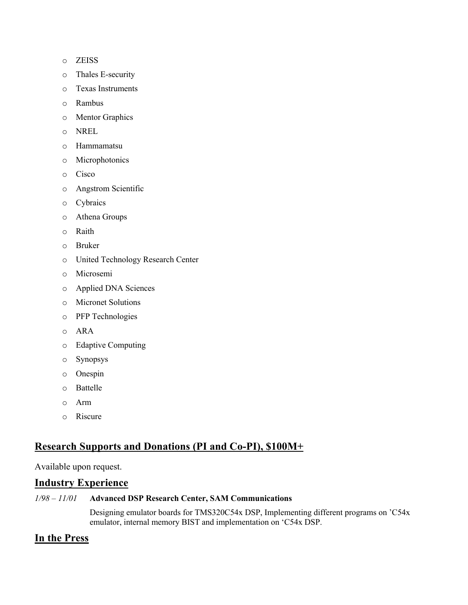- o ZEISS
- o Thales E-security
- o Texas Instruments
- o Rambus
- o Mentor Graphics
- o NREL
- o Hammamatsu
- o Microphotonics
- o Cisco
- o Angstrom Scientific
- o Cybraics
- o Athena Groups
- o Raith
- o Bruker
- o United Technology Research Center
- o Microsemi
- o Applied DNA Sciences
- o Micronet Solutions
- o PFP Technologies
- o ARA
- o Edaptive Computing
- o Synopsys
- o Onespin
- o Battelle
- o Arm
- o Riscure

## **Research Supports and Donations (PI and Co-PI), \$100M+**

### Available upon request.

#### **Industry Experience**

#### *1/98 – 11/01* **Advanced DSP Research Center, SAM Communications**

Designing emulator boards for TMS320C54x DSP, Implementing different programs on 'C54x emulator, internal memory BIST and implementation on 'C54x DSP.

## **In the Press**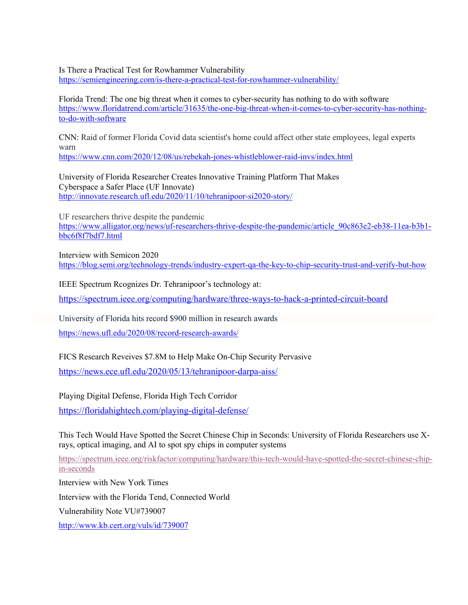Is There a Practical Test for Rowhammer Vulnerability

https://semiengineering.com/is-there-a-practical-test-for-rowhammer-vulnerability/

Florida Trend: The one big threat when it comes to cyber-security has nothing to do with software https://www.floridatrend.com/article/31635/the-one-big-threat-when-it-comes-to-cyber-security-has-nothingto-do-with-software

CNN: Raid of former Florida Covid data scientist's home could affect other state employees, legal experts warn

https://www.cnn.com/2020/12/08/us/rebekah-jones-whistleblower-raid-invs/index.html

University of Florida Researcher Creates Innovative Training Platform That Makes Cyberspace a Safer Place (UF Innovate) http://innovate.research.ufl.edu/2020/11/10/tehranipoor-si2020-story/

UF researchers thrive despite the pandemic

https://www.alligator.org/news/uf-researchers-thrive-despite-the-pandemic/article\_90c863e2-eb38-11ea-b3b1bbc6f8f7bdf7.html

Interview with Semicon 2020 https://blog.semi.org/technology-trends/industry-expert-qa-the-key-to-chip-security-trust-and-verify-but-how

IEEE Spectrum Rcognizes Dr. Tehranipoor's technology at:

https://spectrum.ieee.org/computing/hardware/three-ways-to-hack-a-printed-circuit-board

University of Florida hits record \$900 million in research awards

https://news.ufl.edu/2020/08/record-research-awards/

FICS Research Reveives \$7.8M to Help Make On-Chip Security Pervasive

https://news.ece.ufl.edu/2020/05/13/tehranipoor-darpa-aiss/

Playing Digital Defense, Florida High Tech Corridor

https://floridahightech.com/playing-digital-defense/

This Tech Would Have Spotted the Secret Chinese Chip in Seconds: University of Florida Researchers use Xrays, optical imaging, and AI to spot spy chips in computer systems

https://spectrum.ieee.org/riskfactor/computing/hardware/this-tech-would-have-spotted-the-secret-chinese-chipin-seconds

Interview with New York Times Interview with the Florida Tend, Connected World Vulnerability Note VU#739007 http://www.kb.cert.org/vuls/id/739007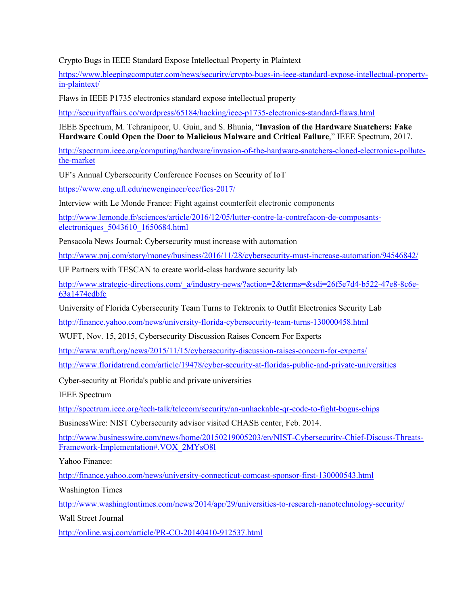Crypto Bugs in IEEE Standard Expose Intellectual Property in Plaintext

https://www.bleepingcomputer.com/news/security/crypto-bugs-in-ieee-standard-expose-intellectual-propertyin-plaintext/

Flaws in IEEE P1735 electronics standard expose intellectual property

http://securityaffairs.co/wordpress/65184/hacking/ieee-p1735-electronics-standard-flaws.html

IEEE Spectrum, M. Tehranipoor, U. Guin, and S. Bhunia, "**Invasion of the Hardware Snatchers: Fake Hardware Could Open the Door to Malicious Malware and Critical Failure**," IEEE Spectrum, 2017.

http://spectrum.ieee.org/computing/hardware/invasion-of-the-hardware-snatchers-cloned-electronics-pollutethe-market

UF's Annual Cybersecurity Conference Focuses on Security of IoT

https://www.eng.ufl.edu/newengineer/ece/fics-2017/

Interview with Le Monde France: Fight against counterfeit electronic components

http://www.lemonde.fr/sciences/article/2016/12/05/lutter-contre-la-contrefacon-de-composantselectroniques\_5043610\_1650684.html

Pensacola News Journal: Cybersecurity must increase with automation

http://www.pnj.com/story/money/business/2016/11/28/cybersecurity-must-increase-automation/94546842/

UF Partners with TESCAN to create world-class hardware security lab

http://www.strategic-directions.com/\_a/industry-news/?action=2&terms=&sdi=26f5e7d4-b522-47e8-8c6e-63a1474edbfc

University of Florida Cybersecurity Team Turns to Tektronix to Outfit Electronics Security Lab

http://finance.yahoo.com/news/university-florida-cybersecurity-team-turns-130000458.html

WUFT, Nov. 15, 2015, Cybersecurity Discussion Raises Concern For Experts

http://www.wuft.org/news/2015/11/15/cybersecurity-discussion-raises-concern-for-experts/

http://www.floridatrend.com/article/19478/cyber-security-at-floridas-public-and-private-universities

Cyber-security at Florida's public and private universities

IEEE Spectrum

http://spectrum.ieee.org/tech-talk/telecom/security/an-unhackable-qr-code-to-fight-bogus-chips

BusinessWire: NIST Cybersecurity advisor visited CHASE center, Feb. 2014.

http://www.businesswire.com/news/home/20150219005203/en/NIST-Cybersecurity-Chief-Discuss-Threats-Framework-Implementation#.VOX\_2MYsO8l

Yahoo Finance:

http://finance.yahoo.com/news/university-connecticut-comcast-sponsor-first-130000543.html

Washington Times

http://www.washingtontimes.com/news/2014/apr/29/universities-to-research-nanotechnology-security/

Wall Street Journal

http://online.wsj.com/article/PR-CO-20140410-912537.html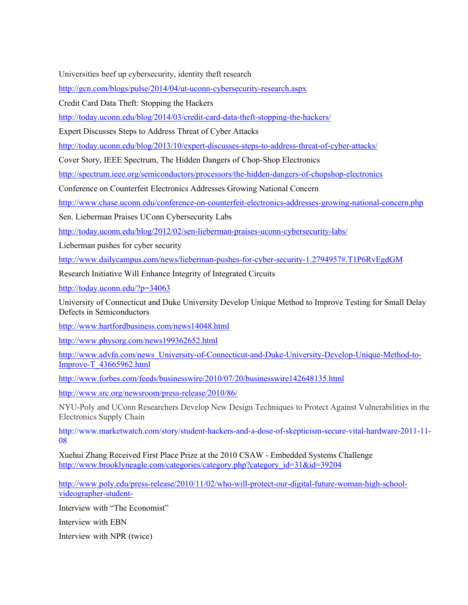Universities beef up cybersecurity, identity theft research

http://gcn.com/blogs/pulse/2014/04/ut-uconn-cybersecurity-research.aspx

Credit Card Data Theft: Stopping the Hackers

http://today.uconn.edu/blog/2014/03/credit-card-data-theft-stopping-the-hackers/

Expert Discusses Steps to Address Threat of Cyber Attacks

http://today.uconn.edu/blog/2013/10/expert-discusses-steps-to-address-threat-of-cyber-attacks/

Cover Story, IEEE Spectrum, The Hidden Dangers of Chop-Shop Electronics

http://spectrum.ieee.org/semiconductors/processors/the-hidden-dangers-of-chopshop-electronics

Conference on Counterfeit Electronics Addresses Growing National Concern

http://www.chase.uconn.edu/conference-on-counterfeit-electronics-addresses-growing-national-concern.php

Sen. Lieberman Praises UConn Cybersecurity Labs

http://today.uconn.edu/blog/2012/02/sen-lieberman-praises-uconn-cybersecurity-labs/

Lieberman pushes for cyber security

http://www.dailycampus.com/news/lieberman-pushes-for-cyber-security-1.2794957#.T1P6RvEgdGM

Research Initiative Will Enhance Integrity of Integrated Circuits

http://today.uconn.edu/?p=34063

University of Connecticut and Duke University Develop Unique Method to Improve Testing for Small Delay Defects in Semiconductors

http://www.hartfordbusiness.com/news14048.html

http://www.physorg.com/news199362652.html

http://www.advfn.com/news\_University-of-Connecticut-and-Duke-University-Develop-Unique-Method-to-Improve-T\_43665962.html

http://www.forbes.com/feeds/businesswire/2010/07/20/businesswire142648135.html

http://www.src.org/newsroom/press-release/2010/86/

NYU-Poly and UConn Researchers Develop New Design Techniques to Protect Against Vulnerabilities in the Electronics Supply Chain

http://www.marketwatch.com/story/student-hackers-and-a-dose-of-skepticism-secure-vital-hardware-2011-11- 08

Xuehui Zhang Received First Place Prize at the 2010 CSAW - Embedded Systems Challenge http://www.brooklyneagle.com/categories/category.php?category\_id=31&id=39204

http://www.poly.edu/press-release/2010/11/02/who-will-protect-our-digital-future-woman-high-schoolvideographer-student-

Interview with "The Economist"

Interview with EBN

Interview with NPR (twice)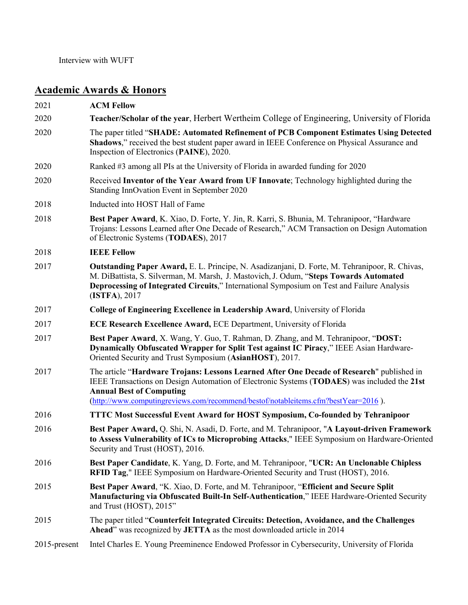## **Academic Awards & Honors**

| 2021            | <b>ACM Fellow</b>                                                                                                                                                                                                                                                                                                 |
|-----------------|-------------------------------------------------------------------------------------------------------------------------------------------------------------------------------------------------------------------------------------------------------------------------------------------------------------------|
| 2020            | Teacher/Scholar of the year, Herbert Wertheim College of Engineering, University of Florida                                                                                                                                                                                                                       |
| 2020            | The paper titled "SHADE: Automated Refinement of PCB Component Estimates Using Detected<br>Shadows," received the best student paper award in IEEE Conference on Physical Assurance and<br>Inspection of Electronics (PAINE), 2020.                                                                               |
| 2020            | Ranked #3 among all PIs at the University of Florida in awarded funding for 2020                                                                                                                                                                                                                                  |
| 2020            | Received Inventor of the Year Award from UF Innovate; Technology highlighted during the<br>Standing InnOvation Event in September 2020                                                                                                                                                                            |
| 2018            | Inducted into HOST Hall of Fame                                                                                                                                                                                                                                                                                   |
| 2018            | Best Paper Award, K. Xiao, D. Forte, Y. Jin, R. Karri, S. Bhunia, M. Tehranipoor, "Hardware<br>Trojans: Lessons Learned after One Decade of Research," ACM Transaction on Design Automation<br>of Electronic Systems (TODAES), 2017                                                                               |
| 2018            | <b>IEEE Fellow</b>                                                                                                                                                                                                                                                                                                |
| 2017            | Outstanding Paper Award, E. L. Principe, N. Asadizanjani, D. Forte, M. Tehranipoor, R. Chivas,<br>M. DiBattista, S. Silverman, M. Marsh, J. Mastovich, J. Odum, "Steps Towards Automated<br>Deprocessing of Integrated Circuits," International Symposium on Test and Failure Analysis<br>(ISTFA), 2017           |
| 2017            | College of Engineering Excellence in Leadership Award, University of Florida                                                                                                                                                                                                                                      |
| 2017            | <b>ECE Research Excellence Award, ECE Department, University of Florida</b>                                                                                                                                                                                                                                       |
| 2017            | Best Paper Award, X. Wang, Y. Guo, T. Rahman, D. Zhang, and M. Tehranipoor, "DOST:<br>Dynamically Obfuscated Wrapper for Split Test against IC Piracy," IEEE Asian Hardware-<br>Oriented Security and Trust Symposium (AsianHOST), 2017.                                                                          |
| 2017            | The article "Hardware Trojans: Lessons Learned After One Decade of Research" published in<br>IEEE Transactions on Design Automation of Electronic Systems (TODAES) was included the 21st<br><b>Annual Best of Computing</b><br>(http://www.computingreviews.com/recommend/bestof/notableitems.cfm?bestYear=2016). |
| 2016            | <b>TTTC Most Successful Event Award for HOST Symposium, Co-founded by Tehranipoor</b>                                                                                                                                                                                                                             |
| 2016            | Best Paper Award, Q. Shi, N. Asadi, D. Forte, and M. Tehranipoor, "A Layout-driven Framework<br>to Assess Vulnerability of ICs to Microprobing Attacks," IEEE Symposium on Hardware-Oriented<br>Security and Trust (HOST), 2016.                                                                                  |
| 2016            | Best Paper Candidate, K. Yang, D. Forte, and M. Tehranipoor, "UCR: An Unclonable Chipless<br>RFID Tag," IEEE Symposium on Hardware-Oriented Security and Trust (HOST), 2016.                                                                                                                                      |
| 2015            | Best Paper Award, "K. Xiao, D. Forte, and M. Tehranipoor, "Efficient and Secure Split<br>Manufacturing via Obfuscated Built-In Self-Authentication," IEEE Hardware-Oriented Security<br>and Trust (HOST), 2015"                                                                                                   |
| 2015            | The paper titled "Counterfeit Integrated Circuits: Detection, Avoidance, and the Challenges<br>Ahead" was recognized by JETTA as the most downloaded article in 2014                                                                                                                                              |
| $2015$ -present | Intel Charles E. Young Preeminence Endowed Professor in Cybersecurity, University of Florida                                                                                                                                                                                                                      |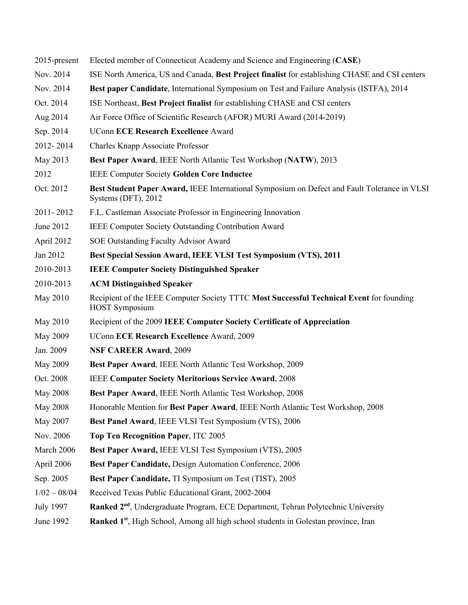| 2015-present     | Elected member of Connecticut Academy and Science and Engineering (CASE)                                            |
|------------------|---------------------------------------------------------------------------------------------------------------------|
| Nov. 2014        | ISE North America, US and Canada, Best Project finalist for establishing CHASE and CSI centers                      |
| Nov. 2014        | Best paper Candidate, International Symposium on Test and Failure Analysis (ISTFA), 2014                            |
| Oct. 2014        | ISE Northeast, Best Project finalist for establishing CHASE and CSI centers                                         |
| Aug 2014         | Air Force Office of Scientific Research (AFOR) MURI Award (2014-2019)                                               |
| Sep. 2014        | <b>UConn ECE Research Excellence Award</b>                                                                          |
| 2012-2014        | Charles Knapp Associate Professor                                                                                   |
| May 2013         | Best Paper Award, IEEE North Atlantic Test Workshop (NATW), 2013                                                    |
| 2012             | <b>IEEE Computer Society Golden Core Inductee</b>                                                                   |
| Oct. 2012        | Best Student Paper Award, IEEE International Symposium on Defect and Fault Tolerance in VLSI<br>Systems (DFT), 2012 |
| 2011-2012        | F.L. Castleman Associate Professor in Engineering Innovation                                                        |
| June 2012        | <b>IEEE Computer Society Outstanding Contribution Award</b>                                                         |
| April 2012       | SOE Outstanding Faculty Advisor Award                                                                               |
| Jan 2012         | Best Special Session Award, IEEE VLSI Test Symposium (VTS), 2011                                                    |
| 2010-2013        | <b>IEEE Computer Society Distinguished Speaker</b>                                                                  |
| 2010-2013        | <b>ACM Distinguished Speaker</b>                                                                                    |
| May 2010         | Recipient of the IEEE Computer Society TTTC Most Successful Technical Event for founding<br><b>HOST</b> Symposium   |
| May 2010         | Recipient of the 2009 IEEE Computer Society Certificate of Appreciation                                             |
| May 2009         | <b>UConn ECE Research Excellence Award, 2009</b>                                                                    |
| Jan. 2009        | <b>NSF CAREER Award, 2009</b>                                                                                       |
| May 2009         | Best Paper Award, IEEE North Atlantic Test Workshop, 2009                                                           |
| Oct. 2008        | <b>IEEE Computer Society Meritorious Service Award, 2008</b>                                                        |
| <b>May 2008</b>  | Best Paper Award, IEEE North Atlantic Test Workshop, 2008                                                           |
| May 2008         | Honorable Mention for Best Paper Award, IEEE North Atlantic Test Workshop, 2008                                     |
| May 2007         | Best Panel Award, IEEE VLSI Test Symposium (VTS), 2006                                                              |
| Nov. 2006        | Top Ten Recognition Paper, ITC 2005                                                                                 |
| March 2006       | Best Paper Award, IEEE VLSI Test Symposium (VTS), 2005                                                              |
| April 2006       | Best Paper Candidate, Design Automation Conference, 2006                                                            |
| Sep. 2005        | Best Paper Candidate, TI Symposium on Test (TIST), 2005                                                             |
| $1/02 - 08/04$   | Received Texas Public Educational Grant, 2002-2004                                                                  |
| <b>July 1997</b> | Ranked 2 <sup>nd</sup> , Undergraduate Program, ECE Department, Tehran Polytechnic University                       |
| June 1992        | Ranked 1 <sup>st</sup> , High School, Among all high school students in Golestan province, Iran                     |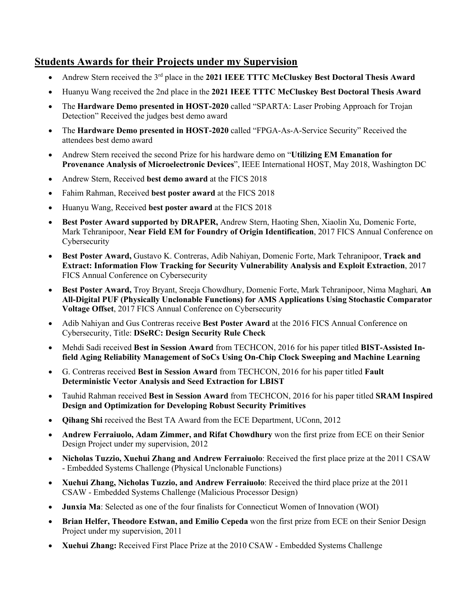## **Students Awards for their Projects under my Supervision**

- Andrew Stern received the 3<sup>rd</sup> place in the 2021 IEEE TTTC McCluskey Best Doctoral Thesis Award
- Huanyu Wang received the 2nd place in the **2021 IEEE TTTC McCluskey Best Doctoral Thesis Award**
- The **Hardware Demo presented in HOST-2020** called "SPARTA: Laser Probing Approach for Trojan Detection" Received the judges best demo award
- The **Hardware Demo presented in HOST-2020** called "FPGA-As-A-Service Security" Received the attendees best demo award
- Andrew Stern received the second Prize for his hardware demo on "**Utilizing EM Emanation for Provenance Analysis of Microelectronic Devices**", IEEE International HOST, May 2018, Washington DC
- Andrew Stern, Received **best demo award** at the FICS 2018
- Fahim Rahman, Received **best poster award** at the FICS 2018
- Huanyu Wang, Received **best poster award** at the FICS 2018
- **Best Poster Award supported by DRAPER,** Andrew Stern, Haoting Shen, Xiaolin Xu, Domenic Forte, Mark Tehranipoor, **Near Field EM for Foundry of Origin Identification**, 2017 FICS Annual Conference on Cybersecurity
- **Best Poster Award,** Gustavo K. Contreras, Adib Nahiyan, Domenic Forte, Mark Tehranipoor, **Track and Extract: Information Flow Tracking for Security Vulnerability Analysis and Exploit Extraction**, 2017 FICS Annual Conference on Cybersecurity
- **Best Poster Award,** Troy Bryant, Sreeja Chowdhury, Domenic Forte, Mark Tehranipoor, Nima Maghari*,* **An All-Digital PUF (Physically Unclonable Functions) for AMS Applications Using Stochastic Comparator Voltage Offset**, 2017 FICS Annual Conference on Cybersecurity
- Adib Nahiyan and Gus Contreras receive **Best Poster Award** at the 2016 FICS Annual Conference on Cybersecurity, Title: **DSeRC: Design Security Rule Check**
- Mehdi Sadi received **Best in Session Award** from TECHCON, 2016 for his paper titled **BIST-Assisted Infield Aging Reliability Management of SoCs Using On-Chip Clock Sweeping and Machine Learning**
- G. Contreras received **Best in Session Award** from TECHCON, 2016 for his paper titled **Fault Deterministic Vector Analysis and Seed Extraction for LBIST**
- Tauhid Rahman received **Best in Session Award** from TECHCON, 2016 for his paper titled **SRAM Inspired Design and Optimization for Developing Robust Security Primitives**
- **Qihang Shi** received the Best TA Award from the ECE Department, UConn, 2012
- **Andrew Ferraiuolo, Adam Zimmer, and Rifat Chowdhury** won the first prize from ECE on their Senior Design Project under my supervision, 2012
- **Nicholas Tuzzio, Xuehui Zhang and Andrew Ferraiuolo**: Received the first place prize at the 2011 CSAW - Embedded Systems Challenge (Physical Unclonable Functions)
- **Xuehui Zhang, Nicholas Tuzzio, and Andrew Ferraiuolo**: Received the third place prize at the 2011 CSAW - Embedded Systems Challenge (Malicious Processor Design)
- **Junxia Ma**: Selected as one of the four finalists for Connecticut Women of Innovation (WOI)
- **Brian Helfer, Theodore Estwan, and Emilio Cepeda** won the first prize from ECE on their Senior Design Project under my supervision, 2011
- **Xuehui Zhang:** Received First Place Prize at the 2010 CSAW Embedded Systems Challenge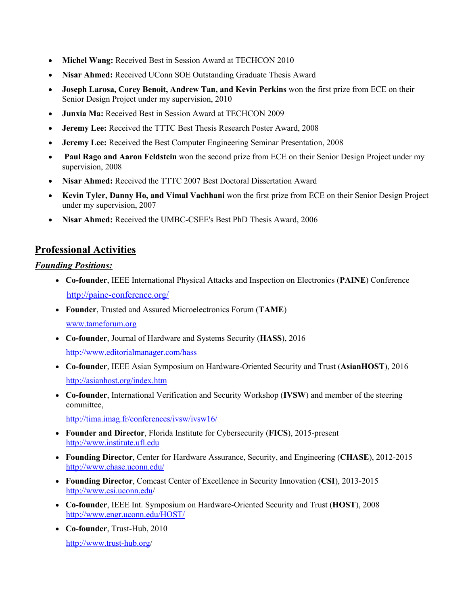- **Michel Wang:** Received Best in Session Award at TECHCON 2010
- **Nisar Ahmed:** Received UConn SOE Outstanding Graduate Thesis Award
- **Joseph Larosa, Corey Benoit, Andrew Tan, and Kevin Perkins** won the first prize from ECE on their Senior Design Project under my supervision, 2010
- **Junxia Ma:** Received Best in Session Award at TECHCON 2009
- **Jeremy Lee:** Received the TTTC Best Thesis Research Poster Award, 2008
- **Jeremy Lee:** Received the Best Computer Engineering Seminar Presentation, 2008
- **Paul Rago and Aaron Feldstein** won the second prize from ECE on their Senior Design Project under my supervision, 2008
- **Nisar Ahmed:** Received the TTTC 2007 Best Doctoral Dissertation Award
- **Kevin Tyler, Danny Ho, and Vimal Vachhani** won the first prize from ECE on their Senior Design Project under my supervision, 2007
- **Nisar Ahmed:** Received the UMBC-CSEE's Best PhD Thesis Award, 2006

## **Professional Activities**

#### *Founding Positions:*

- **Co-founder**, IEEE International Physical Attacks and Inspection on Electronics (**PAINE**) Conference http://paine-conference.org/
- **Founder**, Trusted and Assured Microelectronics Forum (**TAME**) www.tameforum.org
- **Co-founder**, Journal of Hardware and Systems Security (**HASS**), 2016 http://www.editorialmanager.com/hass
- **Co-founder**, IEEE Asian Symposium on Hardware-Oriented Security and Trust (**AsianHOST**), 2016 http://asianhost.org/index.htm
- **Co-founder**, International Verification and Security Workshop (**IVSW**) and member of the steering committee,

http://tima.imag.fr/conferences/ivsw/ivsw16/

- **Founder and Director**, Florida Institute for Cybersecurity (**FICS**), 2015-present http://www.institute.ufl.edu
- **Founding Director**, Center for Hardware Assurance, Security, and Engineering (**CHASE**), 2012-2015 http://www.chase.uconn.edu/
- **Founding Director**, Comcast Center of Excellence in Security Innovation (**CSI**), 2013-2015 http://www.csi.uconn.edu/
- **Co-founder**, IEEE Int. Symposium on Hardware-Oriented Security and Trust (**HOST**), 2008 http://www.engr.uconn.edu/HOST/
- **Co-founder**, Trust-Hub, 2010 http://www.trust-hub.org/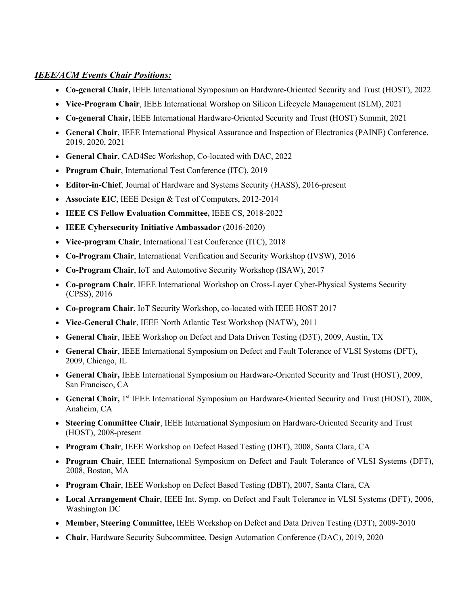#### *IEEE/ACM Events Chair Positions:*

- **Co-general Chair,** IEEE International Symposium on Hardware-Oriented Security and Trust (HOST), 2022
- **Vice-Program Chair**, IEEE International Worshop on Silicon Lifecycle Management (SLM), 2021
- **Co-general Chair,** IEEE International Hardware-Oriented Security and Trust (HOST) Summit, 2021
- **General Chair**, IEEE International Physical Assurance and Inspection of Electronics (PAINE) Conference, 2019, 2020, 2021
- **General Chair**, CAD4Sec Workshop, Co-located with DAC, 2022
- **Program Chair**, International Test Conference (ITC), 2019
- **Editor-in-Chief**, Journal of Hardware and Systems Security (HASS), 2016-present
- **Associate EIC**, IEEE Design & Test of Computers, 2012-2014
- **IEEE CS Fellow Evaluation Committee,** IEEE CS, 2018-2022
- **IEEE Cybersecurity Initiative Ambassador** (2016-2020)
- **Vice-program Chair**, International Test Conference (ITC), 2018
- **Co-Program Chair**, International Verification and Security Workshop (IVSW), 2016
- **Co-Program Chair**, IoT and Automotive Security Workshop (ISAW), 2017
- **Co-program Chair**, IEEE International Workshop on Cross-Layer Cyber-Physical Systems Security (CPSS), 2016
- **Co-program Chair**, IoT Security Workshop, co-located with IEEE HOST 2017
- **Vice-General Chair**, IEEE North Atlantic Test Workshop (NATW), 2011
- **General Chair**, IEEE Workshop on Defect and Data Driven Testing (D3T), 2009, Austin, TX
- **General Chair**, IEEE International Symposium on Defect and Fault Tolerance of VLSI Systems (DFT), 2009, Chicago, IL
- **General Chair,** IEEE International Symposium on Hardware-Oriented Security and Trust (HOST), 2009, San Francisco, CA
- General Chair, 1<sup>st</sup> IEEE International Symposium on Hardware-Oriented Security and Trust (HOST), 2008, Anaheim, CA
- **Steering Committee Chair**, IEEE International Symposium on Hardware-Oriented Security and Trust (HOST), 2008-present
- **Program Chair**, IEEE Workshop on Defect Based Testing (DBT), 2008, Santa Clara, CA
- **Program Chair**, IEEE International Symposium on Defect and Fault Tolerance of VLSI Systems (DFT), 2008, Boston, MA
- **Program Chair**, IEEE Workshop on Defect Based Testing (DBT), 2007, Santa Clara, CA
- **Local Arrangement Chair**, IEEE Int. Symp. on Defect and Fault Tolerance in VLSI Systems (DFT), 2006, Washington DC
- **Member, Steering Committee,** IEEE Workshop on Defect and Data Driven Testing (D3T), 2009-2010
- **Chair**, Hardware Security Subcommittee, Design Automation Conference (DAC), 2019, 2020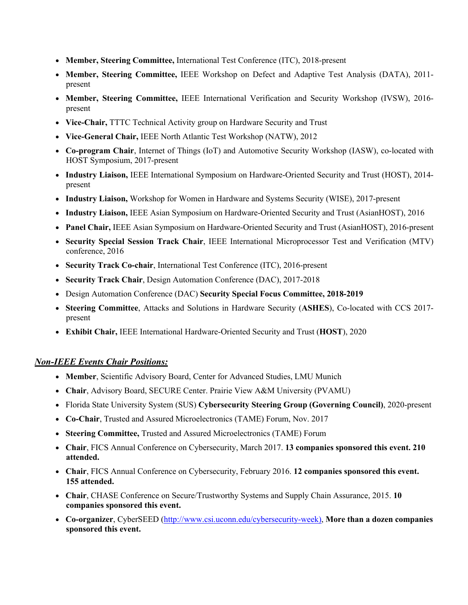- **Member, Steering Committee,** International Test Conference (ITC), 2018-present
- **Member, Steering Committee,** IEEE Workshop on Defect and Adaptive Test Analysis (DATA), 2011 present
- **Member, Steering Committee,** IEEE International Verification and Security Workshop (IVSW), 2016 present
- **Vice-Chair,** TTTC Technical Activity group on Hardware Security and Trust
- **Vice-General Chair,** IEEE North Atlantic Test Workshop (NATW), 2012
- **Co-program Chair**, Internet of Things (IoT) and Automotive Security Workshop (IASW), co-located with HOST Symposium, 2017-present
- **Industry Liaison,** IEEE International Symposium on Hardware-Oriented Security and Trust (HOST), 2014 present
- **Industry Liaison,** Workshop for Women in Hardware and Systems Security (WISE), 2017-present
- **Industry Liaison,** IEEE Asian Symposium on Hardware-Oriented Security and Trust (AsianHOST), 2016
- **Panel Chair,** IEEE Asian Symposium on Hardware-Oriented Security and Trust (AsianHOST), 2016-present
- **Security Special Session Track Chair**, IEEE International Microprocessor Test and Verification (MTV) conference, 2016
- **Security Track Co-chair**, International Test Conference (ITC), 2016-present
- **Security Track Chair**, Design Automation Conference (DAC), 2017-2018
- Design Automation Conference (DAC) **Security Special Focus Committee, 2018-2019**
- **Steering Committee**, Attacks and Solutions in Hardware Security (**ASHES**), Co-located with CCS 2017 present
- **Exhibit Chair,** IEEE International Hardware-Oriented Security and Trust (**HOST**), 2020

#### *Non-IEEE Events Chair Positions:*

- **Member**, Scientific Advisory Board, Center for Advanced Studies, LMU Munich
- **Chair**, Advisory Board, SECURE Center. Prairie View A&M University (PVAMU)
- Florida State University System (SUS) **Cybersecurity Steering Group (Governing Council)**, 2020-present
- **Co-Chair**, Trusted and Assured Microelectronics (TAME) Forum, Nov. 2017
- **Steering Committee,** Trusted and Assured Microelectronics (TAME) Forum
- **Chair**, FICS Annual Conference on Cybersecurity, March 2017. **13 companies sponsored this event. 210 attended.**
- **Chair**, FICS Annual Conference on Cybersecurity, February 2016. **12 companies sponsored this event. 155 attended.**
- **Chair**, CHASE Conference on Secure/Trustworthy Systems and Supply Chain Assurance, 2015. **10 companies sponsored this event.**
- **Co-organizer**, CyberSEED (http://www.csi.uconn.edu/cybersecurity-week), **More than a dozen companies sponsored this event.**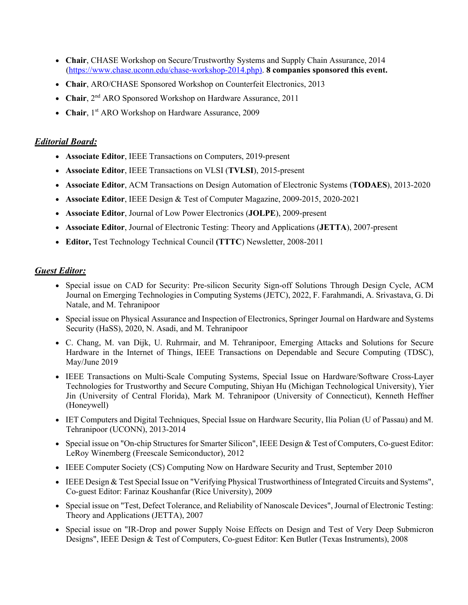- **Chair**, CHASE Workshop on Secure/Trustworthy Systems and Supply Chain Assurance, 2014 (https://www.chase.uconn.edu/chase-workshop-2014.php). **8 companies sponsored this event.**
- **Chair**, ARO/CHASE Sponsored Workshop on Counterfeit Electronics, 2013
- **Chair**,  $2^{nd}$  ARO Sponsored Workshop on Hardware Assurance, 2011
- Chair, 1<sup>st</sup> ARO Workshop on Hardware Assurance, 2009

#### *Editorial Board:*

- **Associate Editor**, IEEE Transactions on Computers, 2019-present
- **Associate Editor**, IEEE Transactions on VLSI (**TVLSI**), 2015-present
- **Associate Editor**, ACM Transactions on Design Automation of Electronic Systems (**TODAES**), 2013-2020
- **Associate Editor**, IEEE Design & Test of Computer Magazine, 2009-2015, 2020-2021
- **Associate Editor**, Journal of Low Power Electronics (**JOLPE**), 2009-present
- **Associate Editor**, Journal of Electronic Testing: Theory and Applications (**JETTA**), 2007-present
- **Editor,** Test Technology Technical Council **(TTTC**) Newsletter, 2008-2011

#### *Guest Editor:*

- Special issue on CAD for Security: Pre-silicon Security Sign-off Solutions Through Design Cycle, ACM Journal on Emerging Technologies in Computing Systems (JETC), 2022, F. Farahmandi, A. Srivastava, G. Di Natale, and M. Tehranipoor
- Special issue on Physical Assurance and Inspection of Electronics, Springer Journal on Hardware and Systems Security (HaSS), 2020, N. Asadi, and M. Tehranipoor
- C. Chang, M. van Dijk, U. Ruhrmair, and M. Tehranipoor, Emerging Attacks and Solutions for Secure Hardware in the Internet of Things, IEEE Transactions on Dependable and Secure Computing (TDSC), May/June 2019
- IEEE Transactions on Multi-Scale Computing Systems, Special Issue on Hardware/Software Cross-Layer Technologies for Trustworthy and Secure Computing, Shiyan Hu (Michigan Technological University), Yier Jin (University of Central Florida), Mark M. Tehranipoor (University of Connecticut), Kenneth Heffner (Honeywell)
- IET Computers and Digital Techniques, Special Issue on Hardware Security, Ilia Polian (U of Passau) and M. Tehranipoor (UCONN), 2013-2014
- Special issue on "On-chip Structures for Smarter Silicon", IEEE Design & Test of Computers, Co-guest Editor: LeRoy Winemberg (Freescale Semiconductor), 2012
- IEEE Computer Society (CS) Computing Now on Hardware Security and Trust, September 2010
- IEEE Design & Test Special Issue on "Verifying Physical Trustworthiness of Integrated Circuits and Systems", Co-guest Editor: Farinaz Koushanfar (Rice University), 2009
- Special issue on "Test, Defect Tolerance, and Reliability of Nanoscale Devices", Journal of Electronic Testing: Theory and Applications (JETTA), 2007
- Special issue on "IR-Drop and power Supply Noise Effects on Design and Test of Very Deep Submicron Designs", IEEE Design & Test of Computers, Co-guest Editor: Ken Butler (Texas Instruments), 2008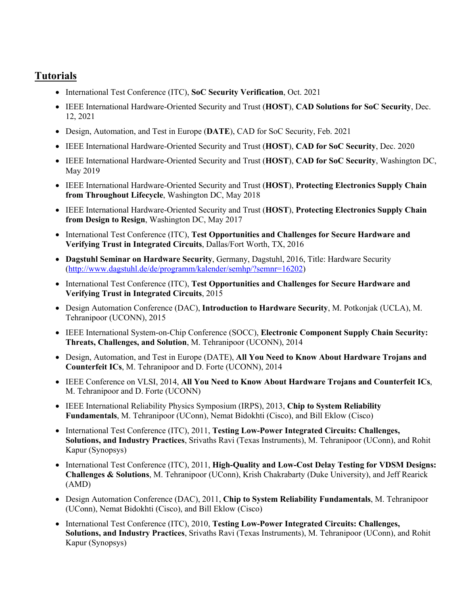## **Tutorials**

- International Test Conference (ITC), **SoC Security Verification**, Oct. 2021
- IEEE International Hardware-Oriented Security and Trust (**HOST**), **CAD Solutions for SoC Security**, Dec. 12, 2021
- Design, Automation, and Test in Europe (**DATE**), CAD for SoC Security, Feb. 2021
- IEEE International Hardware-Oriented Security and Trust (**HOST**), **CAD for SoC Security**, Dec. 2020
- IEEE International Hardware-Oriented Security and Trust (**HOST**), **CAD for SoC Security**, Washington DC, May 2019
- IEEE International Hardware-Oriented Security and Trust (**HOST**), **Protecting Electronics Supply Chain from Throughout Lifecycle**, Washington DC, May 2018
- IEEE International Hardware-Oriented Security and Trust (**HOST**), **Protecting Electronics Supply Chain from Design to Resign**, Washington DC, May 2017
- International Test Conference (ITC), **Test Opportunities and Challenges for Secure Hardware and Verifying Trust in Integrated Circuits**, Dallas/Fort Worth, TX, 2016
- **Dagstuhl Seminar on Hardware Security**, Germany, Dagstuhl, 2016, Title: Hardware Security (http://www.dagstuhl.de/de/programm/kalender/semhp/?semnr=16202)
- International Test Conference (ITC), **Test Opportunities and Challenges for Secure Hardware and Verifying Trust in Integrated Circuits**, 2015
- Design Automation Conference (DAC), **Introduction to Hardware Security**, M. Potkonjak (UCLA), M. Tehranipoor (UCONN), 2015
- IEEE International System-on-Chip Conference (SOCC), **Electronic Component Supply Chain Security: Threats, Challenges, and Solution**, M. Tehranipoor (UCONN), 2014
- Design, Automation, and Test in Europe (DATE), **All You Need to Know About Hardware Trojans and Counterfeit ICs**, M. Tehranipoor and D. Forte (UCONN), 2014
- IEEE Conference on VLSI, 2014, **All You Need to Know About Hardware Trojans and Counterfeit ICs**, M. Tehranipoor and D. Forte (UCONN)
- IEEE International Reliability Physics Symposium (IRPS), 2013, **Chip to System Reliability Fundamentals**, M. Tehranipoor (UConn), Nemat Bidokhti (Cisco), and Bill Eklow (Cisco)
- International Test Conference (ITC), 2011, **Testing Low-Power Integrated Circuits: Challenges, Solutions, and Industry Practices**, Srivaths Ravi (Texas Instruments), M. Tehranipoor (UConn), and Rohit Kapur (Synopsys)
- International Test Conference (ITC), 2011, **High-Quality and Low-Cost Delay Testing for VDSM Designs: Challenges & Solutions**, M. Tehranipoor (UConn), Krish Chakrabarty (Duke University), and Jeff Rearick (AMD)
- Design Automation Conference (DAC), 2011, **Chip to System Reliability Fundamentals**, M. Tehranipoor (UConn), Nemat Bidokhti (Cisco), and Bill Eklow (Cisco)
- International Test Conference (ITC), 2010, **Testing Low-Power Integrated Circuits: Challenges, Solutions, and Industry Practices**, Srivaths Ravi (Texas Instruments), M. Tehranipoor (UConn), and Rohit Kapur (Synopsys)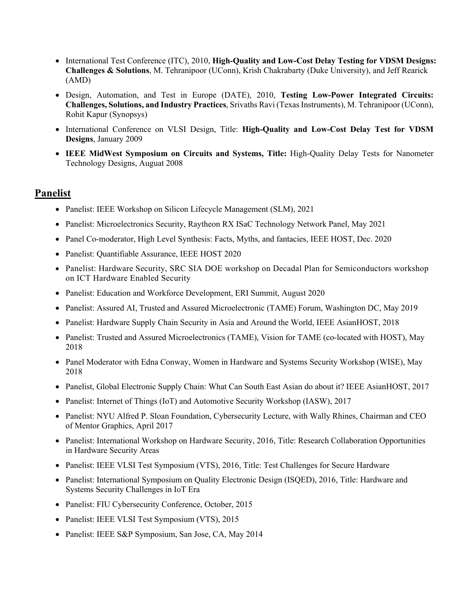- International Test Conference (ITC), 2010, **High-Quality and Low-Cost Delay Testing for VDSM Designs: Challenges & Solutions**, M. Tehranipoor (UConn), Krish Chakrabarty (Duke University), and Jeff Rearick (AMD)
- Design, Automation, and Test in Europe (DATE), 2010, **Testing Low-Power Integrated Circuits: Challenges, Solutions, and Industry Practices**, Srivaths Ravi (Texas Instruments), M. Tehranipoor (UConn), Rohit Kapur (Synopsys)
- International Conference on VLSI Design, Title: **High-Quality and Low-Cost Delay Test for VDSM Designs**, January 2009
- **IEEE MidWest Symposium on Circuits and Systems, Title:** High-Quality Delay Tests for Nanometer Technology Designs, Auguat 2008

#### **Panelist**

- Panelist: IEEE Workshop on Silicon Lifecycle Management (SLM), 2021
- Panelist: Microelectronics Security, Raytheon RX ISaC Technology Network Panel, May 2021
- Panel Co-moderator, High Level Synthesis: Facts, Myths, and fantacies, IEEE HOST, Dec. 2020
- Panelist: Quantifiable Assurance, IEEE HOST 2020
- Panelist: Hardware Security, SRC SIA DOE workshop on Decadal Plan for Semiconductors workshop on ICT Hardware Enabled Security
- Panelist: Education and Workforce Development, ERI Summit, August 2020
- Panelist: Assured AI, Trusted and Assured Microelectronic (TAME) Forum, Washington DC, May 2019
- Panelist: Hardware Supply Chain Security in Asia and Around the World, IEEE AsianHOST, 2018
- Panelist: Trusted and Assured Microelectronics (TAME), Vision for TAME (co-located with HOST), May 2018
- Panel Moderator with Edna Conway, Women in Hardware and Systems Security Workshop (WISE), May 2018
- Panelist, Global Electronic Supply Chain: What Can South East Asian do about it? IEEE AsianHOST, 2017
- Panelist: Internet of Things (IoT) and Automotive Security Workshop (IASW), 2017
- Panelist: NYU Alfred P. Sloan Foundation, Cybersecurity Lecture, with Wally Rhines, Chairman and CEO of Mentor Graphics, April 2017
- Panelist: International Workshop on Hardware Security, 2016, Title: Research Collaboration Opportunities in Hardware Security Areas
- Panelist: IEEE VLSI Test Symposium (VTS), 2016, Title: Test Challenges for Secure Hardware
- Panelist: International Symposium on Quality Electronic Design (ISQED), 2016, Title: Hardware and Systems Security Challenges in IoT Era
- Panelist: FIU Cybersecurity Conference, October, 2015
- Panelist: IEEE VLSI Test Symposium (VTS), 2015
- Panelist: IEEE S&P Symposium, San Jose, CA, May 2014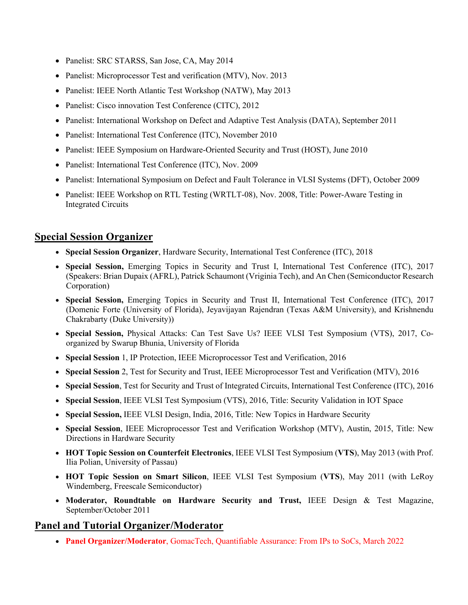- Panelist: SRC STARSS, San Jose, CA, May 2014
- Panelist: Microprocessor Test and verification (MTV), Nov. 2013
- Panelist: IEEE North Atlantic Test Workshop (NATW), May 2013
- Panelist: Cisco innovation Test Conference (CITC), 2012
- Panelist: International Workshop on Defect and Adaptive Test Analysis (DATA), September 2011
- Panelist: International Test Conference (ITC), November 2010
- Panelist: IEEE Symposium on Hardware-Oriented Security and Trust (HOST), June 2010
- Panelist: International Test Conference (ITC), Nov. 2009
- Panelist: International Symposium on Defect and Fault Tolerance in VLSI Systems (DFT), October 2009
- Panelist: IEEE Workshop on RTL Testing (WRTLT-08), Nov. 2008, Title: Power-Aware Testing in Integrated Circuits

## **Special Session Organizer**

- **Special Session Organizer**, Hardware Security, International Test Conference (ITC), 2018
- **Special Session,** Emerging Topics in Security and Trust I, International Test Conference (ITC), 2017 (Speakers: Brian Dupaix (AFRL), Patrick Schaumont (Vriginia Tech), and An Chen (Semiconductor Research Corporation)
- **Special Session,** Emerging Topics in Security and Trust II, International Test Conference (ITC), 2017 (Domenic Forte (University of Florida), Jeyavijayan Rajendran (Texas A&M University), and Krishnendu Chakrabarty (Duke University))
- **Special Session,** Physical Attacks: Can Test Save Us? IEEE VLSI Test Symposium (VTS), 2017, Coorganized by Swarup Bhunia, University of Florida
- **Special Session** 1, IP Protection, IEEE Microprocessor Test and Verification, 2016
- **Special Session** 2, Test for Security and Trust, IEEE Microprocessor Test and Verification (MTV), 2016
- **Special Session**, Test for Security and Trust of Integrated Circuits, International Test Conference (ITC), 2016
- **Special Session**, IEEE VLSI Test Symposium (VTS), 2016, Title: Security Validation in IOT Space
- **Special Session,** IEEE VLSI Design, India, 2016, Title: New Topics in Hardware Security
- **Special Session**, IEEE Microprocessor Test and Verification Workshop (MTV), Austin, 2015, Title: New Directions in Hardware Security
- **HOT Topic Session on Counterfeit Electronics**, IEEE VLSI Test Symposium (**VTS**), May 2013 (with Prof. Ilia Polian, University of Passau)
- **HOT Topic Session on Smart Silicon**, IEEE VLSI Test Symposium (**VTS**), May 2011 (with LeRoy Windemberg, Freescale Semiconductor)
- **Moderator, Roundtable on Hardware Security and Trust,** IEEE Design & Test Magazine, September/October 2011

## **Panel and Tutorial Organizer/Moderator**

• **Panel Organizer/Moderator**, GomacTech, Quantifiable Assurance: From IPs to SoCs, March 2022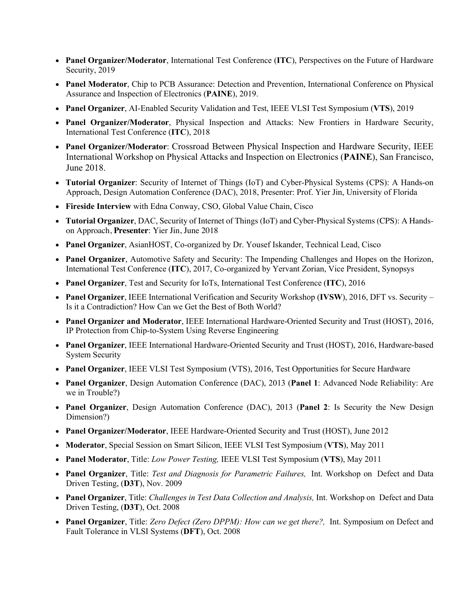- **Panel Organizer/Moderator**, International Test Conference (**ITC**), Perspectives on the Future of Hardware Security, 2019
- **Panel Moderator**, Chip to PCB Assurance: Detection and Prevention, International Conference on Physical Assurance and Inspection of Electronics (**PAINE**), 2019.
- **Panel Organizer**, AI-Enabled Security Validation and Test, IEEE VLSI Test Symposium (**VTS**), 2019
- **Panel Organizer/Moderator**, Physical Inspection and Attacks: New Frontiers in Hardware Security, International Test Conference (**ITC**), 2018
- **Panel Organizer/Moderator**: Crossroad Between Physical Inspection and Hardware Security, IEEE International Workshop on Physical Attacks and Inspection on Electronics (**PAINE**), San Francisco, June 2018.
- **Tutorial Organizer**: Security of Internet of Things (IoT) and Cyber-Physical Systems (CPS): A Hands-on Approach, Design Automation Conference (DAC), 2018, Presenter: Prof. Yier Jin, University of Florida
- **Fireside Interview** with Edna Conway, CSO, Global Value Chain, Cisco
- **Tutorial Organizer**, DAC, Security of Internet of Things (IoT) and Cyber-Physical Systems (CPS): A Handson Approach, **Presenter**: Yier Jin, June 2018
- **Panel Organizer**, AsianHOST, Co-organized by Dr. Yousef Iskander, Technical Lead, Cisco
- **Panel Organizer**, Automotive Safety and Security: The Impending Challenges and Hopes on the Horizon, International Test Conference (**ITC**), 2017, Co-organized by Yervant Zorian, Vice President, Synopsys
- **Panel Organizer**, Test and Security for IoTs, International Test Conference (**ITC**), 2016
- **Panel Organizer**, IEEE International Verification and Security Workshop (**IVSW**), 2016, DFT vs. Security Is it a Contradiction? How Can we Get the Best of Both World?
- **Panel Organizer and Moderator**, IEEE International Hardware-Oriented Security and Trust (HOST), 2016, IP Protection from Chip-to-System Using Reverse Engineering
- **Panel Organizer**, IEEE International Hardware-Oriented Security and Trust (HOST), 2016, Hardware-based System Security
- **Panel Organizer**, IEEE VLSI Test Symposium (VTS), 2016, Test Opportunities for Secure Hardware
- **Panel Organizer**, Design Automation Conference (DAC), 2013 (**Panel 1**: Advanced Node Reliability: Are we in Trouble?)
- **Panel Organizer**, Design Automation Conference (DAC), 2013 (**Panel 2**: Is Security the New Design Dimension?)
- **Panel Organizer/Moderator**, IEEE Hardware-Oriented Security and Trust (HOST), June 2012
- **Moderator**, Special Session on Smart Silicon, IEEE VLSI Test Symposium (**VTS**), May 2011
- **Panel Moderator**, Title: *Low Power Testing,* IEEE VLSI Test Symposium (**VTS**), May 2011
- **Panel Organizer**, Title: *Test and Diagnosis for Parametric Failures,* Int. Workshop on Defect and Data Driven Testing, (**D3T**), Nov. 2009
- **Panel Organizer**, Title: *Challenges in Test Data Collection and Analysis,* Int. Workshop on Defect and Data Driven Testing, (**D3T**), Oct. 2008
- **Panel Organizer**, Title: *Zero Defect (Zero DPPM): How can we get there?,* Int. Symposium on Defect and Fault Tolerance in VLSI Systems (**DFT**), Oct. 2008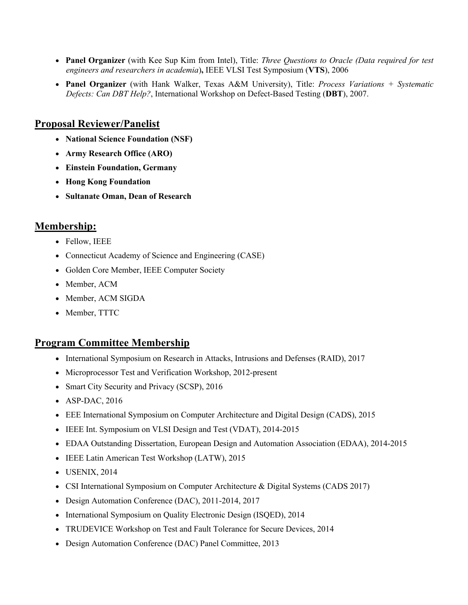- **Panel Organizer** (with Kee Sup Kim from Intel), Title: *Three Questions to Oracle (Data required for test engineers and researchers in academia*)**,** IEEE VLSI Test Symposium (**VTS**), 2006
- **Panel Organizer** (with Hank Walker, Texas A&M University), Title: *Process Variations + Systematic Defects: Can DBT Help?*, International Workshop on Defect-Based Testing (**DBT**), 2007.

### **Proposal Reviewer/Panelist**

- **National Science Foundation (NSF)**
- **Army Research Office (ARO)**
- **Einstein Foundation, Germany**
- **Hong Kong Foundation**
- **Sultanate Oman, Dean of Research**

## **Membership:**

- Fellow, IEEE
- Connecticut Academy of Science and Engineering (CASE)
- Golden Core Member, IEEE Computer Society
- Member, ACM
- Member, ACM SIGDA
- Member, TTTC

#### **Program Committee Membership**

- International Symposium on Research in Attacks, Intrusions and Defenses (RAID), 2017
- Microprocessor Test and Verification Workshop, 2012-present
- Smart City Security and Privacy (SCSP), 2016
- ASP-DAC, 2016
- EEE International Symposium on Computer Architecture and Digital Design (CADS), 2015
- IEEE Int. Symposium on VLSI Design and Test (VDAT), 2014-2015
- EDAA Outstanding Dissertation, European Design and Automation Association (EDAA), 2014-2015
- IEEE Latin American Test Workshop (LATW), 2015
- USENIX, 2014
- CSI International Symposium on Computer Architecture & Digital Systems (CADS 2017)
- Design Automation Conference (DAC), 2011-2014, 2017
- International Symposium on Quality Electronic Design (ISQED), 2014
- TRUDEVICE Workshop on Test and Fault Tolerance for Secure Devices, 2014
- Design Automation Conference (DAC) Panel Committee, 2013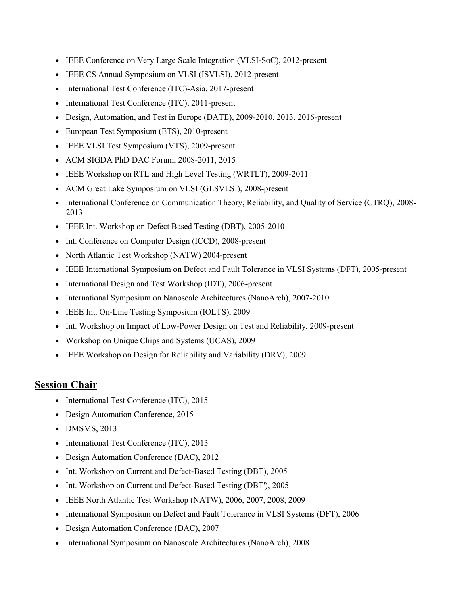- IEEE Conference on Very Large Scale Integration (VLSI-SoC), 2012-present
- IEEE CS Annual Symposium on VLSI (ISVLSI), 2012-present
- International Test Conference (ITC)-Asia, 2017-present
- International Test Conference (ITC), 2011-present
- Design, Automation, and Test in Europe (DATE), 2009-2010, 2013, 2016-present
- European Test Symposium (ETS), 2010-present
- IEEE VLSI Test Symposium (VTS), 2009-present
- ACM SIGDA PhD DAC Forum, 2008-2011, 2015
- IEEE Workshop on RTL and High Level Testing (WRTLT), 2009-2011
- ACM Great Lake Symposium on VLSI (GLSVLSI), 2008-present
- International Conference on Communication Theory, Reliability, and Quality of Service (CTRQ), 2008- 2013
- IEEE Int. Workshop on Defect Based Testing (DBT), 2005-2010
- Int. Conference on Computer Design (ICCD), 2008-present
- North Atlantic Test Workshop (NATW) 2004-present
- IEEE International Symposium on Defect and Fault Tolerance in VLSI Systems (DFT), 2005-present
- International Design and Test Workshop (IDT), 2006-present
- International Symposium on Nanoscale Architectures (NanoArch), 2007-2010
- IEEE Int. On-Line Testing Symposium (IOLTS), 2009
- Int. Workshop on Impact of Low-Power Design on Test and Reliability, 2009-present
- Workshop on Unique Chips and Systems (UCAS), 2009
- IEEE Workshop on Design for Reliability and Variability (DRV), 2009

#### **Session Chair**

- International Test Conference (ITC), 2015
- Design Automation Conference, 2015
- DMSMS, 2013
- International Test Conference (ITC), 2013
- Design Automation Conference (DAC), 2012
- Int. Workshop on Current and Defect-Based Testing (DBT), 2005
- Int. Workshop on Current and Defect-Based Testing (DBT'), 2005
- IEEE North Atlantic Test Workshop (NATW), 2006, 2007, 2008, 2009
- International Symposium on Defect and Fault Tolerance in VLSI Systems (DFT), 2006
- Design Automation Conference (DAC), 2007
- International Symposium on Nanoscale Architectures (NanoArch), 2008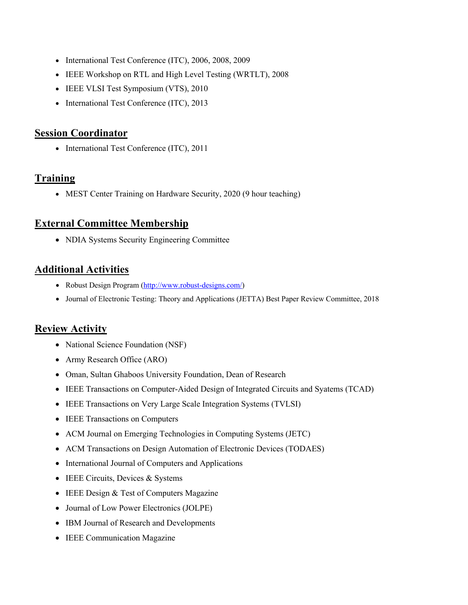- International Test Conference (ITC), 2006, 2008, 2009
- IEEE Workshop on RTL and High Level Testing (WRTLT), 2008
- IEEE VLSI Test Symposium (VTS), 2010
- International Test Conference (ITC), 2013

#### **Session Coordinator**

• International Test Conference (ITC), 2011

### **Training**

• MEST Center Training on Hardware Security, 2020 (9 hour teaching)

## **External Committee Membership**

• NDIA Systems Security Engineering Committee

## **Additional Activities**

- Robust Design Program (http://www.robust-designs.com/)
- Journal of Electronic Testing: Theory and Applications (JETTA) Best Paper Review Committee, 2018

## **Review Activity**

- National Science Foundation (NSF)
- Army Research Office (ARO)
- Oman, Sultan Ghaboos University Foundation, Dean of Research
- IEEE Transactions on Computer-Aided Design of Integrated Circuits and Syatems (TCAD)
- IEEE Transactions on Very Large Scale Integration Systems (TVLSI)
- IEEE Transactions on Computers
- ACM Journal on Emerging Technologies in Computing Systems (JETC)
- ACM Transactions on Design Automation of Electronic Devices (TODAES)
- International Journal of Computers and Applications
- IEEE Circuits, Devices & Systems
- IEEE Design & Test of Computers Magazine
- Journal of Low Power Electronics (JOLPE)
- IBM Journal of Research and Developments
- IEEE Communication Magazine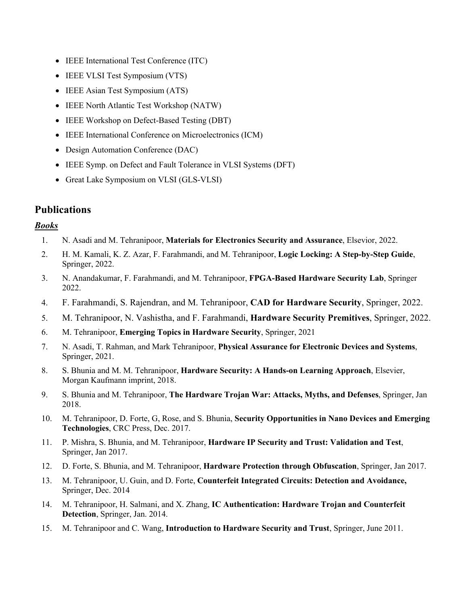- IEEE International Test Conference (ITC)
- IEEE VLSI Test Symposium (VTS)
- IEEE Asian Test Symposium (ATS)
- IEEE North Atlantic Test Workshop (NATW)
- IEEE Workshop on Defect-Based Testing (DBT)
- IEEE International Conference on Microelectronics (ICM)
- Design Automation Conference (DAC)
- IEEE Symp. on Defect and Fault Tolerance in VLSI Systems (DFT)
- Great Lake Symposium on VLSI (GLS-VLSI)

## **Publications**

#### *Books*

- 1. N. Asadi and M. Tehranipoor, **Materials for Electronics Security and Assurance**, Elsevior, 2022.
- 2. H. M. Kamali, K. Z. Azar, F. Farahmandi, and M. Tehranipoor, **Logic Locking: A Step-by-Step Guide**, Springer, 2022.
- 3. N. Anandakumar, F. Farahmandi, and M. Tehranipoor, **FPGA-Based Hardware Security Lab**, Springer 2022.
- 4. F. Farahmandi, S. Rajendran, and M. Tehranipoor, **CAD for Hardware Security**, Springer, 2022.
- 5. M. Tehranipoor, N. Vashistha, and F. Farahmandi, **Hardware Security Premitives**, Springer, 2022.
- 6. M. Tehranipoor, **Emerging Topics in Hardware Security**, Springer, 2021
- 7. N. Asadi, T. Rahman, and Mark Tehranipoor, **Physical Assurance for Electronic Devices and Systems**, Springer, 2021.
- 8. S. Bhunia and M. M. Tehranipoor, **Hardware Security: A Hands-on Learning Approach**, Elsevier, Morgan Kaufmann imprint, 2018.
- 9. S. Bhunia and M. Tehranipoor, **The Hardware Trojan War: Attacks, Myths, and Defenses**, Springer, Jan 2018.
- 10. M. Tehranipoor, D. Forte, G, Rose, and S. Bhunia, **Security Opportunities in Nano Devices and Emerging Technologies**, CRC Press, Dec. 2017.
- 11. P. Mishra, S. Bhunia, and M. Tehranipoor, **Hardware IP Security and Trust: Validation and Test**, Springer, Jan 2017.
- 12. D. Forte, S. Bhunia, and M. Tehranipoor, **Hardware Protection through Obfuscation**, Springer, Jan 2017.
- 13. M. Tehranipoor, U. Guin, and D. Forte, **Counterfeit Integrated Circuits: Detection and Avoidance,**  Springer, Dec. 2014
- 14. M. Tehranipoor, H. Salmani, and X. Zhang, **IC Authentication: Hardware Trojan and Counterfeit Detection**, Springer, Jan. 2014.
- 15. M. Tehranipoor and C. Wang, **Introduction to Hardware Security and Trust**, Springer, June 2011.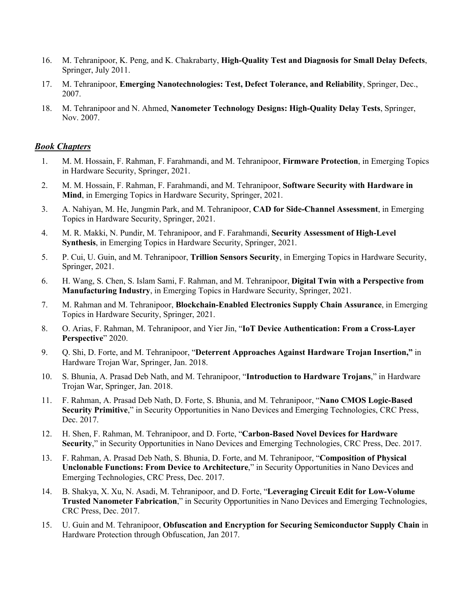- 16. M. Tehranipoor, K. Peng, and K. Chakrabarty, **High-Quality Test and Diagnosis for Small Delay Defects**, Springer, July 2011.
- 17. M. Tehranipoor, **Emerging Nanotechnologies: Test, Defect Tolerance, and Reliability**, Springer, Dec., 2007.
- 18. M. Tehranipoor and N. Ahmed, **Nanometer Technology Designs: High-Quality Delay Tests**, Springer, Nov. 2007.

#### *Book Chapters*

- 1. M. M. Hossain, F. Rahman, F. Farahmandi, and M. Tehranipoor, **Firmware Protection**, in Emerging Topics in Hardware Security, Springer, 2021.
- 2. M. M. Hossain, F. Rahman, F. Farahmandi, and M. Tehranipoor, **Software Security with Hardware in Mind**, in Emerging Topics in Hardware Security, Springer, 2021.
- 3. A. Nahiyan, M. He, Jungmin Park, and M. Tehranipoor, **CAD for Side-Channel Assessment**, in Emerging Topics in Hardware Security, Springer, 2021.
- 4. M. R. Makki, N. Pundir, M. Tehranipoor, and F. Farahmandi, **Security Assessment of High-Level Synthesis**, in Emerging Topics in Hardware Security, Springer, 2021.
- 5. P. Cui, U. Guin, and M. Tehranipoor, **Trillion Sensors Security**, in Emerging Topics in Hardware Security, Springer, 2021.
- 6. H. Wang, S. Chen, S. Islam Sami, F. Rahman, and M. Tehranipoor, **Digital Twin with a Perspective from Manufacturing Industry**, in Emerging Topics in Hardware Security, Springer, 2021.
- 7. M. Rahman and M. Tehranipoor, **Blockchain-Enabled Electronics Supply Chain Assurance**, in Emerging Topics in Hardware Security, Springer, 2021.
- 8. O. Arias, F. Rahman, M. Tehranipoor, and Yier Jin, "**IoT Device Authentication: From a Cross-Layer Perspective**" 2020.
- 9. Q. Shi, D. Forte, and M. Tehranipoor, "**Deterrent Approaches Against Hardware Trojan Insertion,"** in Hardware Trojan War, Springer, Jan. 2018.
- 10. S. Bhunia, A. Prasad Deb Nath, and M. Tehranipoor, "**Introduction to Hardware Trojans**," in Hardware Trojan War, Springer, Jan. 2018.
- 11. F. Rahman, A. Prasad Deb Nath, D. Forte, S. Bhunia, and M. Tehranipoor, "**Nano CMOS Logic-Based Security Primitive**," in Security Opportunities in Nano Devices and Emerging Technologies, CRC Press, Dec. 2017.
- 12. H. Shen, F. Rahman, M. Tehranipoor, and D. Forte, "**Carbon-Based Novel Devices for Hardware Security**," in Security Opportunities in Nano Devices and Emerging Technologies, CRC Press, Dec. 2017.
- 13. F. Rahman, A. Prasad Deb Nath, S. Bhunia, D. Forte, and M. Tehranipoor, "**Composition of Physical Unclonable Functions: From Device to Architecture**," in Security Opportunities in Nano Devices and Emerging Technologies, CRC Press, Dec. 2017.
- 14. B. Shakya, X. Xu, N. Asadi, M. Tehranipoor, and D. Forte, "**Leveraging Circuit Edit for Low-Volume Trusted Nanometer Fabrication**," in Security Opportunities in Nano Devices and Emerging Technologies, CRC Press, Dec. 2017.
- 15. U. Guin and M. Tehranipoor, **Obfuscation and Encryption for Securing Semiconductor Supply Chain** in Hardware Protection through Obfuscation, Jan 2017.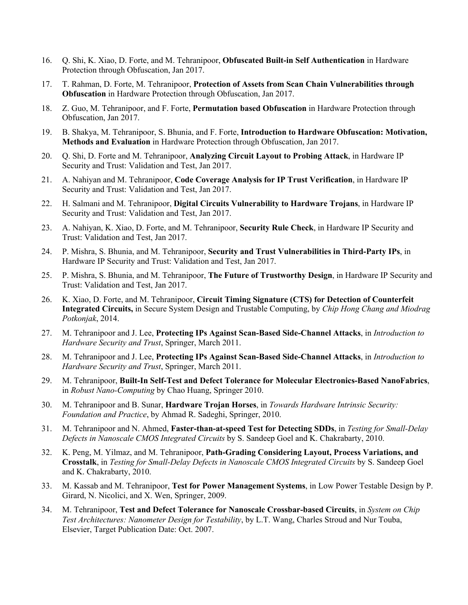- 16. Q. Shi, K. Xiao, D. Forte, and M. Tehranipoor, **Obfuscated Built-in Self Authentication** in Hardware Protection through Obfuscation, Jan 2017.
- 17. T. Rahman, D. Forte, M. Tehranipoor, **Protection of Assets from Scan Chain Vulnerabilities through Obfuscation** in Hardware Protection through Obfuscation, Jan 2017.
- 18. Z. Guo, M. Tehranipoor, and F. Forte, **Permutation based Obfuscation** in Hardware Protection through Obfuscation, Jan 2017.
- 19. B. Shakya, M. Tehranipoor, S. Bhunia, and F. Forte, **Introduction to Hardware Obfuscation: Motivation, Methods and Evaluation** in Hardware Protection through Obfuscation, Jan 2017.
- 20. Q. Shi, D. Forte and M. Tehranipoor, **Analyzing Circuit Layout to Probing Attack**, in Hardware IP Security and Trust: Validation and Test, Jan 2017.
- 21. A. Nahiyan and M. Tehranipoor, **Code Coverage Analysis for IP Trust Verification**, in Hardware IP Security and Trust: Validation and Test, Jan 2017.
- 22. H. Salmani and M. Tehranipoor, **Digital Circuits Vulnerability to Hardware Trojans**, in Hardware IP Security and Trust: Validation and Test, Jan 2017.
- 23. A. Nahiyan, K. Xiao, D. Forte, and M. Tehranipoor, **Security Rule Check**, in Hardware IP Security and Trust: Validation and Test, Jan 2017.
- 24. P. Mishra, S. Bhunia, and M. Tehranipoor, **Security and Trust Vulnerabilities in Third-Party IPs**, in Hardware IP Security and Trust: Validation and Test, Jan 2017.
- 25. P. Mishra, S. Bhunia, and M. Tehranipoor, **The Future of Trustworthy Design**, in Hardware IP Security and Trust: Validation and Test, Jan 2017.
- 26. K. Xiao, D. Forte, and M. Tehranipoor, **Circuit Timing Signature (CTS) for Detection of Counterfeit Integrated Circuits,** in Secure System Design and Trustable Computing, by *Chip Hong Chang and Miodrag Potkonjak*, 2014.
- 27. M. Tehranipoor and J. Lee, **Protecting IPs Against Scan-Based Side-Channel Attacks**, in *Introduction to Hardware Security and Trust*, Springer, March 2011.
- 28. M. Tehranipoor and J. Lee, **Protecting IPs Against Scan-Based Side-Channel Attacks**, in *Introduction to Hardware Security and Trust*, Springer, March 2011.
- 29. M. Tehranipoor, **Built-In Self-Test and Defect Tolerance for Molecular Electronics-Based NanoFabrics**, in *Robust Nano-Computing* by Chao Huang, Springer 2010.
- 30. M. Tehranipoor and B. Sunar, **Hardware Trojan Horses**, in *Towards Hardware Intrinsic Security: Foundation and Practice*, by Ahmad R. Sadeghi, Springer, 2010.
- 31. M. Tehranipoor and N. Ahmed, **Faster-than-at-speed Test for Detecting SDDs**, in *Testing for Small-Delay Defects in Nanoscale CMOS Integrated Circuits* by S. Sandeep Goel and K. Chakrabarty, 2010.
- 32. K. Peng, M. Yilmaz, and M. Tehranipoor, **Path-Grading Considering Layout, Process Variations, and Crosstalk**, in *Testing for Small-Delay Defects in Nanoscale CMOS Integrated Circuits* by S. Sandeep Goel and K. Chakrabarty, 2010.
- 33. M. Kassab and M. Tehranipoor, **Test for Power Management Systems**, in Low Power Testable Design by P. Girard, N. Nicolici, and X. Wen, Springer, 2009.
- 34. M. Tehranipoor, **Test and Defect Tolerance for Nanoscale Crossbar-based Circuits**, in *System on Chip Test Architectures: Nanometer Design for Testability*, by L.T. Wang, Charles Stroud and Nur Touba, Elsevier, Target Publication Date: Oct. 2007.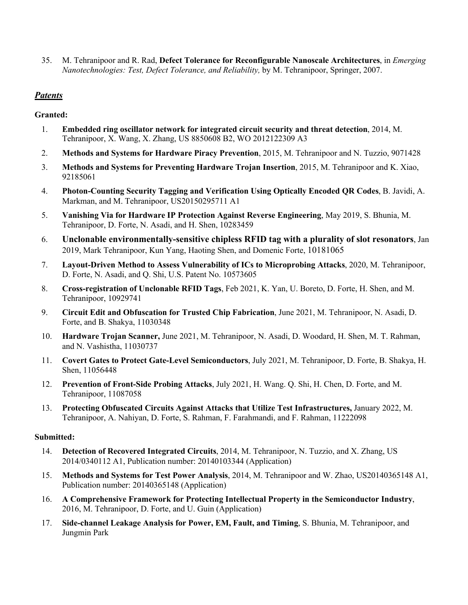35. M. Tehranipoor and R. Rad, **Defect Tolerance for Reconfigurable Nanoscale Architectures**, in *Emerging Nanotechnologies: Test, Defect Tolerance, and Reliability,* by M. Tehranipoor, Springer, 2007.

#### *Patents*

#### **Granted:**

- 1. **Embedded ring oscillator network for integrated circuit security and threat detection**, 2014, M. Tehranipoor, X. Wang, X. Zhang, US 8850608 B2, WO 2012122309 A3
- 2. **Methods and Systems for Hardware Piracy Prevention**, 2015, M. Tehranipoor and N. Tuzzio, 9071428
- 3. **Methods and Systems for Preventing Hardware Trojan Insertion**, 2015, M. Tehranipoor and K. Xiao, 92185061
- 4. **Photon-Counting Security Tagging and Verification Using Optically Encoded QR Codes**, B. Javidi, A. Markman, and M. Tehranipoor, US20150295711 A1
- 5. **Vanishing Via for Hardware IP Protection Against Reverse Engineering**, May 2019, S. Bhunia, M. Tehranipoor, D. Forte, N. Asadi, and H. Shen, 10283459
- 6. **Unclonable environmentally-sensitive chipless RFID tag with a plurality of slot resonators**, Jan 2019, Mark Tehranipoor, Kun Yang, Haoting Shen, and Domenic Forte, 10181065
- 7. **Layout-Driven Method to Assess Vulnerability of ICs to Microprobing Attacks**, 2020, M. Tehranipoor, D. Forte, N. Asadi, and Q. Shi, U.S. Patent No. 10573605
- 8. **Cross-registration of Unclonable RFID Tags**, Feb 2021, K. Yan, U. Boreto, D. Forte, H. Shen, and M. Tehranipoor, 10929741
- 9. **Circuit Edit and Obfuscation for Trusted Chip Fabrication**, June 2021, M. Tehranipoor, N. Asadi, D. Forte, and B. Shakya, 11030348
- 10. **Hardware Trojan Scanner,** June 2021, M. Tehranipoor, N. Asadi, D. Woodard, H. Shen, M. T. Rahman, and N. Vashistha, 11030737
- 11. **Covert Gates to Protect Gate-Level Semiconductors**, July 2021, M. Tehranipoor, D. Forte, B. Shakya, H. Shen, 11056448
- 12. **Prevention of Front-Side Probing Attacks**, July 2021, H. Wang. Q. Shi, H. Chen, D. Forte, and M. Tehranipoor, 11087058
- 13. **Protecting Obfuscated Circuits Against Attacks that Utilize Test Infrastructures,** January 2022, M. Tehranipoor, A. Nahiyan, D. Forte, S. Rahman, F. Farahmandi, and F. Rahman, 11222098

#### **Submitted:**

- 14. **Detection of Recovered Integrated Circuits**, 2014, M. Tehranipoor, N. Tuzzio, and X. Zhang, US 2014/0340112 A1, Publication number: 20140103344 (Application)
- 15. **Methods and Systems for Test Power Analysis**, 2014, M. Tehranipoor and W. Zhao, US20140365148 A1, Publication number: 20140365148 (Application)
- 16. **A Comprehensive Framework for Protecting Intellectual Property in the Semiconductor Industry**, 2016, M. Tehranipoor, D. Forte, and U. Guin (Application)
- 17. **Side-channel Leakage Analysis for Power, EM, Fault, and Timing**, S. Bhunia, M. Tehranipoor, and Jungmin Park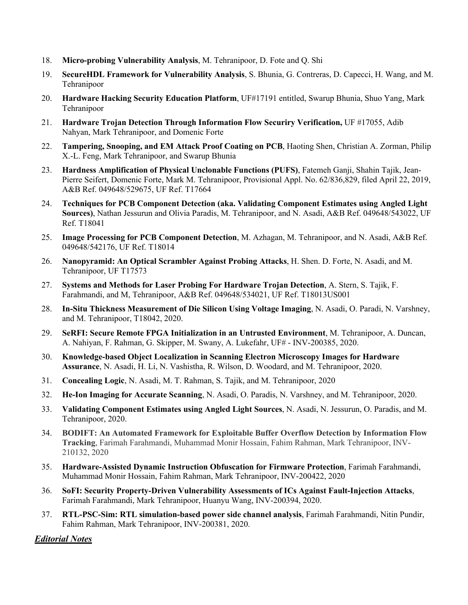- 18. **Micro-probing Vulnerability Analysis**, M. Tehranipoor, D. Fote and Q. Shi
- 19. **SecureHDL Framework for Vulnerability Analysis**, S. Bhunia, G. Contreras, D. Capecci, H. Wang, and M. Tehranipoor
- 20. **Hardware Hacking Security Education Platform**, UF#17191 entitled, Swarup Bhunia, Shuo Yang, Mark Tehranipoor
- 21. **Hardware Trojan Detection Through Information Flow Securiry Verification,** UF #17055, Adib Nahyan, Mark Tehranipoor, and Domenic Forte
- 22. **Tampering, Snooping, and EM Attack Proof Coating on PCB**, Haoting Shen, Christian A. Zorman, Philip X.-L. Feng, Mark Tehranipoor, and Swarup Bhunia
- 23. **Hardness Amplification of Physical Unclonable Functions (PUFS)**, Fatemeh Ganji, Shahin Tajik, Jean-Pierre Seifert, Domenic Forte, Mark M. Tehranipoor, Provisional Appl. No. 62/836,829, filed April 22, 2019, A&B Ref. 049648/529675, UF Ref. T17664
- 24. **Techniques for PCB Component Detection (aka. Validating Component Estimates using Angled Light Sources)**, Nathan Jessurun and Olivia Paradis, M. Tehranipoor, and N. Asadi, A&B Ref. 049648/543022, UF Ref. T18041
- 25. **Image Processing for PCB Component Detection**, M. Azhagan, M. Tehranipoor, and N. Asadi, A&B Ref. 049648/542176, UF Ref. T18014
- 26. **Nanopyramid: An Optical Scrambler Against Probing Attacks**, H. Shen. D. Forte, N. Asadi, and M. Tehranipoor, UF T17573
- 27. **Systems and Methods for Laser Probing For Hardware Trojan Detection**, A. Stern, S. Tajik, F. Farahmandi, and M, Tehranipoor, A&B Ref. 049648/534021, UF Ref. T18013US001
- 28. **In-Situ Thickness Measurement of Die Silicon Using Voltage Imaging**, N. Asadi, O. Paradi, N. Varshney, and M. Tehranipoor, T18042, 2020.
- 29. **SeRFI: Secure Remote FPGA Initialization in an Untrusted Environment**, M. Tehranipoor, A. Duncan, A. Nahiyan, F. Rahman, G. Skipper, M. Swany, A. Lukefahr, UF# - INV-200385, 2020.
- 30. **Knowledge-based Object Localization in Scanning Electron Microscopy Images for Hardware Assurance**, N. Asadi, H. Li, N. Vashistha, R. Wilson, D. Woodard, and M. Tehranipoor, 2020.
- 31. **Concealing Logic**, N. Asadi, M. T. Rahman, S. Tajik, and M. Tehranipoor, 2020
- 32. **He-Ion Imaging for Accurate Scanning**, N. Asadi, O. Paradis, N. Varshney, and M. Tehranipoor, 2020.
- 33. **Validating Component Estimates using Angled Light Sources**, N. Asadi, N. Jessurun, O. Paradis, and M. Tehranipoor, 2020.
- 34. **BODIFT: An Automated Framework for Exploitable Buffer Overflow Detection by Information Flow Tracking**, Farimah Farahmandi, Muhammad Monir Hossain, Fahim Rahman, Mark Tehranipoor, INV-210132, 2020
- 35. **Hardware-Assisted Dynamic Instruction Obfuscation for Firmware Protection**, Farimah Farahmandi, Muhammad Monir Hossain, Fahim Rahman, Mark Tehranipoor, INV-200422, 2020
- 36. **SoFI: Security Property-Driven Vulnerability Assessments of ICs Against Fault-Injection Attacks**, Farimah Farahmandi, Mark Tehranipoor, Huanyu Wang, INV-200394, 2020.
- 37. **RTL-PSC-Sim: RTL simulation-based power side channel analysis**, Farimah Farahmandi, Nitin Pundir, Fahim Rahman, Mark Tehranipoor, INV-200381, 2020.

*Editorial Notes*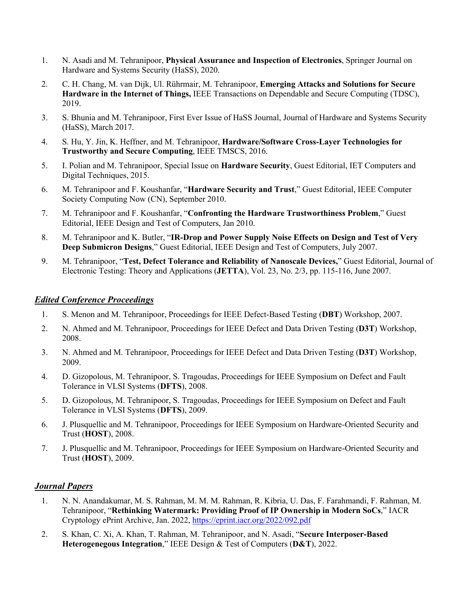- 1. N. Asadi and M. Tehranipoor, **Physical Assurance and Inspection of Electronics**, Springer Journal on Hardware and Systems Security (HaSS), 2020.
- 2. C. H. Chang, M. van Dijk, Ul. Rührmair, M. Tehranipoor, **Emerging Attacks and Solutions for Secure Hardware in the Internet of Things,** IEEE Transactions on Dependable and Secure Computing (TDSC), 2019.
- 3. S. Bhunia and M. Tehranipoor, First Ever Issue of HaSS Journal, Journal of Hardware and Systems Security (HaSS), March 2017.
- 4. S. Hu, Y. Jin, K. Heffner, and M. Tehranipoor, **Hardware/Software Cross-Layer Technologies for Trustworthy and Secure Computing**, IEEE TMSCS, 2016.
- 5. I. Polian and M. Tehranipoor, Special Issue on **Hardware Security**, Guest Editorial, IET Computers and Digital Techniques, 2015.
- 6. M. Tehranipoor and F. Koushanfar, "**Hardware Security and Trust**," Guest Editorial, IEEE Computer Society Computing Now (CN), September 2010.
- 7. M. Tehranipoor and F. Koushanfar, "**Confronting the Hardware Trustworthiness Problem**," Guest Editorial, IEEE Design and Test of Computers, Jan 2010.
- 8. M. Tehranipoor and K. Butler, "**IR-Drop and Power Supply Noise Effects on Design and Test of Very Deep Submicron Designs**," Guest Editorial, IEEE Design and Test of Computers, July 2007.
- 9. M. Tehranipoor, "**Test, Defect Tolerance and Reliability of Nanoscale Devices,**" Guest Editorial, Journal of Electronic Testing: Theory and Applications (**JETTA**), Vol. 23, No. 2/3, pp. 115-116, June 2007.

#### *Edited Conference Proceedings*

- 1. S. Menon and M. Tehranipoor, Proceedings for IEEE Defect-Based Testing (**DBT**) Workshop, 2007.
- 2. N. Ahmed and M. Tehranipoor, Proceedings for IEEE Defect and Data Driven Testing (**D3T**) Workshop, 2008.
- 3. N. Ahmed and M. Tehranipoor, Proceedings for IEEE Defect and Data Driven Testing (**D3T**) Workshop, 2009.
- 4. D. Gizopolous, M. Tehranipoor, S. Tragoudas, Proceedings for IEEE Symposium on Defect and Fault Tolerance in VLSI Systems (**DFTS**), 2008.
- 5. D. Gizopolous, M. Tehranipoor, S. Tragoudas, Proceedings for IEEE Symposium on Defect and Fault Tolerance in VLSI Systems (**DFTS**), 2009.
- 6. J. Plusquellic and M. Tehranipoor, Proceedings for IEEE Symposium on Hardware-Oriented Security and Trust (**HOST**), 2008.
- 7. J. Plusquellic and M. Tehranipoor, Proceedings for IEEE Symposium on Hardware-Oriented Security and Trust (**HOST**), 2009.

#### *Journal Papers*

- 1. N. N. Anandakumar, M. S. Rahman, M. M. M. Rahman, R. Kibria, U. Das, F. Farahmandi, F. Rahman, M. Tehranipoor, "**Rethinking Watermark: Providing Proof of IP Ownership in Modern SoCs**," IACR Cryptology ePrint Archive, Jan. 2022, https://eprint.iacr.org/2022/092.pdf
- 2. S. Khan, C. Xi, A. Khan, T. Rahman, M. Tehranipoor, and N. Asadi, "**Secure Interposer-Based Heterogenegous Integration**," IEEE Design & Test of Computers (**D&T**), 2022.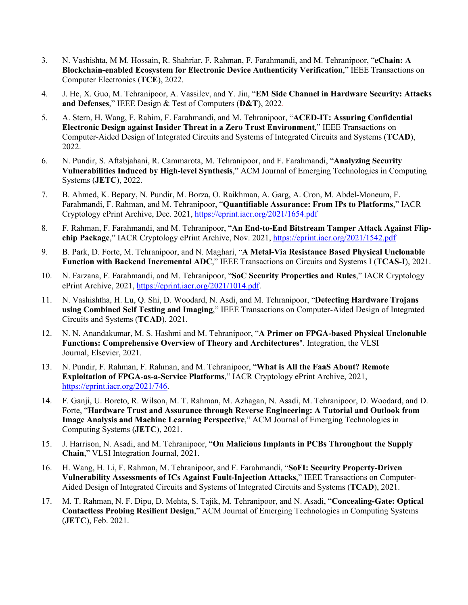- 3. N. Vashishta, M M. Hossain, R. Shahriar, F. Rahman, F. Farahmandi, and M. Tehranipoor, "**eChain: A Blockchain-enabled Ecosystem for Electronic Device Authenticity Verification**," IEEE Transactions on Computer Electronics (**TCE**), 2022.
- 4. J. He, X. Guo, M. Tehranipoor, A. Vassilev, and Y. Jin, "**EM Side Channel in Hardware Security: Attacks and Defenses**," IEEE Design & Test of Computers (**D&T**), 2022.
- 5. A. Stern, H. Wang, F. Rahim, F. Farahmandi, and M. Tehranipoor, "**ACED-IT: Assuring Confidential Electronic Design against Insider Threat in a Zero Trust Environment**," IEEE Transactions on Computer-Aided Design of Integrated Circuits and Systems of Integrated Circuits and Systems (**TCAD**), 2022.
- 6. N. Pundir, S. Aftabjahani, R. Cammarota, M. Tehranipoor, and F. Farahmandi, "**Analyzing Security Vulnerabilities Induced by High-level Synthesis**," ACM Journal of Emerging Technologies in Computing Systems (**JETC**), 2022.
- 7. B. Ahmed, K. Bepary, N. Pundir, M. Borza, O. Raikhman, A. Garg, A. Cron, M. Abdel-Moneum, F. Farahmandi, F. Rahman, and M. Tehranipoor, "**Quantifiable Assurance: From IPs to Platforms**," IACR Cryptology ePrint Archive, Dec. 2021, https://eprint.iacr.org/2021/1654.pdf
- 8. F. Rahman, F. Farahmandi, and M. Tehranipoor, "**An End-to-End Bitstream Tamper Attack Against Flipchip Package**," IACR Cryptology ePrint Archive, Nov. 2021, https://eprint.iacr.org/2021/1542.pdf
- 9. B. Park, D. Forte, M. Tehranipoor, and N. Maghari, "**A Metal-Via Resistance Based Physical Unclonable Function with Backend Incremental ADC**," IEEE Transactions on Circuits and Systems I (**TCAS-I**), 2021.
- 10. N. Farzana, F. Farahmandi, and M. Tehranipoor, "**SoC Security Properties and Rules**," IACR Cryptology ePrint Archive, 2021, https://eprint.iacr.org/2021/1014.pdf.
- 11. N. Vashishtha, H. Lu, Q. Shi, D. Woodard, N. Asdi, and M. Tehranipoor, "**Detecting Hardware Trojans using Combined Self Testing and Imaging**," IEEE Transactions on Computer-Aided Design of Integrated Circuits and Systems (**TCAD**), 2021.
- 12. N. N. Anandakumar, M. S. Hashmi and M. Tehranipoor, "**A Primer on FPGA-based Physical Unclonable Functions: Comprehensive Overview of Theory and Architectures**". Integration, the VLSI Journal, Elsevier, 2021.
- 13. N. Pundir, F. Rahman, F. Rahman, and M. Tehranipoor, "**What is All the FaaS About? Remote Exploitation of FPGA-as-a-Service Platforms**," IACR Cryptology ePrint Archive, 2021, https://eprint.iacr.org/2021/746.
- 14. F. Ganji, U. Boreto, R. Wilson, M. T. Rahman, M. Azhagan, N. Asadi, M. Tehranipoor, D. Woodard, and D. Forte, "**Hardware Trust and Assurance through Reverse Engineering: A Tutorial and Outlook from Image Analysis and Machine Learning Perspective**," ACM Journal of Emerging Technologies in Computing Systems (**JETC**), 2021.
- 15. J. Harrison, N. Asadi, and M. Tehranipoor, "**On Malicious Implants in PCBs Throughout the Supply Chain**," VLSI Integration Journal, 2021.
- 16. H. Wang, H. Li, F. Rahman, M. Tehranipoor, and F. Farahmandi, "**SoFI: Security Property-Driven Vulnerability Assessments of ICs Against Fault-Injection Attacks**," IEEE Transactions on Computer-Aided Design of Integrated Circuits and Systems of Integrated Circuits and Systems (**TCAD**), 2021.
- 17. M. T. Rahman, N. F. Dipu, D. Mehta, S. Tajik, M. Tehranipoor, and N. Asadi, "**Concealing-Gate: Optical Contactless Probing Resilient Design**," ACM Journal of Emerging Technologies in Computing Systems (**JETC**), Feb. 2021.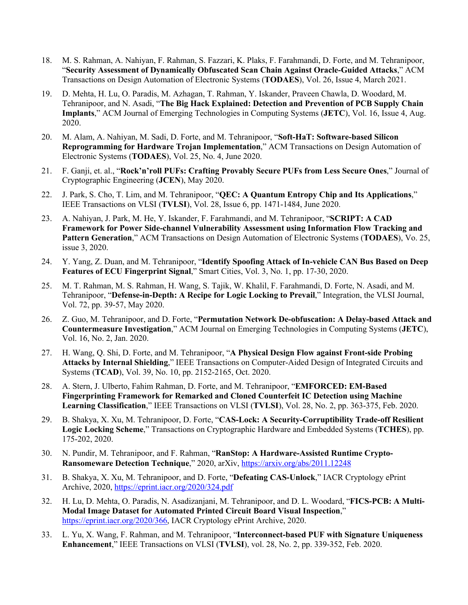- 18. M. S. Rahman, A. Nahiyan, F. Rahman, S. Fazzari, K. Plaks, F. Farahmandi, D. Forte, and M. Tehranipoor, "**Security Assessment of Dynamically Obfuscated Scan Chain Against Oracle-Guided Attacks**," ACM Transactions on Design Automation of Electronic Systems (**TODAES**), Vol. 26, Issue 4, March 2021.
- 19. D. Mehta, H. Lu, O. Paradis, M. Azhagan, T. Rahman, Y. Iskander, Praveen Chawla, D. Woodard, M. Tehranipoor, and N. Asadi, "**The Big Hack Explained: Detection and Prevention of PCB Supply Chain Implants**," ACM Journal of Emerging Technologies in Computing Systems (**JETC**), Vol. 16, Issue 4, Aug. 2020.
- 20. M. Alam, A. Nahiyan, M. Sadi, D. Forte, and M. Tehranipoor, "**Soft-HaT: Software-based Silicon Reprogramming for Hardware Trojan Implementation**," ACM Transactions on Design Automation of Electronic Systems (**TODAES**), Vol. 25, No. 4, June 2020.
- 21. F. Ganji, et. al., "**Rock'n'roll PUFs: Crafting Provably Secure PUFs from Less Secure Ones**," Journal of Cryptographic Engineering (**JCEN**), May 2020.
- 22. J. Park, S. Cho, T. Lim, and M. Tehranipoor, "**QEC: A Quantum Entropy Chip and Its Applications**," IEEE Transactions on VLSI (**TVLSI**), Vol. 28, Issue 6, pp. 1471-1484, June 2020.
- 23. A. Nahiyan, J. Park, M. He, Y. Iskander, F. Farahmandi, and M. Tehranipoor, "**SCRIPT: A CAD Framework for Power Side-channel Vulnerability Assessment using Information Flow Tracking and Pattern Generation**," ACM Transactions on Design Automation of Electronic Systems (**TODAES**), Vo. 25, issue 3, 2020.
- 24. Y. Yang, Z. Duan, and M. Tehranipoor, "**Identify Spoofing Attack of In-vehicle CAN Bus Based on Deep Features of ECU Fingerprint Signal**," Smart Cities, Vol. 3, No. 1, pp. 17-30, 2020.
- 25. M. T. Rahman, M. S. Rahman, H. Wang, S. Tajik, W. Khalil, F. Farahmandi, D. Forte, N. Asadi, and M. Tehranipoor, "**Defense-in-Depth: A Recipe for Logic Locking to Prevail**," Integration, the VLSI Journal, Vol. 72, pp. 39-57, May 2020.
- 26. Z. Guo, M. Tehranipoor, and D. Forte, "**Permutation Network De-obfuscation: A Delay-based Attack and Countermeasure Investigation**," ACM Journal on Emerging Technologies in Computing Systems (**JETC**), Vol. 16, No. 2, Jan. 2020.
- 27. H. Wang, Q. Shi, D. Forte, and M. Tehranipoor, "**A Physical Design Flow against Front-side Probing Attacks by Internal Shielding**," IEEE Transactions on Computer-Aided Design of Integrated Circuits and Systems (**TCAD**), Vol. 39, No. 10, pp. 2152-2165, Oct. 2020.
- 28. A. Stern, J. Ulberto, Fahim Rahman, D. Forte, and M. Tehranipoor, "**EMFORCED: EM-Based Fingerprinting Framework for Remarked and Cloned Counterfeit IC Detection using Machine Learning Classification**," IEEE Transactions on VLSI (**TVLSI**), Vol. 28, No. 2, pp. 363-375, Feb. 2020.
- 29. B. Shakya, X. Xu, M. Tehranipoor, D. Forte, "**CAS-Lock: A Security-Corruptibility Trade-off Resilient Logic Locking Scheme**," Transactions on Cryptographic Hardware and Embedded Systems (**TCHES**), pp. 175-202, 2020.
- 30. N. Pundir, M. Tehranipoor, and F. Rahman, "**RanStop: A Hardware-Assisted Runtime Crypto-Ransomeware Detection Technique**," 2020, arXiv, https://arxiv.org/abs/2011.12248
- 31. B. Shakya, X. Xu, M. Tehranipoor, and D. Forte, "**Defeating CAS-Unlock**," IACR Cryptology ePrint Archive, 2020, https://eprint.iacr.org/2020/324.pdf
- 32. H. Lu, D. Mehta, O. Paradis, N. Asadizanjani, M. Tehranipoor, and D. L. Woodard, "**FICS-PCB: A Multi-Modal Image Dataset for Automated Printed Circuit Board Visual Inspection**," https://eprint.iacr.org/2020/366, IACR Cryptology ePrint Archive, 2020.
- 33. L. Yu, X. Wang, F. Rahman, and M. Tehranipoor, "**Interconnect-based PUF with Signature Uniqueness Enhancement**," IEEE Transactions on VLSI (**TVLSI**), vol. 28, No. 2, pp. 339-352, Feb. 2020.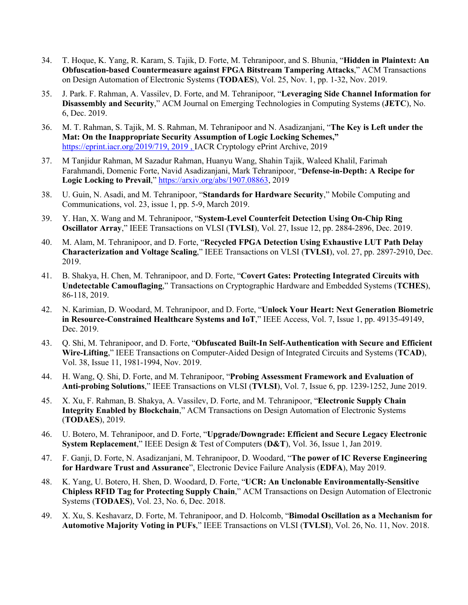- 34. T. Hoque, K. Yang, R. Karam, S. Tajik, D. Forte, M. Tehranipoor, and S. Bhunia, "**Hidden in Plaintext: An Obfuscation-based Countermeasure against FPGA Bitstream Tampering Attacks**," ACM Transactions on Design Automation of Electronic Systems (**TODAES**), Vol. 25, Nov. 1, pp. 1-32, Nov. 2019.
- 35. J. Park. F. Rahman, A. Vassilev, D. Forte, and M. Tehranipoor, "**Leveraging Side Channel Information for Disassembly and Security**," ACM Journal on Emerging Technologies in Computing Systems (**JETC**), No. 6, Dec. 2019.
- 36. M. T. Rahman, S. Tajik, M. S. Rahman, M. Tehranipoor and N. Asadizanjani, "**The Key is Left under the Mat: On the Inappropriate Security Assumption of Logic Locking Schemes,"**  https://eprint.iacr.org/2019/719, 2019 , IACR Cryptology ePrint Archive, 2019
- 37. M Tanjidur Rahman, M Sazadur Rahman, Huanyu Wang, Shahin Tajik, Waleed Khalil, Farimah Farahmandi, Domenic Forte, Navid Asadizanjani, Mark Tehranipoor, "**Defense-in-Depth: A Recipe for Logic Locking to Prevail**," https://arxiv.org/abs/1907.08863, 2019
- 38. U. Guin, N. Asadi, and M. Tehranipoor, "**Standards for Hardware Security**," Mobile Computing and Communications, vol. 23, issue 1, pp. 5-9, March 2019.
- 39. Y. Han, X. Wang and M. Tehranipoor, "**System-Level Counterfeit Detection Using On-Chip Ring Oscillator Array**," IEEE Transactions on VLSI (**TVLSI**), Vol. 27, Issue 12, pp. 2884-2896, Dec. 2019.
- 40. M. Alam, M. Tehranipoor, and D. Forte, "**Recycled FPGA Detection Using Exhaustive LUT Path Delay Characterization and Voltage Scaling**," IEEE Transactions on VLSI (**TVLSI**), vol. 27, pp. 2897-2910, Dec. 2019.
- 41. B. Shakya, H. Chen, M. Tehranipoor, and D. Forte, "**Covert Gates: Protecting Integrated Circuits with Undetectable Camouflaging**," Transactions on Cryptographic Hardware and Embedded Systems (**TCHES**), 86-118, 2019.
- 42. N. Karimian, D. Woodard, M. Tehranipoor, and D. Forte, "**Unlock Your Heart: Next Generation Biometric in Resource-Constrained Healthcare Systems and IoT**," IEEE Access, Vol. 7, Issue 1, pp. 49135-49149, Dec. 2019.
- 43. Q. Shi, M. Tehranipoor, and D. Forte, "**Obfuscated Built-In Self-Authentication with Secure and Efficient Wire-Lifting**," IEEE Transactions on Computer-Aided Design of Integrated Circuits and Systems (**TCAD**), Vol. 38, Issue 11, 1981-1994, Nov. 2019.
- 44. H. Wang, Q. Shi, D. Forte, and M. Tehranipoor, "**Probing Assessment Framework and Evaluation of Anti-probing Solutions**," IEEE Transactions on VLSI (**TVLSI**), Vol. 7, Issue 6, pp. 1239-1252, June 2019.
- 45. X. Xu, F. Rahman, B. Shakya, A. Vassilev, D. Forte, and M. Tehranipoor, "**Electronic Supply Chain Integrity Enabled by Blockchain**," ACM Transactions on Design Automation of Electronic Systems (**TODAES**), 2019.
- 46. U. Botero, M. Tehranipoor, and D. Forte, "**Upgrade/Downgrade: Efficient and Secure Legacy Electronic System Replacement**," IEEE Design & Test of Computers (**D&T**), Vol. 36, Issue 1, Jan 2019.
- 47. F. Ganji, D. Forte, N. Asadizanjani, M. Tehranipoor, D. Woodard, "**The power of IC Reverse Engineering for Hardware Trust and Assurance**", Electronic Device Failure Analysis (**EDFA**), May 2019.
- 48. K. Yang, U. Botero, H. Shen, D. Woodard, D. Forte, "**UCR: An Unclonable Environmentally-Sensitive Chipless RFID Tag for Protecting Supply Chain**," ACM Transactions on Design Automation of Electronic Systems (**TODAES**), Vol. 23, No. 6, Dec. 2018.
- 49. X. Xu, S. Keshavarz, D. Forte, M. Tehranipoor, and D. Holcomb, "**Bimodal Oscillation as a Mechanism for Automotive Majority Voting in PUFs**," IEEE Transactions on VLSI (**TVLSI**), Vol. 26, No. 11, Nov. 2018.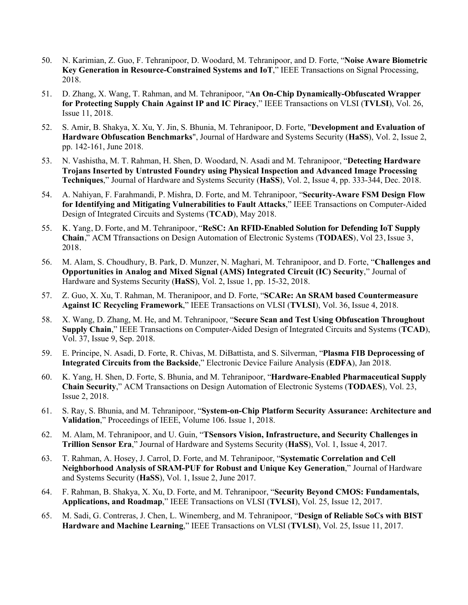- 50. N. Karimian, Z. Guo, F. Tehranipoor, D. Woodard, M. Tehranipoor, and D. Forte, "**Noise Aware Biometric Key Generation in Resource-Constrained Systems and IoT**," IEEE Transactions on Signal Processing, 2018.
- 51. D. Zhang, X. Wang, T. Rahman, and M. Tehranipoor, "**An On-Chip Dynamically-Obfuscated Wrapper for Protecting Supply Chain Against IP and IC Piracy**," IEEE Transactions on VLSI (**TVLSI**), Vol. 26, Issue 11, 2018.
- 52. S. Amir, B. Shakya, X. Xu, Y. Jin, S. Bhunia, M. Tehranipoor, D. Forte, "**Development and Evaluation of Hardware Obfuscation Benchmarks**", Journal of Hardware and Systems Security (**HaSS**), Vol. 2, Issue 2, pp. 142-161, June 2018.
- 53. N. Vashistha, M. T. Rahman, H. Shen, D. Woodard, N. Asadi and M. Tehranipoor, "**Detecting Hardware Trojans Inserted by Untrusted Foundry using Physical Inspection and Advanced Image Processing Techniques**," Journal of Hardware and Systems Security (**HaSS**), Vol. 2, Issue 4, pp. 333-344, Dec. 2018.
- 54. A. Nahiyan, F. Farahmandi, P. Mishra, D. Forte, and M. Tehranipoor, "**Security-Aware FSM Design Flow for Identifying and Mitigating Vulnerabilities to Fault Attacks**," IEEE Transactions on Computer-Aided Design of Integrated Circuits and Systems (**TCAD**), May 2018.
- 55. K. Yang, D. Forte, and M. Tehranipoor, "**ReSC: An RFID-Enabled Solution for Defending IoT Supply Chain**," ACM Tfransactions on Design Automation of Electronic Systems (**TODAES**), Vol 23, Issue 3, 2018.
- 56. M. Alam, S. Choudhury, B. Park, D. Munzer, N. Maghari, M. Tehranipoor, and D. Forte, "**Challenges and Opportunities in Analog and Mixed Signal (AMS) Integrated Circuit (IC) Security**," Journal of Hardware and Systems Security (**HaSS**), Vol. 2, Issue 1, pp. 15-32, 2018.
- 57. Z. Guo, X. Xu, T. Rahman, M. Theranipoor, and D. Forte, "**SCARe: An SRAM based Countermeasure Against IC Recycling Framework**," IEEE Transactions on VLSI (**TVLSI**), Vol. 36, Issue 4, 2018.
- 58. X. Wang, D. Zhang, M. He, and M. Tehranipoor, "**Secure Scan and Test Using Obfuscation Throughout Supply Chain**," IEEE Transactions on Computer-Aided Design of Integrated Circuits and Systems (**TCAD**), Vol. 37, Issue 9, Sep. 2018.
- 59. E. Principe, N. Asadi, D. Forte, R. Chivas, M. DiBattista, and S. Silverman, "**Plasma FIB Deprocessing of Integrated Circuits from the Backside**," Electronic Device Failure Analysis (**EDFA**), Jan 2018.
- 60. K. Yang, H. Shen, D. Forte, S. Bhunia, and M. Tehranipoor, "**Hardware-Enabled Pharmaceutical Supply Chain Security**," ACM Transactions on Design Automation of Electronic Systems (**TODAES**), Vol. 23, Issue 2, 2018.
- 61. S. Ray, S. Bhunia, and M. Tehranipoor, "**System-on-Chip Platform Security Assurance: Architecture and Validation**," Proceedings of IEEE, Volume 106. Issue 1, 2018.
- 62. M. Alam, M. Tehranipoor, and U. Guin, "**TSensors Vision, Infrastructure, and Security Challenges in Trillion Sensor Era**," Journal of Hardware and Systems Security (**HaSS**), Vol. 1, Issue 4, 2017.
- 63. T. Rahman, A. Hosey, J. Carrol, D. Forte, and M. Tehranipoor, "**Systematic Correlation and Cell Neighborhood Analysis of SRAM-PUF for Robust and Unique Key Generation**," Journal of Hardware and Systems Security (**HaSS**), Vol. 1, Issue 2, June 2017.
- 64. F. Rahman, B. Shakya, X. Xu, D. Forte, and M. Tehranipoor, "**Security Beyond CMOS: Fundamentals, Applications, and Roadmap**," IEEE Transactions on VLSI (**TVLSI**), Vol. 25, Issue 12, 2017.
- 65. M. Sadi, G. Contreras, J. Chen, L. Winemberg, and M. Tehranipoor, "**Design of Reliable SoCs with BIST Hardware and Machine Learning**," IEEE Transactions on VLSI (**TVLSI**), Vol. 25, Issue 11, 2017.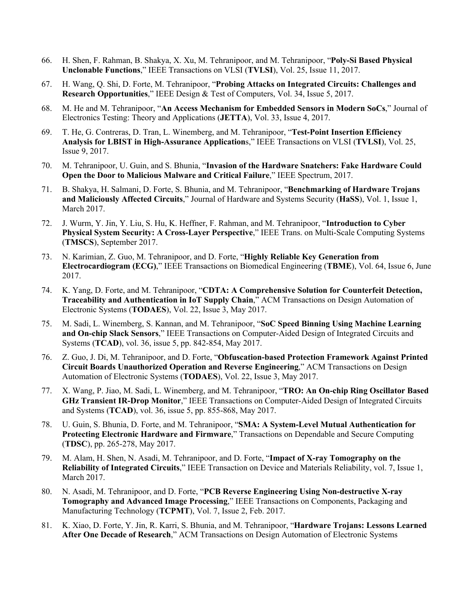- 66. H. Shen, F. Rahman, B. Shakya, X. Xu, M. Tehranipoor, and M. Tehranipoor, "**Poly-Si Based Physical Unclonable Functions**," IEEE Transactions on VLSI (**TVLSI**), Vol. 25, Issue 11, 2017.
- 67. H. Wang, Q. Shi, D. Forte, M. Tehranipoor, "**Probing Attacks on Integrated Circuits: Challenges and Research Opportunities**," IEEE Design & Test of Computers, Vol. 34, Issue 5, 2017.
- 68. M. He and M. Tehranipoor, "**An Access Mechanism for Embedded Sensors in Modern SoCs**," Journal of Electronics Testing: Theory and Applications (**JETTA**), Vol. 33, Issue 4, 2017.
- 69. T. He, G. Contreras, D. Tran, L. Winemberg, and M. Tehranipoor, "**Test-Point Insertion Efficiency Analysis for LBIST in High-Assurance Application**s," IEEE Transactions on VLSI (**TVLSI**), Vol. 25, Issue 9, 2017.
- 70. M. Tehranipoor, U. Guin, and S. Bhunia, "**Invasion of the Hardware Snatchers: Fake Hardware Could Open the Door to Malicious Malware and Critical Failure**," IEEE Spectrum, 2017.
- 71. B. Shakya, H. Salmani, D. Forte, S. Bhunia, and M. Tehranipoor, "**Benchmarking of Hardware Trojans and Maliciously Affected Circuits**," Journal of Hardware and Systems Security (**HaSS**), Vol. 1, Issue 1, March 2017.
- 72. J. Wurm, Y. Jin, Y. Liu, S. Hu, K. Heffner, F. Rahman, and M. Tehranipoor, "**Introduction to Cyber Physical System Security: A Cross-Layer Perspective**," IEEE Trans. on Multi-Scale Computing Systems (**TMSCS**), September 2017.
- 73. N. Karimian, Z. Guo, M. Tehranipoor, and D. Forte, "**Highly Reliable Key Generation from Electrocardiogram (ECG)**," IEEE Transactions on Biomedical Engineering (**TBME**), Vol. 64, Issue 6, June 2017.
- 74. K. Yang, D. Forte, and M. Tehranipoor, "**CDTA: A Comprehensive Solution for Counterfeit Detection, Traceability and Authentication in IoT Supply Chain**," ACM Transactions on Design Automation of Electronic Systems (**TODAES**), Vol. 22, Issue 3, May 2017.
- 75. M. Sadi, L. Winemberg, S. Kannan, and M. Tehranipoor, "**SoC Speed Binning Using Machine Learning and On-chip Slack Sensors**," IEEE Transactions on Computer-Aided Design of Integrated Circuits and Systems (**TCAD**), vol. 36, issue 5, pp. 842-854, May 2017.
- 76. Z. Guo, J. Di, M. Tehranipoor, and D. Forte, "**Obfuscation-based Protection Framework Against Printed Circuit Boards Unauthorized Operation and Reverse Engineering**," ACM Transactions on Design Automation of Electronic Systems (**TODAES**), Vol. 22, Issue 3, May 2017.
- 77. X. Wang, P. Jiao, M. Sadi, L. Winemberg, and M. Tehranipoor, "**TRO: An On-chip Ring Oscillator Based GHz Transient IR-Drop Monitor**," IEEE Transactions on Computer-Aided Design of Integrated Circuits and Systems (**TCAD**), vol. 36, issue 5, pp. 855-868, May 2017.
- 78. U. Guin, S. Bhunia, D. Forte, and M. Tehranipoor, "**SMA: A System-Level Mutual Authentication for Protecting Electronic Hardware and Firmware**," Transactions on Dependable and Secure Computing (**TDSC**), pp. 265-278, May 2017.
- 79. M. Alam, H. Shen, N. Asadi, M. Tehranipoor, and D. Forte, "**Impact of X-ray Tomography on the Reliability of Integrated Circuits**," IEEE Transaction on Device and Materials Reliability, vol. 7, Issue 1, March 2017.
- 80. N. Asadi, M. Tehranipoor, and D. Forte, "**PCB Reverse Engineering Using Non-destructive X-ray Tomography and Advanced Image Processing**," IEEE Transactions on Components, Packaging and Manufacturing Technology (**TCPMT**), Vol. 7, Issue 2, Feb. 2017.
- 81. K. Xiao, D. Forte, Y. Jin, R. Karri, S. Bhunia, and M. Tehranipoor, "**Hardware Trojans: Lessons Learned After One Decade of Research**," ACM Transactions on Design Automation of Electronic Systems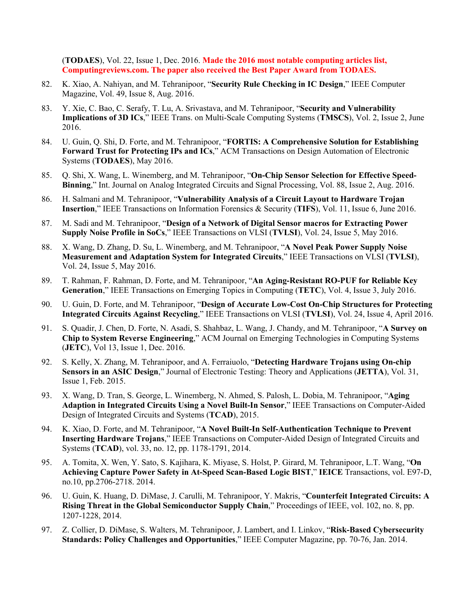(**TODAES**), Vol. 22, Issue 1, Dec. 2016. **Made the 2016 most notable computing articles list, Computingreviews.com. The paper also received the Best Paper Award from TODAES.** 

- 82. K. Xiao, A. Nahiyan, and M. Tehranipoor, "**Security Rule Checking in IC Design**," IEEE Computer Magazine, Vol. 49, Issue 8, Aug. 2016.
- 83. Y. Xie, C. Bao, C. Serafy, T. Lu, A. Srivastava, and M. Tehranipoor, "**Security and Vulnerability Implications of 3D ICs**," IEEE Trans. on Multi-Scale Computing Systems (**TMSCS**), Vol. 2, Issue 2, June 2016.
- 84. U. Guin, Q. Shi, D. Forte, and M. Tehranipoor, "**FORTIS: A Comprehensive Solution for Establishing Forward Trust for Protecting IPs and ICs**," ACM Transactions on Design Automation of Electronic Systems (**TODAES**), May 2016.
- 85. Q. Shi, X. Wang, L. Winemberg, and M. Tehranipoor, "**On-Chip Sensor Selection for Effective Speed-Binning**," Int. Journal on Analog Integrated Circuits and Signal Processing, Vol. 88, Issue 2, Aug. 2016.
- 86. H. Salmani and M. Tehranipoor, "**Vulnerability Analysis of a Circuit Layout to Hardware Trojan Insertion**," IEEE Transactions on Information Forensics & Security (**TIFS**), Vol. 11, Issue 6, June 2016.
- 87. M. Sadi and M. Tehranipoor, "**Design of a Network of Digital Sensor macros for Extracting Power Supply Noise Profile in SoCs**," IEEE Transactions on VLSI (**TVLSI**), Vol. 24, Issue 5, May 2016.
- 88. X. Wang, D. Zhang, D. Su, L. Winemberg, and M. Tehranipoor, "**A Novel Peak Power Supply Noise Measurement and Adaptation System for Integrated Circuits**," IEEE Transactions on VLSI (**TVLSI**), Vol. 24, Issue 5, May 2016.
- 89. T. Rahman, F. Rahman, D. Forte, and M. Tehranipoor, "**An Aging-Resistant RO-PUF for Reliable Key Generation**," IEEE Transactions on Emerging Topics in Computing (**TETC**), Vol. 4, Issue 3, July 2016.
- 90. U. Guin, D. Forte, and M. Tehranipoor, "**Design of Accurate Low-Cost On-Chip Structures for Protecting Integrated Circuits Against Recycling**," IEEE Transactions on VLSI (**TVLSI**), Vol. 24, Issue 4, April 2016.
- 91. S. Quadir, J. Chen, D. Forte, N. Asadi, S. Shahbaz, L. Wang, J. Chandy, and M. Tehranipoor, "**A Survey on Chip to System Reverse Engineering**," ACM Journal on Emerging Technologies in Computing Systems (**JETC**), Vol 13, Issue 1, Dec. 2016.
- 92. S. Kelly, X. Zhang, M. Tehranipoor, and A. Ferraiuolo, "**Detecting Hardware Trojans using On-chip Sensors in an ASIC Design**," Journal of Electronic Testing: Theory and Applications (**JETTA**), Vol. 31, Issue 1, Feb. 2015.
- 93. X. Wang, D. Tran, S. George, L. Winemberg, N. Ahmed, S. Palosh, L. Dobia, M. Tehranipoor, "**Aging Adaption in Integrated Circuits Using a Novel Built-In Sensor**," IEEE Transactions on Computer-Aided Design of Integrated Circuits and Systems (**TCAD**), 2015.
- 94. K. Xiao, D. Forte, and M. Tehranipoor, "**A Novel Built-In Self-Authentication Technique to Prevent Inserting Hardware Trojans**," IEEE Transactions on Computer-Aided Design of Integrated Circuits and Systems (**TCAD**), vol. 33, no. 12, pp. 1178-1791, 2014.
- 95. A. Tomita, X. Wen, Y. Sato, S. Kajihara, K. Miyase, S. Holst, P. Girard, M. Tehranipoor, L.T. Wang, "**On Achieving Capture Power Safety in At-Speed Scan-Based Logic BIST**," **IEICE** Transactions, vol. E97-D, no.10, pp.2706-2718. 2014.
- 96. U. Guin, K. Huang, D. DiMase, J. Carulli, M. Tehranipoor, Y. Makris, "**Counterfeit Integrated Circuits: A Rising Threat in the Global Semiconductor Supply Chain**," Proceedings of IEEE, vol. 102, no. 8, pp. 1207-1228, 2014.
- 97. Z. Collier, D. DiMase, S. Walters, M. Tehranipoor, J. Lambert, and I. Linkov, "**Risk-Based Cybersecurity Standards: Policy Challenges and Opportunities**," IEEE Computer Magazine, pp. 70-76, Jan. 2014.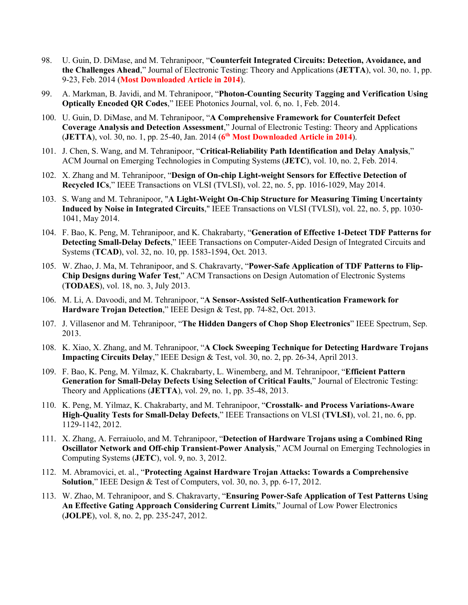- 98. U. Guin, D. DiMase, and M. Tehranipoor, "**Counterfeit Integrated Circuits: Detection, Avoidance, and the Challenges Ahead**," Journal of Electronic Testing: Theory and Applications (**JETTA**), vol. 30, no. 1, pp. 9-23, Feb. 2014 (**Most Downloaded Article in 2014**).
- 99. A. Markman, B. Javidi, and M. Tehranipoor, "**Photon-Counting Security Tagging and Verification Using Optically Encoded QR Codes**," IEEE Photonics Journal, vol. 6, no. 1, Feb. 2014.
- 100. U. Guin, D. DiMase, and M. Tehranipoor, "**A Comprehensive Framework for Counterfeit Defect Coverage Analysis and Detection Assessment**," Journal of Electronic Testing: Theory and Applications (**JETTA**), vol. 30, no. 1, pp. 25-40, Jan. 2014 (**6th Most Downloaded Article in 2014**).
- 101. J. Chen, S. Wang, and M. Tehranipoor, "**Critical-Reliability Path Identification and Delay Analysis**," ACM Journal on Emerging Technologies in Computing Systems (**JETC**), vol. 10, no. 2, Feb. 2014.
- 102. X. Zhang and M. Tehranipoor, "**Design of On-chip Light-weight Sensors for Effective Detection of Recycled ICs**," IEEE Transactions on VLSI (TVLSI), vol. 22, no. 5, pp. 1016-1029, May 2014.
- 103. S. Wang and M. Tehranipoor, "**A Light-Weight On-Chip Structure for Measuring Timing Uncertainty Induced by Noise in Integrated Circuits**," IEEE Transactions on VLSI (TVLSI), vol. 22, no. 5, pp. 1030- 1041, May 2014.
- 104. F. Bao, K. Peng, M. Tehranipoor, and K. Chakrabarty, "**Generation of Effective 1-Detect TDF Patterns for Detecting Small-Delay Defects**," IEEE Transactions on Computer-Aided Design of Integrated Circuits and Systems (**TCAD**), vol. 32, no. 10, pp. 1583-1594, Oct. 2013.
- 105. W. Zhao, J. Ma, M. Tehranipoor, and S. Chakravarty, "**Power-Safe Application of TDF Patterns to Flip-Chip Designs during Wafer Test**," ACM Transactions on Design Automation of Electronic Systems (**TODAES**), vol. 18, no. 3, July 2013.
- 106. M. Li, A. Davoodi, and M. Tehranipoor, "**A Sensor-Assisted Self-Authentication Framework for Hardware Trojan Detection**," IEEE Design & Test, pp. 74-82, Oct. 2013.
- 107. J. Villasenor and M. Tehranipoor, "**The Hidden Dangers of Chop Shop Electronics**" IEEE Spectrum, Sep. 2013.
- 108. K. Xiao, X. Zhang, and M. Tehranipoor, "**A Clock Sweeping Technique for Detecting Hardware Trojans Impacting Circuits Delay**," IEEE Design & Test, vol. 30, no. 2, pp. 26-34, April 2013.
- 109. F. Bao, K. Peng, M. Yilmaz, K. Chakrabarty, L. Winemberg, and M. Tehranipoor, "**Efficient Pattern Generation for Small-Delay Defects Using Selection of Critical Faults**," Journal of Electronic Testing: Theory and Applications (**JETTA**), vol. 29, no. 1, pp. 35-48, 2013.
- 110. K. Peng, M. Yilmaz, K. Chakrabarty, and M. Tehranipoor, "**Crosstalk- and Process Variations-Aware High-Quality Tests for Small-Delay Defects**," IEEE Transactions on VLSI (**TVLSI**), vol. 21, no. 6, pp. 1129-1142, 2012.
- 111. X. Zhang, A. Ferraiuolo, and M. Tehranipoor, "**Detection of Hardware Trojans using a Combined Ring Oscillator Network and Off-chip Transient-Power Analysis**," ACM Journal on Emerging Technologies in Computing Systems (**JETC**), vol. 9, no. 3, 2012.
- 112. M. Abramovici, et. al., "**Protecting Against Hardware Trojan Attacks: Towards a Comprehensive Solution**," IEEE Design & Test of Computers, vol. 30, no. 3, pp. 6-17, 2012.
- 113. W. Zhao, M. Tehranipoor, and S. Chakravarty, "**Ensuring Power-Safe Application of Test Patterns Using An Effective Gating Approach Considering Current Limits**," Journal of Low Power Electronics (**JOLPE**), vol. 8, no. 2, pp. 235-247, 2012.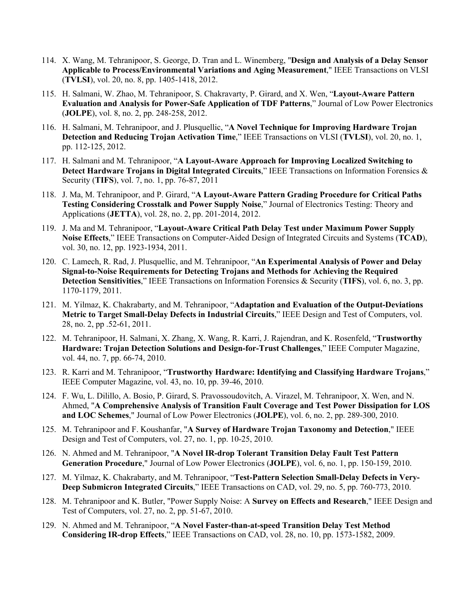- 114. X. Wang, M. Tehranipoor, S. George, D. Tran and L. Winemberg, "**Design and Analysis of a Delay Sensor Applicable to Process/Environmental Variations and Aging Measurement**," IEEE Transactions on VLSI (**TVLSI**), vol. 20, no. 8, pp. 1405-1418, 2012.
- 115. H. Salmani, W. Zhao, M. Tehranipoor, S. Chakravarty, P. Girard, and X. Wen, "**Layout-Aware Pattern Evaluation and Analysis for Power-Safe Application of TDF Patterns**," Journal of Low Power Electronics (**JOLPE**), vol. 8, no. 2, pp. 248-258, 2012.
- 116. H. Salmani, M. Tehranipoor, and J. Plusquellic, "**A Novel Technique for Improving Hardware Trojan Detection and Reducing Trojan Activation Time**," IEEE Transactions on VLSI (**TVLSI**), vol. 20, no. 1, pp. 112-125, 2012.
- 117. H. Salmani and M. Tehranipoor, "**A Layout-Aware Approach for Improving Localized Switching to Detect Hardware Trojans in Digital Integrated Circuits**," IEEE Transactions on Information Forensics & Security (**TIFS**), vol. 7, no. 1, pp. 76-87, 2011
- 118. J. Ma, M. Tehranipoor, and P. Girard, "**A Layout-Aware Pattern Grading Procedure for Critical Paths Testing Considering Crosstalk and Power Supply Noise**," Journal of Electronics Testing: Theory and Applications (**JETTA**), vol. 28, no. 2, pp. 201-2014, 2012.
- 119. J. Ma and M. Tehranipoor, "**Layout-Aware Critical Path Delay Test under Maximum Power Supply Noise Effects**," IEEE Transactions on Computer-Aided Design of Integrated Circuits and Systems (**TCAD**), vol. 30, no. 12, pp. 1923-1934, 2011.
- 120. C. Lamech, R. Rad, J. Plusquellic, and M. Tehranipoor, "**An Experimental Analysis of Power and Delay Signal-to-Noise Requirements for Detecting Trojans and Methods for Achieving the Required Detection Sensitivities**," IEEE Transactions on Information Forensics & Security (**TIFS**), vol. 6, no. 3, pp. 1170-1179, 2011.
- 121. M. Yilmaz, K. Chakrabarty, and M. Tehranipoor, "**Adaptation and Evaluation of the Output-Deviations Metric to Target Small-Delay Defects in Industrial Circuits**," IEEE Design and Test of Computers, vol. 28, no. 2, pp .52-61, 2011.
- 122. M. Tehranipoor, H. Salmani, X. Zhang, X. Wang, R. Karri, J. Rajendran, and K. Rosenfeld, "**Trustworthy Hardware: Trojan Detection Solutions and Design-for-Trust Challenges**," IEEE Computer Magazine, vol. 44, no. 7, pp. 66-74, 2010.
- 123. R. Karri and M. Tehranipoor, "**Trustworthy Hardware: Identifying and Classifying Hardware Trojans**," IEEE Computer Magazine, vol. 43, no. 10, pp. 39-46, 2010.
- 124. F. Wu, L. Dilillo, A. Bosio, P. Girard, S. Pravossoudovitch, A. Virazel, M. Tehranipoor, X. Wen, and N. Ahmed, "**A Comprehensive Analysis of Transition Fault Coverage and Test Power Dissipation for LOS and LOC Schemes**," Journal of Low Power Electronics (**JOLPE**), vol. 6, no. 2, pp. 289-300, 2010.
- 125. M. Tehranipoor and F. Koushanfar, "**A Survey of Hardware Trojan Taxonomy and Detection**," IEEE Design and Test of Computers, vol. 27, no. 1, pp. 10-25, 2010.
- 126. N. Ahmed and M. Tehranipoor, "**A Novel IR-drop Tolerant Transition Delay Fault Test Pattern Generation Procedure**," Journal of Low Power Electronics (**JOLPE**), vol. 6, no. 1, pp. 150-159, 2010.
- 127. M. Yilmaz, K. Chakrabarty, and M. Tehranipoor, "**Test-Pattern Selection Small-Delay Defects in Very-Deep Submicron Integrated Circuits**," IEEE Transactions on CAD, vol. 29, no. 5, pp. 760-773, 2010.
- 128. M. Tehranipoor and K. Butler, "Power Supply Noise: A **Survey on Effects and Research**," IEEE Design and Test of Computers, vol. 27, no. 2, pp. 51-67, 2010.
- 129. N. Ahmed and M. Tehranipoor, "**A Novel Faster-than-at-speed Transition Delay Test Method Considering IR-drop Effects**," IEEE Transactions on CAD, vol. 28, no. 10, pp. 1573-1582, 2009.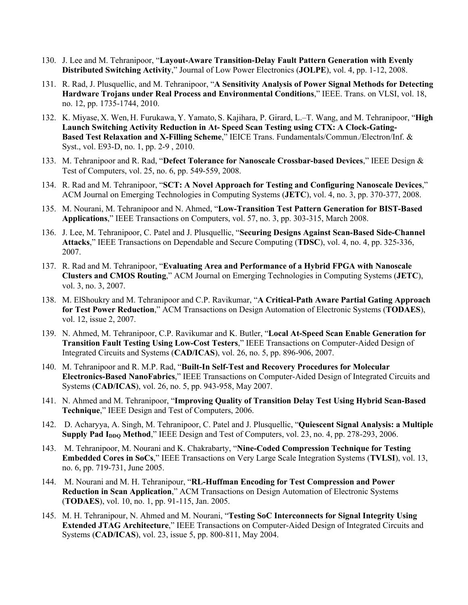- 130. J. Lee and M. Tehranipoor, "**Layout-Aware Transition-Delay Fault Pattern Generation with Evenly Distributed Switching Activity**," Journal of Low Power Electronics (**JOLPE**), vol. 4, pp. 1-12, 2008.
- 131. R. Rad, J. Plusquellic, and M. Tehranipoor, "**A Sensitivity Analysis of Power Signal Methods for Detecting Hardware Trojans under Real Process and Environmental Conditions**," IEEE. Trans. on VLSI, vol. 18, no. 12, pp. 1735-1744, 2010.
- 132. K. Miyase, X. Wen, H. Furukawa, Y. Yamato, S. Kajihara, P. Girard, L.–T. Wang, and M. Tehranipoor, "**High Launch Switching Activity Reduction in At- Speed Scan Testing using CTX: A Clock-Gating-Based Test Relaxation and X-Filling Scheme**," IEICE Trans. Fundamentals/Commun./Electron/Inf. & Syst., vol. E93-D, no. 1, pp. 2-9 , 2010.
- 133. M. Tehranipoor and R. Rad, "**Defect Tolerance for Nanoscale Crossbar-based Devices**," IEEE Design & Test of Computers, vol. 25, no. 6, pp. 549-559, 2008.
- 134. R. Rad and M. Tehranipoor, "**SCT: A Novel Approach for Testing and Configuring Nanoscale Devices**," ACM Journal on Emerging Technologies in Computing Systems (**JETC**), vol. 4, no. 3, pp. 370-377, 2008.
- 135. M. Nourani, M. Tehranipoor and N. Ahmed, "**Low-Transition Test Pattern Generation for BIST-Based Applications**," IEEE Transactions on Computers, vol. 57, no. 3, pp. 303-315, March 2008.
- 136. J. Lee, M. Tehranipoor, C. Patel and J. Plusquellic, "**Securing Designs Against Scan-Based Side-Channel Attacks**," IEEE Transactions on Dependable and Secure Computing (**TDSC**), vol. 4, no. 4, pp. 325-336, 2007.
- 137. R. Rad and M. Tehranipoor, "**Evaluating Area and Performance of a Hybrid FPGA with Nanoscale Clusters and CMOS Routing**," ACM Journal on Emerging Technologies in Computing Systems (**JETC**), vol. 3, no. 3, 2007.
- 138. M. ElShoukry and M. Tehranipoor and C.P. Ravikumar, "**A Critical-Path Aware Partial Gating Approach for Test Power Reduction**," ACM Transactions on Design Automation of Electronic Systems (**TODAES**), vol. 12, issue 2, 2007.
- 139. N. Ahmed, M. Tehranipoor, C.P. Ravikumar and K. Butler, "**Local At-Speed Scan Enable Generation for Transition Fault Testing Using Low-Cost Testers**," IEEE Transactions on Computer-Aided Design of Integrated Circuits and Systems (**CAD/ICAS**), vol. 26, no. 5, pp. 896-906, 2007.
- 140. M. Tehranipoor and R. M.P. Rad, "**Built-In Self-Test and Recovery Procedures for Molecular Electronics-Based NanoFabrics**," IEEE Transactions on Computer-Aided Design of Integrated Circuits and Systems (**CAD/ICAS**), vol. 26, no. 5, pp. 943-958, May 2007.
- 141. N. Ahmed and M. Tehranipoor, "**Improving Quality of Transition Delay Test Using Hybrid Scan-Based Technique**," IEEE Design and Test of Computers, 2006.
- 142. D. Acharyya, A. Singh, M. Tehranipoor, C. Patel and J. Plusquellic, "**Quiescent Signal Analysis: a Multiple Supply Pad I<sub>DDQ</sub>** Method," IEEE Design and Test of Computers, vol. 23, no. 4, pp. 278-293, 2006.
- 143. M. Tehranipoor, M. Nourani and K. Chakrabarty, "**Nine-Coded Compression Technique for Testing Embedded Cores in SoCs**," IEEE Transactions on Very Large Scale Integration Systems (**TVLSI**), vol. 13, no. 6, pp. 719-731, June 2005.
- 144. M. Nourani and M. H. Tehranipour, "**RL-Huffman Encoding for Test Compression and Power Reduction in Scan Application**," ACM Transactions on Design Automation of Electronic Systems (**TODAES**), vol. 10, no. 1, pp. 91-115, Jan. 2005.
- 145. M. H. Tehranipour, N. Ahmed and M. Nourani, "**Testing SoC Interconnects for Signal Integrity Using Extended JTAG Architecture**," IEEE Transactions on Computer-Aided Design of Integrated Circuits and Systems (**CAD/ICAS**), vol. 23, issue 5, pp. 800-811, May 2004.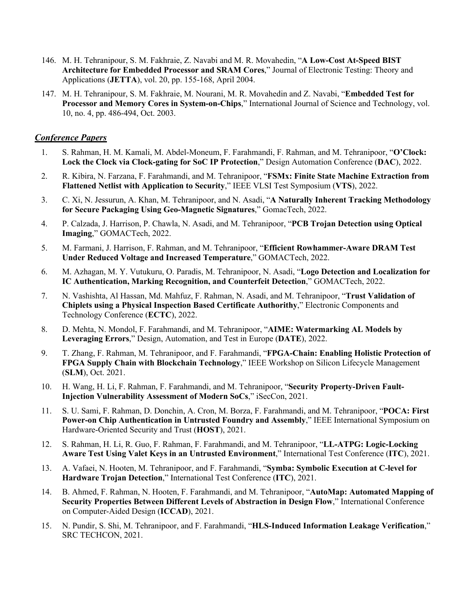- 146. M. H. Tehranipour, S. M. Fakhraie, Z. Navabi and M. R. Movahedin, "**A Low-Cost At-Speed BIST Architecture for Embedded Processor and SRAM Cores**," Journal of Electronic Testing: Theory and Applications (**JETTA**), vol. 20, pp. 155-168, April 2004.
- 147. M. H. Tehranipour, S. M. Fakhraie, M. Nourani, M. R. Movahedin and Z. Navabi, "**Embedded Test for Processor and Memory Cores in System-on-Chips**," International Journal of Science and Technology, vol. 10, no. 4, pp. 486-494, Oct. 2003.

#### *Conference Papers*

- 1. S. Rahman, H. M. Kamali, M. Abdel-Moneum, F. Farahmandi, F. Rahman, and M. Tehranipoor, "**O'Clock: Lock the Clock via Clock-gating for SoC IP Protection**," Design Automation Conference (**DAC**), 2022.
- 2. R. Kibira, N. Farzana, F. Farahmandi, and M. Tehranipoor, "**FSMx: Finite State Machine Extraction from Flattened Netlist with Application to Security**," IEEE VLSI Test Symposium (**VTS**), 2022.
- 3. C. Xi, N. Jessurun, A. Khan, M. Tehranipoor, and N. Asadi, "**A Naturally Inherent Tracking Methodology for Secure Packaging Using Geo-Magnetic Signatures**," GomacTech, 2022.
- 4. P. Calzada, J. Harrison, P. Chawla, N. Asadi, and M. Tehranipoor, "**PCB Trojan Detection using Optical Imaging**," GOMACTech, 2022.
- 5. M. Farmani, J. Harrison, F. Rahman, and M. Tehranipoor, "**Efficient Rowhammer-Aware DRAM Test Under Reduced Voltage and Increased Temperature**," GOMACTech, 2022.
- 6. M. Azhagan, M. Y. Vutukuru, O. Paradis, M. Tehranipoor, N. Asadi, "**Logo Detection and Localization for IC Authentication, Marking Recognition, and Counterfeit Detection**," GOMACTech, 2022.
- 7. N. Vashishta, Al Hassan, Md. Mahfuz, F. Rahman, N. Asadi, and M. Tehranipoor, "**Trust Validation of Chiplets using a Physical Inspection Based Certificate Authorithy**," Electronic Components and Technology Conference (**ECTC**), 2022.
- 8. D. Mehta, N. Mondol, F. Farahmandi, and M. Tehranipoor, "**AIME: Watermarking AL Models by Leveraging Errors**," Design, Automation, and Test in Europe (**DATE**), 2022.
- 9. T. Zhang, F. Rahman, M. Tehranipoor, and F. Farahmandi, "**FPGA-Chain: Enabling Holistic Protection of FPGA Supply Chain with Blockchain Technology**," IEEE Workshop on Silicon Lifecycle Management (**SLM**), Oct. 2021.
- 10. H. Wang, H. Li, F. Rahman, F. Farahmandi, and M. Tehranipoor, "**Security Property-Driven Fault-Injection Vulnerability Assessment of Modern SoCs**," iSecCon, 2021.
- 11. S. U. Sami, F. Rahman, D. Donchin, A. Cron, M. Borza, F. Farahmandi, and M. Tehranipoor, "**POCA: First Power-on Chip Authentication in Untrusted Foundry and Assembly**," IEEE International Symposium on Hardware-Oriented Security and Trust (**HOST**), 2021.
- 12. S. Rahman, H. Li, R. Guo, F. Rahman, F. Farahmandi, and M. Tehranipoor, "**LL-ATPG: Logic-Locking Aware Test Using Valet Keys in an Untrusted Environment**," International Test Conference (**ITC**), 2021.
- 13. A. Vafaei, N. Hooten, M. Tehranipoor, and F. Farahmandi, "**Symba: Symbolic Execution at C-level for Hardware Trojan Detection**," International Test Conference (**ITC**), 2021.
- 14. B. Ahmed, F. Rahman, N. Hooten, F. Farahmandi, and M. Tehranipoor, "**AutoMap: Automated Mapping of Security Properties Between Different Levels of Abstraction in Design Flow**," International Conference on Computer-Aided Design (**ICCAD**), 2021.
- 15. N. Pundir, S. Shi, M. Tehranipoor, and F. Farahmandi, "**HLS-Induced Information Leakage Verification**," SRC TECHCON, 2021.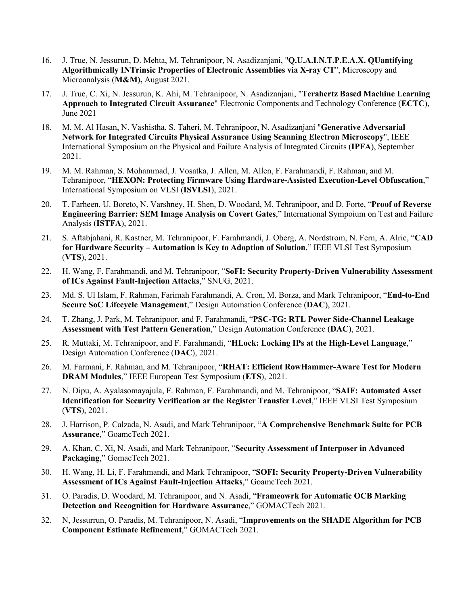- 16. J. True, N. Jessurun, D. Mehta, M. Tehranipoor, N. Asadizanjani, "**Q.U.A.I.N.T.P.E.A.X. QUantifying Algorithmically INTrinsic Properties of Electronic Assemblies via X-ray CT**", Microscopy and Microanalysis (**M&M),** August 2021.
- 17. J. True, C. Xi, N. Jessurun, K. Ahi, M. Tehranipoor, N. Asadizanjani, "**Terahertz Based Machine Learning Approach to Integrated Circuit Assurance**" Electronic Components and Technology Conference (**ECTC**), June 2021
- 18. M. M. Al Hasan, N. Vashistha, S. Taheri, M. Tehranipoor, N. Asadizanjani "**Generative Adversarial Network for Integrated Circuits Physical Assurance Using Scanning Electron Microscopy**", IEEE International Symposium on the Physical and Failure Analysis of Integrated Circuits (**IPFA**), September 2021.
- 19. M. M. Rahman, S. Mohammad, J. Vosatka, J. Allen, M. Allen, F. Farahmandi, F. Rahman, and M. Tehranipoor, "**HEXON: Protecting Firmware Using Hardware-Assisted Execution-Level Obfuscation**," International Symposium on VLSI (**ISVLSI**), 2021.
- 20. T. Farheen, U. Boreto, N. Varshney, H. Shen, D. Woodard, M. Tehranipoor, and D. Forte, "**Proof of Reverse Engineering Barrier: SEM Image Analysis on Covert Gates**," International Sympoium on Test and Failure Analysis (**ISTFA**), 2021.
- 21. S. Aftabjahani, R. Kastner, M. Tehranipoor, F. Farahmandi, J. Oberg, A. Nordstrom, N. Fern, A. Alric, "**CAD for Hardware Security – Automation is Key to Adoption of Solution**," IEEE VLSI Test Symposium (**VTS**), 2021.
- 22. H. Wang, F. Farahmandi, and M. Tehranipoor, "**SoFI: Security Property-Driven Vulnerability Assessment of ICs Against Fault-Injection Attacks**," SNUG, 2021.
- 23. Md. S. Ul Islam, F. Rahman, Farimah Farahmandi, A. Cron, M. Borza, and Mark Tehranipoor, "**End-to-End Secure SoC Lifecycle Management**," Design Automation Conference (**DAC**), 2021.
- 24. T. Zhang, J. Park, M. Tehranipoor, and F. Farahmandi, "**PSC-TG: RTL Power Side-Channel Leakage Assessment with Test Pattern Generation**," Design Automation Conference (**DAC**), 2021.
- 25. R. Muttaki, M. Tehranipoor, and F. Farahmandi, "**HLock: Locking IPs at the High-Level Language**," Design Automation Conference (**DAC**), 2021.
- 26. M. Farmani, F. Rahman, and M. Tehranipoor, "**RHAT: Efficient RowHammer-Aware Test for Modern DRAM Modules**," IEEE European Test Symposium (**ETS**), 2021.
- 27. N. Dipu, A. Ayalasomayajula, F. Rahman, F. Farahmandi, and M. Tehranipoor, "**SAIF: Automated Asset Identification for Security Verification ar the Register Transfer Level**," IEEE VLSI Test Symposium (**VTS**), 2021.
- 28. J. Harrison, P. Calzada, N. Asadi, and Mark Tehranipoor, "**A Comprehensive Benchmark Suite for PCB Assurance**," GoamcTech 2021.
- 29. A. Khan, C. Xi, N. Asadi, and Mark Tehranipoor, "**Security Assessment of Interposer in Advanced Packaging**," GomacTech 2021.
- 30. H. Wang, H. Li, F. Farahmandi, and Mark Tehranipoor, "**SOFI: Security Property-Driven Vulnerability Assessment of ICs Against Fault-Injection Attacks**," GoamcTech 2021.
- 31. O. Paradis, D. Woodard, M. Tehranipoor, and N. Asadi, "**Frameowrk for Automatic OCB Marking Detection and Recognition for Hardware Assurance**," GOMACTech 2021.
- 32. N, Jessurrun, O. Paradis, M. Tehranipoor, N. Asadi, "**Improvements on the SHADE Algorithm for PCB Component Estimate Refinement**," GOMACTech 2021.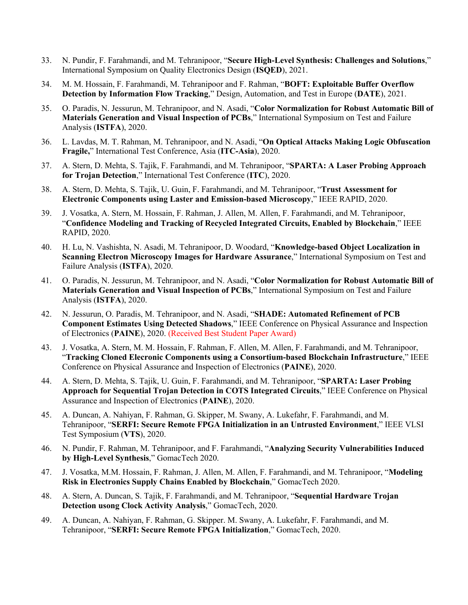- 33. N. Pundir, F. Farahmandi, and M. Tehranipoor, "**Secure High-Level Synthesis: Challenges and Solutions**," International Symposium on Quality Electronics Design (**ISQED**), 2021.
- 34. M. M. Hossain, F. Farahmandi, M. Tehranipoor and F. Rahman, "**BOFT: Exploitable Buffer Overflow Detection by Information Flow Tracking**," Design, Automation, and Test in Europe (**DATE**), 2021.
- 35. O. Paradis, N. Jessurun, M. Tehranipoor, and N. Asadi, "**Color Normalization for Robust Automatic Bill of Materials Generation and Visual Inspection of PCBs**," International Symposium on Test and Failure Analysis (**ISTFA**), 2020.
- 36. L. Lavdas, M. T. Rahman, M. Tehranipoor, and N. Asadi, "**On Optical Attacks Making Logic Obfuscation Fragile,**" International Test Conference, Asia (**ITC-Asia**), 2020.
- 37. A. Stern, D. Mehta, S. Tajik, F. Farahmandi, and M. Tehranipoor, "**SPARTA: A Laser Probing Approach for Trojan Detection**," International Test Conference (**ITC**), 2020.
- 38. A. Stern, D. Mehta, S. Tajik, U. Guin, F. Farahmandi, and M. Tehranipoor, "**Trust Assessment for Electronic Components using Laster and Emission-based Microscopy**," IEEE RAPID, 2020.
- 39. J. Vosatka, A. Stern, M. Hossain, F. Rahman, J. Allen, M. Allen, F. Farahmandi, and M. Tehranipoor, "**Confidence Modeling and Tracking of Recycled Integrated Circuits, Enabled by Blockchain**," IEEE RAPID, 2020.
- 40. H. Lu, N. Vashishta, N. Asadi, M. Tehranipoor, D. Woodard, "**Knowledge-based Object Localization in Scanning Electron Microscopy Images for Hardware Assurance**," International Symposium on Test and Failure Analysis (**ISTFA**), 2020.
- 41. O. Paradis, N. Jessurun, M. Tehranipoor, and N. Asadi, "**Color Normalization for Robust Automatic Bill of Materials Generation and Visual Inspection of PCBs**," International Symposium on Test and Failure Analysis (**ISTFA**), 2020.
- 42. N. Jessurun, O. Paradis, M. Tehranipoor, and N. Asadi, "**SHADE: Automated Refinement of PCB Component Estimates Using Detected Shadows**," IEEE Conference on Physical Assurance and Inspection of Electronics (**PAINE**), 2020. (Received Best Student Paper Award)
- 43. J. Vosatka, A. Stern, M. M. Hossain, F. Rahman, F. Allen, M. Allen, F. Farahmandi, and M. Tehranipoor, "**Tracking Cloned Elecronic Components using a Consortium-based Blockchain Infrastructure**," IEEE Conference on Physical Assurance and Inspection of Electronics (**PAINE**), 2020.
- 44. A. Stern, D. Mehta, S. Tajik, U. Guin, F. Farahmandi, and M. Tehranipoor, "**SPARTA: Laser Probing Approach for Sequential Trojan Detection in COTS Integrated Circuits**," IEEE Conference on Physical Assurance and Inspection of Electronics (**PAINE**), 2020.
- 45. A. Duncan, A. Nahiyan, F. Rahman, G. Skipper, M. Swany, A. Lukefahr, F. Farahmandi, and M. Tehranipoor, "**SERFI: Secure Remote FPGA Initialization in an Untrusted Environment**," IEEE VLSI Test Symposium (**VTS**), 2020.
- 46. N. Pundir, F. Rahman, M. Tehranipoor, and F. Farahmandi, "**Analyzing Security Vulnerabilities Induced by High-Level Synthesis**," GomacTech 2020.
- 47. J. Vosatka, M.M. Hossain, F. Rahman, J. Allen, M. Allen, F. Farahmandi, and M. Tehranipoor, "**Modeling Risk in Electronics Supply Chains Enabled by Blockchain**," GomacTech 2020.
- 48. A. Stern, A. Duncan, S. Tajik, F. Farahmandi, and M. Tehranipoor, "**Sequential Hardware Trojan Detection usong Clock Activity Analysis**," GomacTech, 2020.
- 49. A. Duncan, A. Nahiyan, F. Rahman, G. Skipper. M. Swany, A. Lukefahr, F. Farahmandi, and M. Tehranipoor, "**SERFI: Secure Remote FPGA Initialization**," GomacTech, 2020.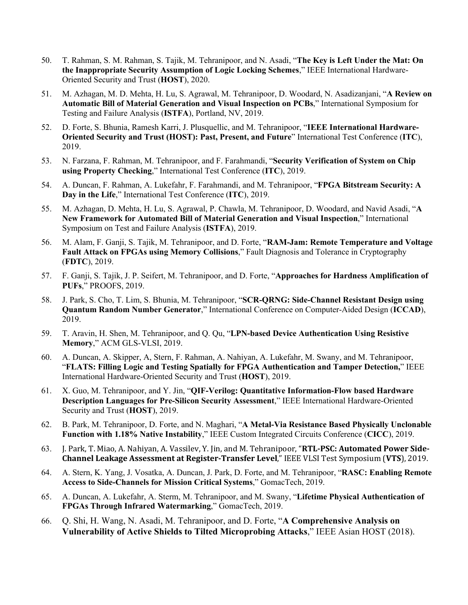- 50. T. Rahman, S. M. Rahman, S. Tajik, M. Tehranipoor, and N. Asadi, "**The Key is Left Under the Mat: On the Inappropriate Security Assumption of Logic Locking Schemes**," IEEE International Hardware-Oriented Security and Trust (**HOST**), 2020.
- 51. M. Azhagan, M. D. Mehta, H. Lu, S. Agrawal, M. Tehranipoor, D. Woodard, N. Asadizanjani, "**A Review on Automatic Bill of Material Generation and Visual Inspection on PCBs**," International Symposium for Testing and Failure Analysis (**ISTFA**), Portland, NV, 2019.
- 52. D. Forte, S. Bhunia, Ramesh Karri, J. Plusquellic, and M. Tehranipoor, "**IEEE International Hardware-Oriented Security and Trust (HOST): Past, Present, and Future**" International Test Conference (**ITC**), 2019.
- 53. N. Farzana, F. Rahman, M. Tehranipoor, and F. Farahmandi, "**Security Verification of System on Chip using Property Checking**," International Test Conference (**ITC**), 2019.
- 54. A. Duncan, F. Rahman, A. Lukefahr, F. Farahmandi, and M. Tehranipoor, "**FPGA Bitstream Security: A Day in the Life**," International Test Conference (**ITC**), 2019.
- 55. M. Azhagan, D. Mehta, H. Lu, S. Agrawal, P. Chawla, M. Tehranipoor, D. Woodard, and Navid Asadi, "**A New Framework for Automated Bill of Material Generation and Visual Inspection**," International Symposium on Test and Failure Analysis (**ISTFA**), 2019.
- 56. M. Alam, F. Ganji, S. Tajik, M. Tehranipoor, and D. Forte, "**RAM-Jam: Remote Temperature and Voltage Fault Attack on FPGAs using Memory Collisions**," Fault Diagnosis and Tolerance in Cryptography (**FDTC**), 2019.
- 57. F. Ganji, S. Tajik, J. P. Seifert, M. Tehranipoor, and D. Forte, "**Approaches for Hardness Amplification of PUFs**," PROOFS, 2019.
- 58. J. Park, S. Cho, T. Lim, S. Bhunia, M. Tehranipoor, "**SCR-QRNG: Side-Channel Resistant Design using Quantum Random Number Generator**," International Conference on Computer-Aided Design (**ICCAD**), 2019.
- 59. T. Aravin, H. Shen, M. Tehranipoor, and Q. Qu, "**LPN-based Device Authentication Using Resistive Memory**," ACM GLS-VLSI, 2019.
- 60. A. Duncan, A. Skipper, A, Stern, F. Rahman, A. Nahiyan, A. Lukefahr, M. Swany, and M. Tehranipoor, "**FLATS: Filling Logic and Testing Spatially for FPGA Authentication and Tamper Detection,**" IEEE International Hardware-Oriented Security and Trust (**HOST**), 2019.
- 61. X. Guo, M. Tehranipoor, and Y. Jin, "**QIF-Verilog: Quantitative Information-Flow based Hardware Description Languages for Pre-Silicon Security Assessment**," IEEE International Hardware-Oriented Security and Trust (**HOST**), 2019.
- 62. B. Park, M. Tehranipoor, D. Forte, and N. Maghari, "**A Metal-Via Resistance Based Physically Unclonable Function with 1.18% Native Instability**," IEEE Custom Integrated Circuits Conference (**CICC**), 2019.
- 63. J. Park, T. Miao, A. Nahiyan, A. Vassilev, Y. Jin, and M. Tehranipoor, "RTL-PSC: Automated Power Side-**Channel Leakage Assessment at Register-Transfer Level,"** IEEE VLSI Test Symposium (VTS), 2019.
- 64. A. Stern, K. Yang, J. Vosatka, A. Duncan, J. Park, D. Forte, and M. Tehranipoor, "**RASC: Enabling Remote Access to Side-Channels for Mission Critical Systems**," GomacTech, 2019.
- 65. A. Duncan, A. Lukefahr, A. Sterm, M. Tehranipoor, and M. Swany, "**Lifetime Physical Authentication of FPGAs Through Infrared Watermarking**," GomacTech, 2019.
- 66. Q. Shi, H. Wang, N. Asadi, M. Tehranipoor, and D. Forte, "**A Comprehensive Analysis on Vulnerability of Active Shields to Tilted Microprobing Attacks**," IEEE Asian HOST (2018).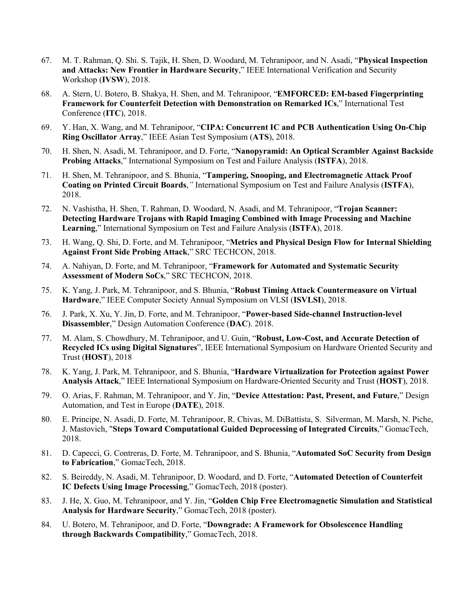- 67. M. T. Rahman, Q. Shi. S. Tajik, H. Shen, D. Woodard, M. Tehranipoor, and N. Asadi, "**Physical Inspection and Attacks: New Frontier in Hardware Security**," IEEE International Verification and Security Workshop (**IVSW**), 2018.
- 68. A. Stern, U. Botero, B. Shakya, H. Shen, and M. Tehranipoor, "**EMFORCED: EM-based Fingerprinting Framework for Counterfeit Detection with Demonstration on Remarked ICs**," International Test Conference (**ITC**), 2018.
- 69. Y. Han, X. Wang, and M. Tehranipoor, "**CIPA: Concurrent IC and PCB Authentication Using On-Chip Ring Oscillator Array**," IEEE Asian Test Symposium (**ATS**), 2018.
- 70. H. Shen, N. Asadi, M. Tehranipoor, and D. Forte, "**Nanopyramid: An Optical Scrambler Against Backside Probing Attacks**," International Symposium on Test and Failure Analysis (**ISTFA**), 2018.
- 71. H. Shen, M. Tehranipoor, and S. Bhunia, "**Tampering, Snooping, and Electromagnetic Attack Proof Coating on Printed Circuit Boards**,*"* International Symposium on Test and Failure Analysis (**ISTFA**), 2018.
- 72. N. Vashistha, H. Shen, T. Rahman, D. Woodard, N. Asadi, and M. Tehranipoor, "**Trojan Scanner: Detecting Hardware Trojans with Rapid Imaging Combined with Image Processing and Machine Learning**," International Symposium on Test and Failure Analysis (**ISTFA**), 2018.
- 73. H. Wang, Q. Shi, D. Forte, and M. Tehranipoor, "**Metrics and Physical Design Flow for Internal Shielding Against Front Side Probing Attack**," SRC TECHCON, 2018.
- 74. A. Nahiyan, D. Forte, and M. Tehranipoor, "**Framework for Automated and Systematic Security Assessment of Modern SoCs**," SRC TECHCON, 2018.
- 75. K. Yang, J. Park, M. Tehranipoor, and S. Bhunia, "**Robust Timing Attack Countermeasure on Virtual Hardware**," IEEE Computer Society Annual Symposium on VLSI (**ISVLSI**), 2018.
- 76. J. Park, X. Xu, Y. Jin, D. Forte, and M. Tehranipoor, "**Power-based Side-channel Instruction-level Disassembler**," Design Automation Conference (**DAC**). 2018.
- 77. M. Alam, S. Chowdhury, M. Tehranipoor, and U. Guin, "**Robust, Low-Cost, and Accurate Detection of Recycled ICs using Digital Signatures**", IEEE International Symposium on Hardware Oriented Security and Trust (**HOST**), 2018
- 78. K. Yang, J. Park, M. Tehranipoor, and S. Bhunia, "**Hardware Virtualization for Protection against Power Analysis Attack**," IEEE International Symposium on Hardware-Oriented Security and Trust (**HOST**), 2018.
- 79. O. Arias, F. Rahman, M. Tehranipoor, and Y. Jin, "**Device Attestation: Past, Present, and Future**," Design Automation, and Test in Europe (**DATE**), 2018.
- 80. E. Principe, N. Asadi, D. Forte, M. Tehranipoor, R. Chivas, M. DiBattista, S. Silverman, M. Marsh, N. Piche, J. Mastovich, "**Steps Toward Computational Guided Deprocessing of Integrated Circuits**," GomacTech, 2018.
- 81. D. Capecci, G. Contreras, D. Forte, M. Tehranipoor, and S. Bhunia, "**Automated SoC Security from Design to Fabrication**," GomacTech, 2018.
- 82. S. Beireddy, N. Asadi, M. Tehranipoor, D. Woodard, and D. Forte, "**Automated Detection of Counterfeit IC Defects Using Image Processing**," GomacTech, 2018 (poster).
- 83. J. He, X. Guo, M. Tehranipoor, and Y. Jin, "**Golden Chip Free Electromagnetic Simulation and Statistical Analysis for Hardware Security**," GomacTech, 2018 (poster).
- 84. U. Botero, M. Tehranipoor, and D. Forte, "**Downgrade: A Framework for Obsolescence Handling through Backwards Compatibility**," GomacTech, 2018.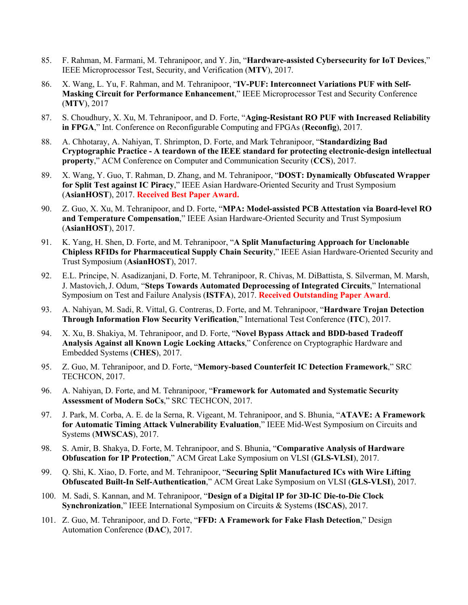- 85. F. Rahman, M. Farmani, M. Tehranipoor, and Y. Jin, "**Hardware-assisted Cybersecurity for IoT Devices**," IEEE Microprocessor Test, Security, and Verification (**MTV**), 2017.
- 86. X. Wang, L. Yu, F. Rahman, and M. Tehranipoor, "**IV-PUF: Interconnect Variations PUF with Self-Masking Circuit for Performance Enhancement**," IEEE Microprocessor Test and Security Conference (**MTV**), 2017
- 87. S. Choudhury, X. Xu, M. Tehranipoor, and D. Forte, "**Aging-Resistant RO PUF with Increased Reliability in FPGA**," Int. Conference on Reconfigurable Computing and FPGAs (**Reconfig**), 2017.
- 88. A. Chhotaray, A. Nahiyan, T. Shrimpton, D. Forte, and Mark Tehranipoor, "**Standardizing Bad Cryptographic Practice - A teardown of the IEEE standard for protecting electronic-design intellectual property**," ACM Conference on Computer and Communication Security (**CCS**), 2017.
- 89. X. Wang, Y. Guo, T. Rahman, D. Zhang, and M. Tehranipoor, "**DOST: Dynamically Obfuscated Wrapper for Split Test against IC Piracy**," IEEE Asian Hardware-Oriented Security and Trust Symposium (**AsianHOST**), 2017. **Received Best Paper Award.**
- 90. Z. Guo, X. Xu, M. Tehranipoor, and D. Forte, "**MPA: Model-assisted PCB Attestation via Board-level RO and Temperature Compensation**," IEEE Asian Hardware-Oriented Security and Trust Symposium (**AsianHOST**), 2017.
- 91. K. Yang, H. Shen, D. Forte, and M. Tehranipoor, "**A Split Manufacturing Approach for Unclonable Chipless RFIDs for Pharmaceutical Supply Chain Security**," IEEE Asian Hardware-Oriented Security and Trust Symposium (**AsianHOST**), 2017.
- 92. E.L. Principe, N. Asadizanjani, D. Forte, M. Tehranipoor, R. Chivas, M. DiBattista, S. Silverman, M. Marsh, J. Mastovich,J. Odum, "**Steps Towards Automated Deprocessing of Integrated Circuits**," International Symposium on Test and Failure Analysis (**ISTFA**), 2017. **Received Outstanding Paper Award**.
- 93. A. Nahiyan, M. Sadi, R. Vittal, G. Contreras, D. Forte, and M. Tehranipoor, "**Hardware Trojan Detection Through Information Flow Security Verification**," International Test Conference (**ITC**), 2017.
- 94. X. Xu, B. Shakiya, M. Tehranipoor, and D. Forte, "**Novel Bypass Attack and BDD-based Tradeoff Analysis Against all Known Logic Locking Attacks**," Conference on Cryptographic Hardware and Embedded Systems (**CHES**), 2017.
- 95. Z. Guo, M. Tehranipoor, and D. Forte, "**Memory-based Counterfeit IC Detection Framework**," SRC TECHCON, 2017.
- 96. A. Nahiyan, D. Forte, and M. Tehranipoor, "**Framework for Automated and Systematic Security Assessment of Modern SoCs**," SRC TECHCON, 2017.
- 97. J. Park, M. Corba, A. E. de la Serna, R. Vigeant, M. Tehranipoor, and S. Bhunia, "**ATAVE: A Framework for Automatic Timing Attack Vulnerability Evaluation**," IEEE Mid-West Symposium on Circuits and Systems (**MWSCAS**), 2017.
- 98. S. Amir, B. Shakya, D. Forte, M. Tehranipoor, and S. Bhunia, "**Comparative Analysis of Hardware Obfuscation for IP Protection**," ACM Great Lake Symposium on VLSI (**GLS-VLSI**), 2017.
- 99. Q. Shi, K. Xiao, D. Forte, and M. Tehranipoor, "**Securing Split Manufactured ICs with Wire Lifting Obfuscated Built-In Self-Authentication**," ACM Great Lake Symposium on VLSI (**GLS-VLSI**), 2017.
- 100. M. Sadi, S. Kannan, and M. Tehranipoor, "**Design of a Digital IP for 3D-IC Die-to-Die Clock Synchronization**," IEEE International Symposium on Circuits & Systems (**ISCAS**), 2017.
- 101. Z. Guo, M. Tehranipoor, and D. Forte, "**FFD: A Framework for Fake Flash Detection**," Design Automation Conference (**DAC**), 2017.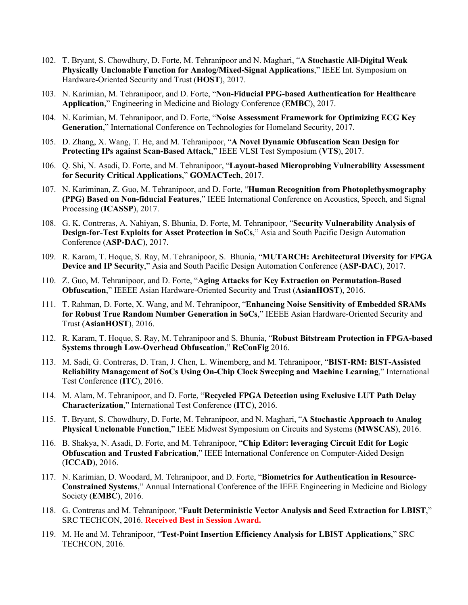- 102. T. Bryant, S. Chowdhury, D. Forte, M. Tehranipoor and N. Maghari, "**A Stochastic All-Digital Weak Physically Unclonable Function for Analog/Mixed-Signal Applications**," IEEE Int. Symposium on Hardware-Oriented Security and Trust (**HOST**), 2017.
- 103. N. Karimian, M. Tehranipoor, and D. Forte, "**Non-Fiducial PPG-based Authentication for Healthcare Application**," Engineering in Medicine and Biology Conference (**EMBC**), 2017.
- 104. N. Karimian, M. Tehranipoor, and D. Forte, "**Noise Assessment Framework for Optimizing ECG Key Generation**," International Conference on Technologies for Homeland Security, 2017.
- 105. D. Zhang, X. Wang, T. He, and M. Tehranipoor, "**A Novel Dynamic Obfuscation Scan Design for Protecting IPs against Scan-Based Attack**," IEEE VLSI Test Symposium (**VTS**), 2017.
- 106. Q. Shi, N. Asadi, D. Forte, and M. Tehranipoor, "**Layout-based Microprobing Vulnerability Assessment for Security Critical Applications**," **GOMACTech**, 2017.
- 107. N. Kariminan, Z. Guo, M. Tehranipoor, and D. Forte, "**Human Recognition from Photoplethysmography (PPG) Based on Non-fiducial Features**," IEEE International Conference on Acoustics, Speech, and Signal Processing (**ICASSP**), 2017.
- 108. G. K. Contreras, A. Nahiyan, S. Bhunia, D. Forte, M. Tehranipoor, "**Security Vulnerability Analysis of Design-for-Test Exploits for Asset Protection in SoCs**," Asia and South Pacific Design Automation Conference (**ASP-DAC**), 2017.
- 109. R. Karam, T. Hoque, S. Ray, M. Tehranipoor, S. Bhunia, "**MUTARCH: Architectural Diversity for FPGA Device and IP Security**," Asia and South Pacific Design Automation Conference (**ASP-DAC**), 2017.
- 110. Z. Guo, M. Tehranipoor, and D. Forte, "**Aging Attacks for Key Extraction on Permutation-Based Obfuscation**," IEEEE Asian Hardware-Oriented Security and Trust (**AsianHOST**), 2016.
- 111. T. Rahman, D. Forte, X. Wang, and M. Tehranipoor, "**Enhancing Noise Sensitivity of Embedded SRAMs for Robust True Random Number Generation in SoCs**," IEEEE Asian Hardware-Oriented Security and Trust (**AsianHOST**), 2016.
- 112. R. Karam, T. Hoque, S. Ray, M. Tehranipoor and S. Bhunia, "**Robust Bitstream Protection in FPGA-based Systems through Low-Overhead Obfuscation**," **ReConFig** 2016.
- 113. M. Sadi, G. Contreras, D. Tran, J. Chen, L. Winemberg, and M. Tehranipoor, "**BIST-RM: BIST-Assisted Reliability Management of SoCs Using On-Chip Clock Sweeping and Machine Learning**," International Test Conference (**ITC**), 2016.
- 114. M. Alam, M. Tehranipoor, and D. Forte, "**Recycled FPGA Detection using Exclusive LUT Path Delay Characterization**," International Test Conference (**ITC**), 2016.
- 115. T. Bryant, S. Chowdhury, D. Forte, M. Tehranipoor, and N. Maghari, "**A Stochastic Approach to Analog Physical Unclonable Function**," IEEE Midwest Symposium on Circuits and Systems (**MWSCAS**), 2016.
- 116. B. Shakya, N. Asadi, D. Forte, and M. Tehranipoor, "**Chip Editor: leveraging Circuit Edit for Logic Obfuscation and Trusted Fabrication**," IEEE International Conference on Computer-Aided Design (**ICCAD**), 2016.
- 117. N. Karimian, D. Woodard, M. Tehranipoor, and D. Forte, "**Biometrics for Authentication in Resource-Constrained Systems**," Annual International Conference of the IEEE Engineering in Medicine and Biology Society (**EMBC**), 2016.
- 118. G. Contreras and M. Tehranipoor, "**Fault Deterministic Vector Analysis and Seed Extraction for LBIST**," SRC TECHCON, 2016. **Received Best in Session Award.**
- 119. M. He and M. Tehranipoor, "**Test-Point Insertion Efficiency Analysis for LBIST Applications**," SRC TECHCON, 2016.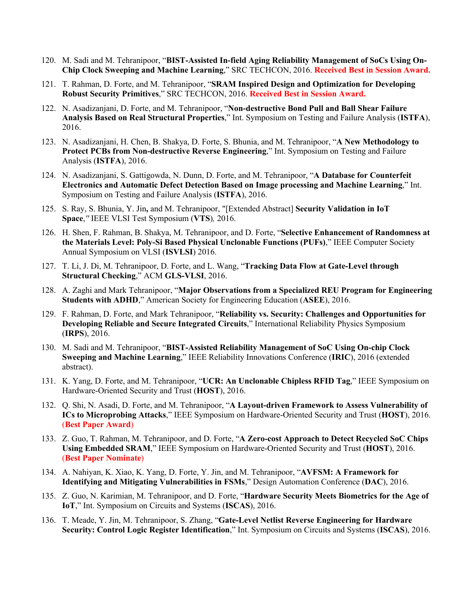- 120. M. Sadi and M. Tehranipoor, "**BIST-Assisted In-field Aging Reliability Management of SoCs Using On-Chip Clock Sweeping and Machine Learning**," SRC TECHCON, 2016. **Received Best in Session Award.**
- 121. T. Rahman, D. Forte, and M. Tehranipoor, "**SRAM Inspired Design and Optimization for Developing Robust Security Primitives**," SRC TECHCON, 2016. **Received Best in Session Award.**
- 122. N. Asadizanjani, D. Forte, and M. Tehranipoor, "**Non-destructive Bond Pull and Ball Shear Failure Analysis Based on Real Structural Properties**," Int. Symposium on Testing and Failure Analysis (**ISTFA**), 2016.
- 123. N. Asadizanjani, H. Chen, B. Shakya, D. Forte, S. Bhunia, and M. Tehranipoor, "**A New Methodology to Protect PCBs from Non-destructive Reverse Engineering**," Int. Symposium on Testing and Failure Analysis (**ISTFA**), 2016.
- 124. N. Asadizanjani, S. Gattigowda, N. Dunn, D. Forte, and M. Tehranipoor, "**A Database for Counterfeit Electronics and Automatic Defect Detection Based on Image processing and Machine Learning**," Int. Symposium on Testing and Failure Analysis (**ISTFA**), 2016.
- 125. S. Ray, S. Bhunia, Y. Jin**,** and M. Tehranipoor, "[Extended Abstract] **Security Validation in IoT Space**,*''* IEEE VLSI Test Symposium (**VTS**)*,* 2016.
- 126. H. Shen, F. Rahman, B. Shakya, M. Tehranipoor, and D. Forte, "**Selective Enhancement of Randomness at the Materials Level: Poly-Si Based Physical Unclonable Functions (PUFs)**," IEEE Computer Society Annual Symposium on VLSI (**ISVLSI**) 2016.
- 127. T. Li, J. Di, M. Tehranipoor, D. Forte, and L. Wang, "**Tracking Data Flow at Gate-Level through Structural Checking**," ACM **GLS-VLSI**, 2016.
- 128. A. Zaghi and Mark Tehranipoor, "**Major Observations from a Specialized REU Program for Engineering Students with ADHD**," American Society for Engineering Education (**ASEE**), 2016.
- 129. F. Rahman, D. Forte, and Mark Tehranipoor, "**Reliability vs. Security: Challenges and Opportunities for Developing Reliable and Secure Integrated Circuits**," International Reliability Physics Symposium (**IRPS**), 2016.
- 130. M. Sadi and M. Tehranipoor, "**BIST-Assisted Reliability Management of SoC Using On-chip Clock Sweeping and Machine Learning**," IEEE Reliability Innovations Conference (**IRIC**), 2016 (extended abstract).
- 131. K. Yang, D. Forte, and M. Tehranipoor, "**UCR: An Unclonable Chipless RFID Tag**," IEEE Symposium on Hardware-Oriented Security and Trust (**HOST**), 2016.
- 132. Q. Shi, N. Asadi, D. Forte, and M. Tehranipoor, "**A Layout-driven Framework to Assess Vulnerability of ICs to Microprobing Attacks**," IEEE Symposium on Hardware-Oriented Security and Trust (**HOST**), 2016. (**Best Paper Award**)
- 133. Z. Guo, T. Rahman, M. Tehranipoor, and D. Forte, "**A Zero-cost Approach to Detect Recycled SoC Chips Using Embedded SRAM**," IEEE Symposium on Hardware-Oriented Security and Trust (**HOST**), 2016. (**Best Paper Nominate**)
- 134. A. Nahiyan, K. Xiao, K. Yang, D. Forte, Y. Jin, and M. Tehranipoor, "**AVFSM: A Framework for Identifying and Mitigating Vulnerabilities in FSMs**," Design Automation Conference (**DAC**), 2016.
- 135. Z. Guo, N. Karimian, M. Tehranipoor, and D. Forte, "**Hardware Security Meets Biometrics for the Age of IoT**," Int. Symposium on Circuits and Systems (**ISCAS**), 2016.
- 136. T. Meade, Y. Jin, M. Tehranipoor, S. Zhang, "**Gate-Level Netlist Reverse Engineering for Hardware Security: Control Logic Register Identification**," Int. Symposium on Circuits and Systems (**ISCAS**), 2016.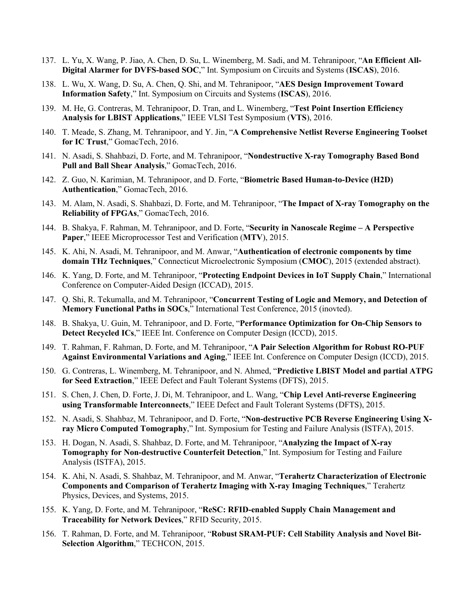- 137. L. Yu, X. Wang, P. Jiao, A. Chen, D. Su, L. Winemberg, M. Sadi, and M. Tehranipoor, "**An Efficient All-Digital Alarmer for DVFS-based SOC**," Int. Symposium on Circuits and Systems (**ISCAS**), 2016.
- 138. L. Wu, X. Wang, D. Su, A. Chen, Q. Shi, and M. Tehranipoor, "**AES Design Improvement Toward Information Safety**," Int. Symposium on Circuits and Systems (**ISCAS**), 2016.
- 139. M. He, G. Contreras, M. Tehranipoor, D. Tran, and L. Winemberg, "**Test Point Insertion Efficiency Analysis for LBIST Applications**," IEEE VLSI Test Symposium (**VTS**), 2016.
- 140. T. Meade, S. Zhang, M. Tehranipoor, and Y. Jin, "**A Comprehensive Netlist Reverse Engineering Toolset for IC Trust**," GomacTech, 2016.
- 141. N. Asadi, S. Shahbazi, D. Forte, and M. Tehranipoor, "**Nondestructive X-ray Tomography Based Bond Pull and Ball Shear Analysis**," GomacTech, 2016.
- 142. Z. Guo, N. Karimian, M. Tehranipoor, and D. Forte, "**Biometric Based Human-to-Device (H2D) Authentication**," GomacTech, 2016.
- 143. M. Alam, N. Asadi, S. Shahbazi, D. Forte, and M. Tehranipoor, "**The Impact of X-ray Tomography on the Reliability of FPGAs**," GomacTech, 2016.
- 144. B. Shakya, F. Rahman, M. Tehranipoor, and D. Forte, "**Security in Nanoscale Regime – A Perspective Paper**," IEEE Microprocessor Test and Verification (**MTV**), 2015.
- 145. K. Ahi, N. Asadi, M. Tehranipoor, and M. Anwar, "**Authentication of electronic components by time domain THz Techniques**," Connecticut Microelectronic Symposium (**CMOC**), 2015 (extended abstract).
- 146. K. Yang, D. Forte, and M. Tehranipoor, "**Protecting Endpoint Devices in IoT Supply Chain**," International Conference on Computer-Aided Design (ICCAD), 2015.
- 147. Q. Shi, R. Tekumalla, and M. Tehranipoor, "**Concurrent Testing of Logic and Memory, and Detection of Memory Functional Paths in SOCs**," International Test Conference, 2015 (inovted).
- 148. B. Shakya, U. Guin, M. Tehranipoor, and D. Forte, "**Performance Optimization for On-Chip Sensors to Detect Recycled ICs**," IEEE Int. Conference on Computer Design (ICCD), 2015.
- 149. T. Rahman, F. Rahman, D. Forte, and M. Tehranipoor, "**A Pair Selection Algorithm for Robust RO-PUF Against Environmental Variations and Aging**," IEEE Int. Conference on Computer Design (ICCD), 2015.
- 150. G. Contreras, L. Winemberg, M. Tehranipoor, and N. Ahmed, "**Predictive LBIST Model and partial ATPG for Seed Extraction**," IEEE Defect and Fault Tolerant Systems (DFTS), 2015.
- 151. S. Chen, J. Chen, D. Forte, J. Di, M. Tehranipoor, and L. Wang, "**Chip Level Anti-reverse Engineering using Transformable Interconnects**," IEEE Defect and Fault Tolerant Systems (DFTS), 2015.
- 152. N. Asadi, S. Shahbaz, M. Tehranipoor, and D. Forte, "**Non-destructive PCB Reverse Engineering Using Xray Micro Computed Tomography**," Int. Symposium for Testing and Failure Analysis (ISTFA), 2015.
- 153. H. Dogan, N. Asadi, S. Shahbaz, D. Forte, and M. Tehranipoor, "**Analyzing the Impact of X-ray Tomography for Non-destructive Counterfeit Detection**," Int. Symposium for Testing and Failure Analysis (ISTFA), 2015.
- 154. K. Ahi, N. Asadi, S. Shahbaz, M. Tehranipoor, and M. Anwar, "**Terahertz Characterization of Electronic Components and Comparison of Terahertz Imaging with X-ray Imaging Techniques**," Terahertz Physics, Devices, and Systems, 2015.
- 155. K. Yang, D. Forte, and M. Tehranipoor, "**ReSC: RFID-enabled Supply Chain Management and Traceability for Network Devices**," RFID Security, 2015.
- 156. T. Rahman, D. Forte, and M. Tehranipoor, "**Robust SRAM-PUF: Cell Stability Analysis and Novel Bit-Selection Algorithm**," TECHCON, 2015.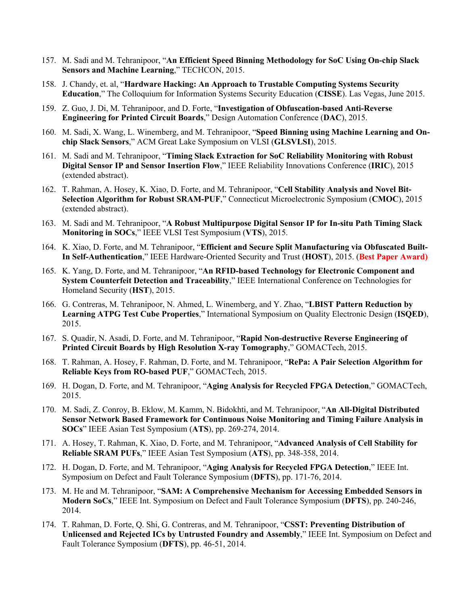- 157. M. Sadi and M. Tehranipoor, "**An Efficient Speed Binning Methodology for SoC Using On-chip Slack Sensors and Machine Learning**," TECHCON, 2015.
- 158. J. Chandy, et. al, "**Hardware Hacking: An Approach to Trustable Computing Systems Security Education**," The Colloquium for Information Systems Security Education (**CISSE**). Las Vegas, June 2015.
- 159. Z. Guo, J. Di, M. Tehranipoor, and D. Forte, "**Investigation of Obfuscation-based Anti-Reverse Engineering for Printed Circuit Boards**," Design Automation Conference (**DAC**), 2015.
- 160. M. Sadi, X. Wang, L. Winemberg, and M. Tehranipoor, "**Speed Binning using Machine Learning and Onchip Slack Sensors**," ACM Great Lake Symposium on VLSI (**GLSVLSI**), 2015.
- 161. M. Sadi and M. Tehranipoor, "**Timing Slack Extraction for SoC Reliability Monitoring with Robust Digital Sensor IP and Sensor Insertion Flow**," IEEE Reliability Innovations Conference (**IRIC**), 2015 (extended abstract).
- 162. T. Rahman, A. Hosey, K. Xiao, D. Forte, and M. Tehranipoor, "**Cell Stability Analysis and Novel Bit-Selection Algorithm for Robust SRAM-PUF**," Connecticut Microelectronic Symposium (**CMOC**), 2015 (extended abstract).
- 163. M. Sadi and M. Tehranipoor, "**A Robust Multipurpose Digital Sensor IP for In-situ Path Timing Slack Monitoring in SOCs**," IEEE VLSI Test Symposium (**VTS**), 2015.
- 164. K. Xiao, D. Forte, and M. Tehranipoor, "**Efficient and Secure Split Manufacturing via Obfuscated Built-In Self-Authentication**," IEEE Hardware-Oriented Security and Trust (**HOST**), 2015. (**Best Paper Award)**
- 165. K. Yang, D. Forte, and M. Tehranipoor, "**An RFID-based Technology for Electronic Component and System Counterfeit Detection and Traceability**," IEEE International Conference on Technologies for Homeland Security (**HST**), 2015.
- 166. G. Contreras, M. Tehranipoor, N. Ahmed, L. Winemberg, and Y. Zhao, "**LBIST Pattern Reduction by Learning ATPG Test Cube Properties**," International Symposium on Quality Electronic Design (**ISQED**), 2015.
- 167. S. Quadir, N. Asadi, D. Forte, and M. Tehranipoor, "**Rapid Non-destructive Reverse Engineering of Printed Circuit Boards by High Resolution X-ray Tomography**," GOMACTech, 2015.
- 168. T. Rahman, A. Hosey, F. Rahman, D. Forte, and M. Tehranipoor, "**RePa: A Pair Selection Algorithm for Reliable Keys from RO-based PUF**," GOMACTech, 2015.
- 169. H. Dogan, D. Forte, and M. Tehranipoor, "**Aging Analysis for Recycled FPGA Detection**," GOMACTech, 2015.
- 170. M. Sadi, Z. Conroy, B. Eklow, M. Kamm, N. Bidokhti, and M. Tehranipoor, "**An All-Digital Distributed Sensor Network Based Framework for Continuous Noise Monitoring and Timing Failure Analysis in SOCs**" IEEE Asian Test Symposium (**ATS**), pp. 269-274, 2014.
- 171. A. Hosey, T. Rahman, K. Xiao, D. Forte, and M. Tehranipoor, "**Advanced Analysis of Cell Stability for Reliable SRAM PUFs**," IEEE Asian Test Symposium (**ATS**), pp. 348-358, 2014.
- 172. H. Dogan, D. Forte, and M. Tehranipoor, "**Aging Analysis for Recycled FPGA Detection**," IEEE Int. Symposium on Defect and Fault Tolerance Symposium (**DFTS**), pp. 171-76, 2014.
- 173. M. He and M. Tehranipoor, "**SAM: A Comprehensive Mechanism for Accessing Embedded Sensors in Modern SoCs**," IEEE Int. Symposium on Defect and Fault Tolerance Symposium (**DFTS**), pp. 240-246, 2014.
- 174. T. Rahman, D. Forte, Q. Shi, G. Contreras, and M. Tehranipoor, "**CSST: Preventing Distribution of Unlicensed and Rejected ICs by Untrusted Foundry and Assembly**," IEEE Int. Symposium on Defect and Fault Tolerance Symposium (**DFTS**), pp. 46-51, 2014.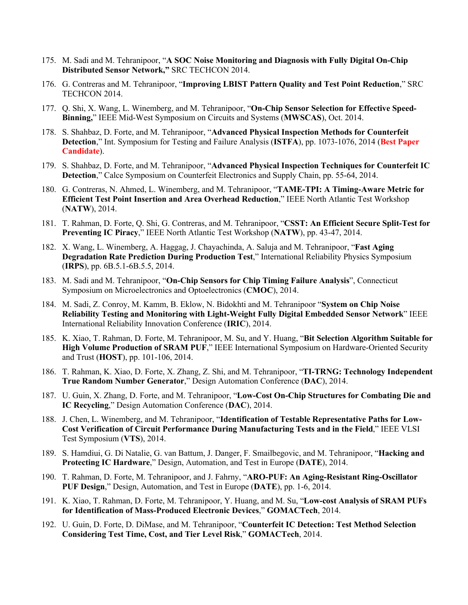- 175. M. Sadi and M. Tehranipoor, "**A SOC Noise Monitoring and Diagnosis with Fully Digital On-Chip Distributed Sensor Network,"** SRC TECHCON 2014.
- 176. G. Contreras and M. Tehranipoor, "**Improving LBIST Pattern Quality and Test Point Reduction**," SRC TECHCON 2014.
- 177. Q. Shi, X. Wang, L. Winemberg, and M. Tehranipoor, "**On-Chip Sensor Selection for Effective Speed-Binning,**" IEEE Mid-West Symposium on Circuits and Systems (**MWSCAS**), Oct. 2014.
- 178. S. Shahbaz, D. Forte, and M. Tehranipoor, "**Advanced Physical Inspection Methods for Counterfeit Detection**," Int. Symposium for Testing and Failure Analysis (**ISTFA**), pp. 1073-1076, 2014 (**Best Paper Candidate**).
- 179. S. Shahbaz, D. Forte, and M. Tehranipoor, "**Advanced Physical Inspection Techniques for Counterfeit IC Detection**," Calce Symposium on Counterfeit Electronics and Supply Chain, pp. 55-64, 2014.
- 180. G. Contreras, N. Ahmed, L. Winemberg, and M. Tehranipoor, "**TAME-TPI: A Timing-Aware Metric for Efficient Test Point Insertion and Area Overhead Reduction**," IEEE North Atlantic Test Workshop (**NATW**), 2014.
- 181. T. Rahman, D. Forte, Q. Shi, G. Contreras, and M. Tehranipoor, "**CSST: An Efficient Secure Split-Test for Preventing IC Piracy**," IEEE North Atlantic Test Workshop (**NATW**), pp. 43-47, 2014.
- 182. X. Wang, L. Winemberg, A. Haggag, J. Chayachinda, A. Saluja and M. Tehranipoor, "**Fast Aging Degradation Rate Prediction During Production Test**," International Reliability Physics Symposium (**IRPS**), pp. 6B.5.1-6B.5.5, 2014.
- 183. M. Sadi and M. Tehranipoor, "**On-Chip Sensors for Chip Timing Failure Analysis**", Connecticut Symposium on Microelectronics and Optoelectronics (**CMOC**), 2014.
- 184. M. Sadi, Z. Conroy, M. Kamm, B. Eklow, N. Bidokhti and M. Tehranipoor "**System on Chip Noise Reliability Testing and Monitoring with Light-Weight Fully Digital Embedded Sensor Network**" IEEE International Reliability Innovation Conference (**IRIC**), 2014.
- 185. K. Xiao, T. Rahman, D. Forte, M. Tehranipoor, M. Su, and Y. Huang, "**Bit Selection Algorithm Suitable for High Volume Production of SRAM PUF**," IEEE International Symposium on Hardware-Oriented Security and Trust (**HOST**), pp. 101-106, 2014.
- 186. T. Rahman, K. Xiao, D. Forte, X. Zhang, Z. Shi, and M. Tehranipoor, "**TI-TRNG: Technology Independent True Random Number Generator**," Design Automation Conference (**DAC**), 2014.
- 187. U. Guin, X. Zhang, D. Forte, and M. Tehranipoor, "**Low-Cost On-Chip Structures for Combating Die and IC Recycling**," Design Automation Conference (**DAC**), 2014.
- 188. J. Chen, L. Winemberg, and M. Tehranipoor, "**Identification of Testable Representative Paths for Low-Cost Verification of Circuit Performance During Manufacturing Tests and in the Field**," IEEE VLSI Test Symposium (**VTS**), 2014.
- 189. S. Hamdiui, G. Di Natalie, G. van Battum, J. Danger, F. Smailbegovic, and M. Tehranipoor, "**Hacking and Protecting IC Hardware**," Design, Automation, and Test in Europe (**DATE**), 2014.
- 190. T. Rahman, D. Forte, M. Tehranipoor, and J. Fahrny, "**ARO-PUF: An Aging-Resistant Ring-Oscillator PUF Design**," Design, Automation, and Test in Europe (**DATE**), pp. 1-6, 2014.
- 191. K. Xiao, T. Rahman, D. Forte, M. Tehranipoor, Y. Huang, and M. Su, "**Low-cost Analysis of SRAM PUFs for Identification of Mass-Produced Electronic Devices**," **GOMACTech**, 2014.
- 192. U. Guin, D. Forte, D. DiMase, and M. Tehranipoor, "**Counterfeit IC Detection: Test Method Selection Considering Test Time, Cost, and Tier Level Risk**," **GOMACTech**, 2014.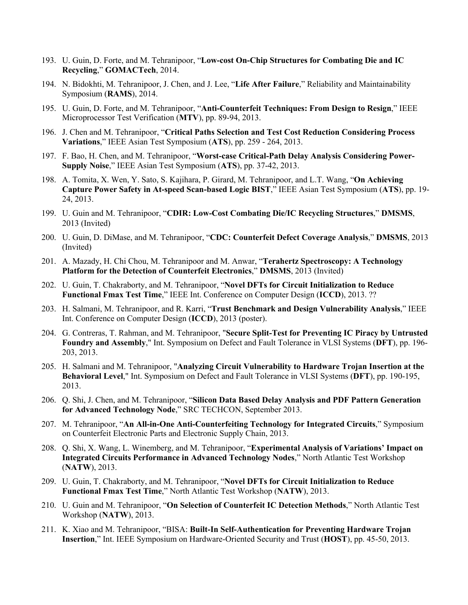- 193. U. Guin, D. Forte, and M. Tehranipoor, "**Low-cost On-Chip Structures for Combating Die and IC Recycling**," **GOMACTech**, 2014.
- 194. N. Bidokhti, M. Tehranipoor, J. Chen, and J. Lee, "**Life After Failure**," Reliability and Maintainability Symposium (**RAMS**), 2014.
- 195. U. Guin, D. Forte, and M. Tehranipoor, "**Anti-Counterfeit Techniques: From Design to Resign**," IEEE Microprocessor Test Verification (**MTV**), pp. 89-94, 2013.
- 196. J. Chen and M. Tehranipoor, "**Critical Paths Selection and Test Cost Reduction Considering Process Variations**," IEEE Asian Test Symposium (**ATS**), pp. 259 - 264, 2013.
- 197. F. Bao, H. Chen, and M. Tehranipoor, "**Worst-case Critical-Path Delay Analysis Considering Power-Supply Noise**," IEEE Asian Test Symposium (**ATS**), pp. 37-42, 2013.
- 198. A. Tomita, X. Wen, Y. Sato, S. Kajihara, P. Girard, M. Tehranipoor, and L.T. Wang, "**On Achieving Capture Power Safety in At-speed Scan-based Logic BIST**," IEEE Asian Test Symposium (**ATS**), pp. 19- 24, 2013.
- 199. U. Guin and M. Tehranipoor, "**CDIR: Low-Cost Combating Die/IC Recycling Structures**," **DMSMS**, 2013 (Invited)
- 200. U. Guin, D. DiMase, and M. Tehranipoor, "**CDC: Counterfeit Defect Coverage Analysis**," **DMSMS**, 2013 (Invited)
- 201. A. Mazady, H. Chi Chou, M. Tehranipoor and M. Anwar, "**Terahertz Spectroscopy: A Technology Platform for the Detection of Counterfeit Electronics**," **DMSMS**, 2013 (Invited)
- 202. U. Guin, T. Chakraborty, and M. Tehranipoor, "**Novel DFTs for Circuit Initialization to Reduce Functional Fmax Test Time**," IEEE Int. Conference on Computer Design (**ICCD**), 2013. ??
- 203. H. Salmani, M. Tehranipoor, and R. Karri, "**Trust Benchmark and Design Vulnerability Analysis**," IEEE Int. Conference on Computer Design (**ICCD**), 2013 (poster).
- 204. G. Contreras, T. Rahman, and M. Tehranipoor, "**Secure Split-Test for Preventing IC Piracy by Untrusted Foundry and Assembly**," Int. Symposium on Defect and Fault Tolerance in VLSI Systems (**DFT**), pp. 196- 203, 2013.
- 205. H. Salmani and M. Tehranipoor, "**Analyzing Circuit Vulnerability to Hardware Trojan Insertion at the Behavioral Level**," Int. Symposium on Defect and Fault Tolerance in VLSI Systems (**DFT**), pp. 190-195, 2013.
- 206. Q. Shi, J. Chen, and M. Tehranipoor, "**Silicon Data Based Delay Analysis and PDF Pattern Generation for Advanced Technology Node**," SRC TECHCON, September 2013.
- 207. M. Tehranipoor, "**An All-in-One Anti-Counterfeiting Technology for Integrated Circuits**," Symposium on Counterfeit Electronic Parts and Electronic Supply Chain, 2013.
- 208. Q. Shi, X. Wang, L. Winemberg, and M. Tehranipoor, "**Experimental Analysis of Variations' Impact on Integrated Circuits Performance in Advanced Technology Nodes**," North Atlantic Test Workshop (**NATW**), 2013.
- 209. U. Guin, T. Chakraborty, and M. Tehranipoor, "**Novel DFTs for Circuit Initialization to Reduce Functional Fmax Test Time**," North Atlantic Test Workshop (**NATW**), 2013.
- 210. U. Guin and M. Tehranipoor, "**On Selection of Counterfeit IC Detection Methods**," North Atlantic Test Workshop (**NATW**), 2013.
- 211. K. Xiao and M. Tehranipoor, "BISA: **Built-In Self-Authentication for Preventing Hardware Trojan Insertion**," Int. IEEE Symposium on Hardware-Oriented Security and Trust (**HOST**), pp. 45-50, 2013.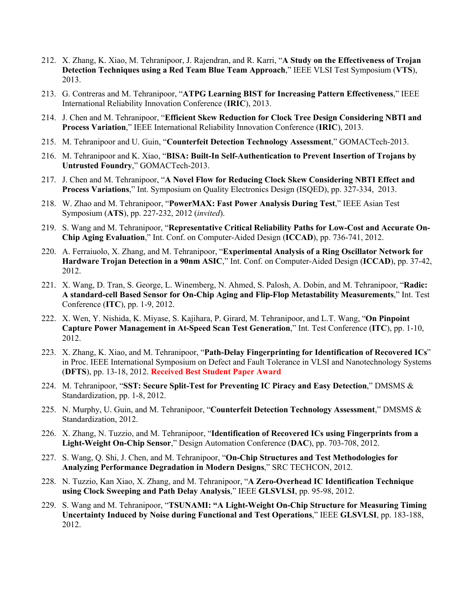- 212. X. Zhang, K. Xiao, M. Tehranipoor, J. Rajendran, and R. Karri, "**A Study on the Effectiveness of Trojan Detection Techniques using a Red Team Blue Team Approach**," IEEE VLSI Test Symposium (**VTS**), 2013.
- 213. G. Contreras and M. Tehranipoor, "**ATPG Learning BIST for Increasing Pattern Effectiveness**," IEEE International Reliability Innovation Conference (**IRIC**), 2013.
- 214. J. Chen and M. Tehranipoor, "**Efficient Skew Reduction for Clock Tree Design Considering NBTI and Process Variation**," IEEE International Reliability Innovation Conference (**IRIC**), 2013.
- 215. M. Tehranipoor and U. Guin, "**Counterfeit Detection Technology Assessment**," GOMACTech-2013.
- 216. M. Tehranipoor and K. Xiao, "**BISA: Built-In Self-Authentication to Prevent Insertion of Trojans by Untrusted Foundry**," GOMACTech-2013.
- 217. J. Chen and M. Tehranipoor, "**A Novel Flow for Reducing Clock Skew Considering NBTI Effect and Process Variations**," Int. Symposium on Quality Electronics Design (ISQED), pp. 327-334, 2013.
- 218. W. Zhao and M. Tehranipoor, "**PowerMAX: Fast Power Analysis During Test**," IEEE Asian Test Symposium (**ATS**), pp. 227-232, 2012 (*invited*).
- 219. S. Wang and M. Tehranipoor, "**Representative Critical Reliability Paths for Low-Cost and Accurate On-Chip Aging Evaluation**," Int. Conf. on Computer-Aided Design (**ICCAD**), pp. 736-741, 2012.
- 220. A. Ferraiuolo, X. Zhang, and M. Tehranipoor, "**Experimental Analysis of a Ring Oscillator Network for Hardware Trojan Detection in a 90nm ASIC**," Int. Conf. on Computer-Aided Design (**ICCAD**), pp. 37-42, 2012.
- 221. X. Wang, D. Tran, S. George, L. Winemberg, N. Ahmed, S. Palosh, A. Dobin, and M. Tehranipoor, "**Radic: A standard-cell Based Sensor for On-Chip Aging and Flip-Flop Metastability Measurements**," Int. Test Conference (**ITC**), pp. 1-9, 2012.
- 222. X. Wen, Y. Nishida, K. Miyase, S. Kajihara, P. Girard, M. Tehranipoor, and L.T. Wang, "**On Pinpoint Capture Power Management in At-Speed Scan Test Generation**," Int. Test Conference (**ITC**), pp. 1-10, 2012.
- 223. X. Zhang, K. Xiao, and M. Tehranipoor, "**Path-Delay Fingerprinting for Identification of Recovered ICs**" in Proc. IEEE International Symposium on Defect and Fault Tolerance in VLSI and Nanotechnology Systems (**DFTS**), pp. 13-18, 2012. **Received Best Student Paper Award**
- 224. M. Tehranipoor, "**SST: Secure Split-Test for Preventing IC Piracy and Easy Detection**," DMSMS & Standardization, pp. 1-8, 2012.
- 225. N. Murphy, U. Guin, and M. Tehranipoor, "**Counterfeit Detection Technology Assessment**," DMSMS & Standardization, 2012.
- 226. X. Zhang, N. Tuzzio, and M. Tehranipoor, "**Identification of Recovered ICs using Fingerprints from a Light-Weight On-Chip Sensor**," Design Automation Conference (**DAC**), pp. 703-708, 2012.
- 227. S. Wang, Q. Shi, J. Chen, and M. Tehranipoor, "**On-Chip Structures and Test Methodologies for Analyzing Performance Degradation in Modern Designs**," SRC TECHCON, 2012.
- 228. N. Tuzzio, Kan Xiao, X. Zhang, and M. Tehranipoor, "**A Zero-Overhead IC Identification Technique using Clock Sweeping and Path Delay Analysis**," IEEE **GLSVLSI**, pp. 95-98, 2012.
- 229. S. Wang and M. Tehranipoor, "**TSUNAMI: "A Light-Weight On-Chip Structure for Measuring Timing Uncertainty Induced by Noise during Functional and Test Operations**," IEEE **GLSVLSI**, pp. 183-188, 2012.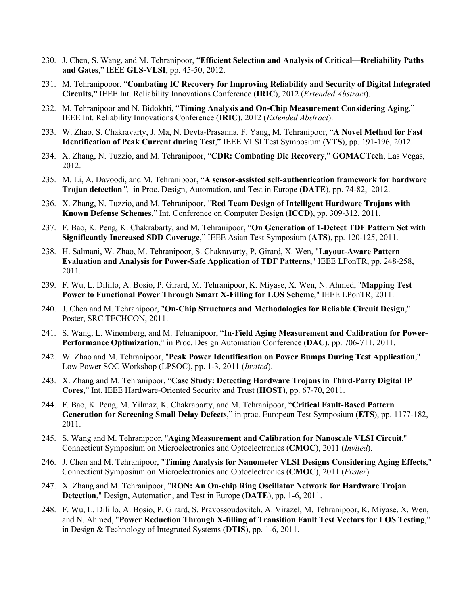- 230. J. Chen, S. Wang, and M. Tehranipoor, "**Efficient Selection and Analysis of Critical—Rreliability Paths and Gates**," IEEE **GLS-VLSI**, pp. 45-50, 2012.
- 231. M. Tehranipooor, "**Combating IC Recovery for Improving Reliability and Security of Digital Integrated Circuits,"** IEEE Int. Reliability Innovations Conference (**IRIC**), 2012 (*Extended Abstract*).
- 232. M. Tehranipoor and N. Bidokhti, "**Timing Analysis and On-Chip Measurement Considering Aging**," IEEE Int. Reliability Innovations Conference (**IRIC**), 2012 (*Extended Abstract*).
- 233. W. Zhao, S. Chakravarty, J. Ma, N. Devta-Prasanna, F. Yang, M. Tehranipoor, "**A Novel Method for Fast Identification of Peak Current during Test**," IEEE VLSI Test Symposium (**VTS**), pp. 191-196, 2012.
- 234. X. Zhang, N. Tuzzio, and M. Tehranipoor, "**CDR: Combating Die Recovery**," **GOMACTech**, Las Vegas, 2012.
- 235. M. Li, A. Davoodi, and M. Tehranipoor, "**A sensor-assisted self-authentication framework for hardware Trojan detection***",* in Proc. Design, Automation, and Test in Europe (**DATE**)*,* pp. 74-82, 2012.
- 236. X. Zhang, N. Tuzzio, and M. Tehranipoor, "**Red Team Design of Intelligent Hardware Trojans with Known Defense Schemes**," Int. Conference on Computer Design (**ICCD**), pp. 309-312, 2011.
- 237. F. Bao, K. Peng, K. Chakrabarty, and M. Tehranipoor, "**On Generation of 1-Detect TDF Pattern Set with Significantly Increased SDD Coverage**," IEEE Asian Test Symposium (**ATS**), pp. 120-125, 2011.
- 238. H. Salmani, W. Zhao, M. Tehranipoor, S. Chakravarty, P. Girard, X. Wen, "**Layout-Aware Pattern Evaluation and Analysis for Power-Safe Application of TDF Patterns**," IEEE LPonTR, pp. 248-258, 2011.
- 239. F. Wu, L. Dilillo, A. Bosio, P. Girard, M. Tehranipoor, K. Miyase, X. Wen, N. Ahmed, "**Mapping Test Power to Functional Power Through Smart X-Filling for LOS Scheme**," IEEE LPonTR, 2011.
- 240. J. Chen and M. Tehranipoor, "**On-Chip Structures and Methodologies for Reliable Circuit Design**," Poster, SRC TECHCON, 2011.
- 241. S. Wang, L. Winemberg, and M. Tehranipoor, "**In-Field Aging Measurement and Calibration for Power-Performance Optimization**," in Proc. Design Automation Conference (**DAC**), pp. 706-711, 2011.
- 242. W. Zhao and M. Tehranipoor, "**Peak Power Identification on Power Bumps During Test Application**," Low Power SOC Workshop (LPSOC), pp. 1-3, 2011 (*Invited*).
- 243. X. Zhang and M. Tehranipoor, "**Case Study: Detecting Hardware Trojans in Third-Party Digital IP Cores**," Int. IEEE Hardware-Oriented Security and Trust (**HOST**), pp. 67-70, 2011.
- 244. F. Bao, K. Peng, M. Yilmaz, K. Chakrabarty, and M. Tehranipoor, "**Critical Fault-Based Pattern Generation for Screening Small Delay Defects**," in proc. European Test Symposium (**ETS**), pp. 1177-182, 2011.
- 245. S. Wang and M. Tehranipoor, "**Aging Measurement and Calibration for Nanoscale VLSI Circuit**," Connecticut Symposium on Microelectronics and Optoelectronics (**CMOC**), 2011 (*Invited*).
- 246. J. Chen and M. Tehranipoor, "**Timing Analysis for Nanometer VLSI Designs Considering Aging Effects**," Connecticut Symposium on Microelectronics and Optoelectronics (**CMOC**), 2011 (*Poster*).
- 247. X. Zhang and M. Tehranipoor, "**RON: An On-chip Ring Oscillator Network for Hardware Trojan Detection**," Design, Automation, and Test in Europe (**DATE**), pp. 1-6, 2011.
- 248. F. Wu, L. Dilillo, A. Bosio, P. Girard, S. Pravossoudovitch, A. Virazel, M. Tehranipoor, K. Miyase, X. Wen, and N. Ahmed, "**Power Reduction Through X-filling of Transition Fault Test Vectors for LOS Testing**," in Design & Technology of Integrated Systems (**DTIS**), pp. 1-6, 2011.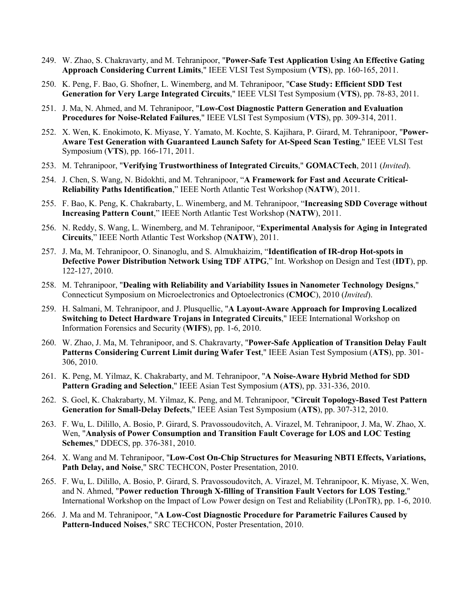- 249. W. Zhao, S. Chakravarty, and M. Tehranipoor, "**Power-Safe Test Application Using An Effective Gating Approach Considering Current Limits**," IEEE VLSI Test Symposium (**VTS**), pp. 160-165, 2011.
- 250. K. Peng, F. Bao, G. Shofner, L. Winemberg, and M. Tehranipoor, "**Case Study: Efficient SDD Test Generation for Very Large Integrated Circuits**," IEEE VLSI Test Symposium (**VTS**), pp. 78-83, 2011.
- 251. J. Ma, N. Ahmed, and M. Tehranipoor, "**Low-Cost Diagnostic Pattern Generation and Evaluation Procedures for Noise-Related Failures**," IEEE VLSI Test Symposium (**VTS**), pp. 309-314, 2011.
- 252. X. Wen, K. Enokimoto, K. Miyase, Y. Yamato, M. Kochte, S. Kajihara, P. Girard, M. Tehranipoor, "**Power-Aware Test Generation with Guaranteed Launch Safety for At-Speed Scan Testing**," IEEE VLSI Test Symposium (**VTS**), pp. 166-171, 2011.
- 253. M. Tehranipoor, "**Verifying Trustworthiness of Integrated Circuits**," **GOMACTech**, 2011 (*Invited*).
- 254. J. Chen, S. Wang, N. Bidokhti, and M. Tehranipoor, "**A Framework for Fast and Accurate Critical-Reliability Paths Identification**," IEEE North Atlantic Test Workshop (**NATW**), 2011.
- 255. F. Bao, K. Peng, K. Chakrabarty, L. Winemberg, and M. Tehranipoor, "**Increasing SDD Coverage without Increasing Pattern Count**," IEEE North Atlantic Test Workshop (**NATW**), 2011.
- 256. N. Reddy, S. Wang, L. Winemberg, and M. Tehranipoor, "**Experimental Analysis for Aging in Integrated Circuits**," IEEE North Atlantic Test Workshop (**NATW**), 2011.
- 257. J. Ma, M. Tehranipoor, O. Sinanoglu, and S. Almukhaizim, "**Identification of IR-drop Hot-spots in Defective Power Distribution Network Using TDF ATPG**," Int. Workshop on Design and Test (**IDT**), pp. 122-127, 2010.
- 258. M. Tehranipoor, "**Dealing with Reliability and Variability Issues in Nanometer Technology Designs**," Connecticut Symposium on Microelectronics and Optoelectronics (**CMOC**), 2010 (*Invited*).
- 259. H. Salmani, M. Tehranipoor, and J. Plusquellic, "**A Layout-Aware Approach for Improving Localized Switching to Detect Hardware Trojans in Integrated Circuits**," IEEE International Workshop on Information Forensics and Security (**WIFS**), pp. 1-6, 2010.
- 260. W. Zhao, J. Ma, M. Tehranipoor, and S. Chakravarty, "**Power-Safe Application of Transition Delay Fault Patterns Considering Current Limit during Wafer Test**," IEEE Asian Test Symposium (**ATS**), pp. 301- 306, 2010.
- 261. K. Peng, M. Yilmaz, K. Chakrabarty, and M. Tehranipoor, "**A Noise-Aware Hybrid Method for SDD Pattern Grading and Selection**," IEEE Asian Test Symposium (**ATS**), pp. 331-336, 2010.
- 262. S. Goel, K. Chakrabarty, M. Yilmaz, K. Peng, and M. Tehranipoor, "**Circuit Topology-Based Test Pattern Generation for Small-Delay Defects**," IEEE Asian Test Symposium (**ATS**), pp. 307-312, 2010.
- 263. F. Wu, L. Dilillo, A. Bosio, P. Girard, S. Pravossoudovitch, A. Virazel, M. Tehranipoor, J. Ma, W. Zhao, X. Wen, "**Analysis of Power Consumption and Transition Fault Coverage for LOS and LOC Testing Schemes**," DDECS, pp. 376-381, 2010.
- 264. X. Wang and M. Tehranipoor, "**Low-Cost On-Chip Structures for Measuring NBTI Effects, Variations, Path Delay, and Noise**," SRC TECHCON, Poster Presentation, 2010.
- 265. F. Wu, L. Dilillo, A. Bosio, P. Girard, S. Pravossoudovitch, A. Virazel, M. Tehranipoor, K. Miyase, X. Wen, and N. Ahmed, "**Power reduction Through X-filling of Transition Fault Vectors for LOS Testing**," International Workshop on the Impact of Low Power design on Test and Reliability (LPonTR), pp. 1-6, 2010.
- 266. J. Ma and M. Tehranipoor, "**A Low-Cost Diagnostic Procedure for Parametric Failures Caused by Pattern-Induced Noises**," SRC TECHCON, Poster Presentation, 2010.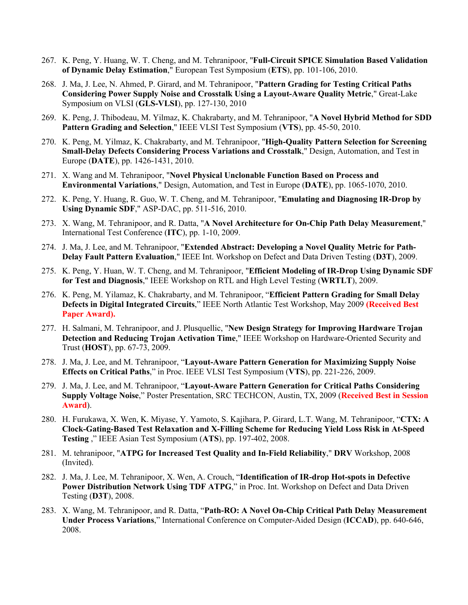- 267. K. Peng, Y. Huang, W. T. Cheng, and M. Tehranipoor, "**Full-Circuit SPICE Simulation Based Validation of Dynamic Delay Estimation**," European Test Symposium (**ETS**), pp. 101-106, 2010.
- 268. J. Ma, J. Lee, N. Ahmed, P. Girard, and M. Tehranipoor, "**Pattern Grading for Testing Critical Paths Considering Power Supply Noise and Crosstalk Using a Layout-Aware Quality Metric**," Great-Lake Symposium on VLSI (**GLS-VLSI**), pp. 127-130, 2010
- 269. K. Peng, J. Thibodeau, M. Yilmaz, K. Chakrabarty, and M. Tehranipoor, "**A Novel Hybrid Method for SDD Pattern Grading and Selection**," IEEE VLSI Test Symposium (**VTS**), pp. 45-50, 2010.
- 270. K. Peng, M. Yilmaz, K. Chakrabarty, and M. Tehranipoor, "**High-Quality Pattern Selection for Screening Small-Delay Defects Considering Process Variations and Crosstalk**," Design, Automation, and Test in Europe (**DATE**), pp. 1426-1431, 2010.
- 271. X. Wang and M. Tehranipoor, "**Novel Physical Unclonable Function Based on Process and Environmental Variations**," Design, Automation, and Test in Europe (**DATE**), pp. 1065-1070, 2010.
- 272. K. Peng, Y. Huang, R. Guo, W. T. Cheng, and M. Tehranipoor, "**Emulating and Diagnosing IR-Drop by Using Dynamic SDF**," ASP-DAC, pp. 511-516, 2010.
- 273. X. Wang, M. Tehranipoor, and R. Datta, "**A Novel Architecture for On-Chip Path Delay Measurement**," International Test Conference (**ITC**), pp. 1-10, 2009.
- 274. J. Ma, J. Lee, and M. Tehranipoor, "**Extended Abstract: Developing a Novel Quality Metric for Path-Delay Fault Pattern Evaluation**," IEEE Int. Workshop on Defect and Data Driven Testing (**D3T**), 2009.
- 275. K. Peng, Y. Huan, W. T. Cheng, and M. Tehranipoor, "**Efficient Modeling of IR-Drop Using Dynamic SDF for Test and Diagnosis**," IEEE Workshop on RTL and High Level Testing (**WRTLT**), 2009.
- 276. K. Peng, M. Yilamaz, K. Chakrabarty, and M. Tehranipoor, "**Efficient Pattern Grading for Small Delay Defects in Digital Integrated Circuits**," IEEE North Atlantic Test Workshop, May 2009 **(Received Best Paper Award).**
- 277. H. Salmani, M. Tehranipoor, and J. Plusquellic, "**New Design Strategy for Improving Hardware Trojan Detection and Reducing Trojan Activation Time**," IEEE Workshop on Hardware-Oriented Security and Trust (**HOST**), pp. 67-73, 2009.
- 278. J. Ma, J. Lee, and M. Tehranipoor, "**Layout-Aware Pattern Generation for Maximizing Supply Noise Effects on Critical Paths**," in Proc. IEEE VLSI Test Symposium (**VTS**), pp. 221-226, 2009.
- 279. J. Ma, J. Lee, and M. Tehranipoor, "**Layout-Aware Pattern Generation for Critical Paths Considering Supply Voltage Noise**," Poster Presentation, SRC TECHCON, Austin, TX, 2009 (**Received Best in Session Award**).
- 280. H. Furukawa, X. Wen, K. Miyase, Y. Yamoto, S. Kajihara, P. Girard, L.T. Wang, M. Tehranipoor, "**CTX: A Clock-Gating-Based Test Relaxation and X-Filling Scheme for Reducing Yield Loss Risk in At-Speed Testing** ," IEEE Asian Test Symposium (**ATS**), pp. 197-402, 2008.
- 281. M. tehranipoor, "**ATPG for Increased Test Quality and In-Field Reliability**," **DRV** Workshop, 2008 (Invited).
- 282. J. Ma, J. Lee, M. Tehranipoor, X. Wen, A. Crouch, "**Identification of IR-drop Hot-spots in Defective Power Distribution Network Using TDF ATPG**," in Proc. Int. Workshop on Defect and Data Driven Testing (**D3T**), 2008.
- 283. X. Wang, M. Tehranipoor, and R. Datta, "**Path-RO: A Novel On-Chip Critical Path Delay Measurement Under Process Variations**," International Conference on Computer-Aided Design (**ICCAD**), pp. 640-646, 2008.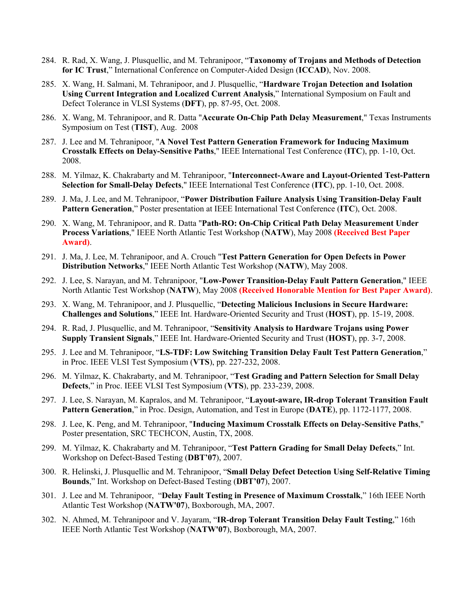- 284. R. Rad, X. Wang, J. Plusquellic, and M. Tehranipoor, "**Taxonomy of Trojans and Methods of Detection for IC Trust**," International Conference on Computer-Aided Design (**ICCAD**), Nov. 2008.
- 285. X. Wang, H. Salmani, M. Tehranipoor, and J. Plusquellic, "**Hardware Trojan Detection and Isolation Using Current Integration and Localized Current Analysis**," International Symposium on Fault and Defect Tolerance in VLSI Systems (**DFT**), pp. 87-95, Oct. 2008.
- 286. X. Wang, M. Tehranipoor, and R. Datta "**Accurate On-Chip Path Delay Measurement**," Texas Instruments Symposium on Test (**TIST**), Aug. 2008
- 287. J. Lee and M. Tehranipoor, "**A Novel Test Pattern Generation Framework for Inducing Maximum Crosstalk Effects on Delay-Sensitive Paths**," IEEE International Test Conference (**ITC**), pp. 1-10, Oct. 2008.
- 288. M. Yilmaz, K. Chakrabarty and M. Tehranipoor, "**Interconnect-Aware and Layout-Oriented Test-Pattern Selection for Small-Delay Defects**," IEEE International Test Conference (**ITC**), pp. 1-10, Oct. 2008.
- 289. J. Ma, J. Lee, and M. Tehranipoor, "**Power Distribution Failure Analysis Using Transition-Delay Fault Pattern Generation**," Poster presentation at IEEE International Test Conference (**ITC**), Oct. 2008.
- 290. X. Wang, M. Tehranipoor, and R. Datta "**Path-RO: On-Chip Critical Path Delay Measurement Under Process Variations**," IEEE North Atlantic Test Workshop (**NATW**), May 2008 **(Received Best Paper Award)**.
- 291. J. Ma, J. Lee, M. Tehranipoor, and A. Crouch "**Test Pattern Generation for Open Defects in Power Distribution Networks**," IEEE North Atlantic Test Workshop (**NATW**), May 2008.
- 292. J. Lee, S. Narayan, and M. Tehranipoor, "**Low-Power Transition-Delay Fault Pattern Generation**," IEEE North Atlantic Test Workshop (**NATW**), May 2008 **(Received Honorable Mention for Best Paper Award)**.
- 293. X. Wang, M. Tehranipoor, and J. Plusquellic, "**Detecting Malicious Inclusions in Secure Hardware: Challenges and Solutions**," IEEE Int. Hardware-Oriented Security and Trust (**HOST**), pp. 15-19, 2008.
- 294. R. Rad, J. Plusquellic, and M. Tehranipoor, "**Sensitivity Analysis to Hardware Trojans using Power Supply Transient Signals**," IEEE Int. Hardware-Oriented Security and Trust (**HOST**), pp. 3-7, 2008.
- 295. J. Lee and M. Tehranipoor, "**LS-TDF: Low Switching Transition Delay Fault Test Pattern Generation**," in Proc. IEEE VLSI Test Symposium (**VTS**), pp. 227-232, 2008.
- 296. M. Yilmaz, K. Chakrabarty, and M. Tehranipoor, "**Test Grading and Pattern Selection for Small Delay Defects**," in Proc. IEEE VLSI Test Symposium (**VTS**), pp. 233-239, 2008.
- 297. J. Lee, S. Narayan, M. Kapralos, and M. Tehranipoor, "**Layout-aware, IR-drop Tolerant Transition Fault Pattern Generation**," in Proc. Design, Automation, and Test in Europe (**DATE**), pp. 1172-1177, 2008.
- 298. J. Lee, K. Peng, and M. Tehranipoor, "**Inducing Maximum Crosstalk Effects on Delay-Sensitive Paths**," Poster presentation, SRC TECHCON, Austin, TX, 2008.
- 299. M. Yilmaz, K. Chakrabarty and M. Tehranipoor, "**Test Pattern Grading for Small Delay Defects**," Int. Workshop on Defect-Based Testing (**DBT'07**), 2007.
- 300. R. Helinski, J. Plusquellic and M. Tehranipoor, "**Small Delay Defect Detection Using Self-Relative Timing Bounds**," Int. Workshop on Defect-Based Testing (**DBT'07**), 2007.
- 301. J. Lee and M. Tehranipoor, "**Delay Fault Testing in Presence of Maximum Crosstalk**," 16th IEEE North Atlantic Test Workshop (**NATW'07**), Boxborough, MA, 2007.
- 302. N. Ahmed, M. Tehranipoor and V. Jayaram, "**IR-drop Tolerant Transition Delay Fault Testing**," 16th IEEE North Atlantic Test Workshop (**NATW'07**), Boxborough, MA, 2007.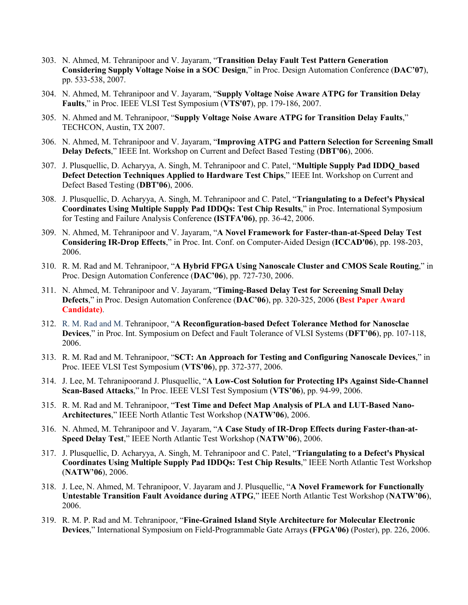- 303. N. Ahmed, M. Tehranipoor and V. Jayaram, "**Transition Delay Fault Test Pattern Generation Considering Supply Voltage Noise in a SOC Design**," in Proc. Design Automation Conference (**DAC'07**), pp. 533-538, 2007.
- 304. N. Ahmed, M. Tehranipoor and V. Jayaram, "**Supply Voltage Noise Aware ATPG for Transition Delay Faults**," in Proc. IEEE VLSI Test Symposium (**VTS'07**), pp. 179-186, 2007.
- 305. N. Ahmed and M. Tehranipoor, "**Supply Voltage Noise Aware ATPG for Transition Delay Faults**," TECHCON, Austin, TX 2007.
- 306. N. Ahmed, M. Tehranipoor and V. Jayaram, "**Improving ATPG and Pattern Selection for Screening Small Delay Defects**," IEEE Int. Workshop on Current and Defect Based Testing (**DBT'06**), 2006.
- 307. J. Plusquellic, D. Acharyya, A. Singh, M. Tehranipoor and C. Patel, "**Multiple Supply Pad IDDQ\_based Defect Detection Techniques Applied to Hardware Test Chips**," IEEE Int. Workshop on Current and Defect Based Testing (**DBT'06**), 2006.
- 308. J. Plusquellic, D. Acharyya, A. Singh, M. Tehranipoor and C. Patel, "**Triangulating to a Defect's Physical Coordinates Using Multiple Supply Pad IDDQs: Test Chip Results**," in Proc. International Symposium for Testing and Failure Analysis Conference **(ISTFA'06)**, pp. 36-42, 2006.
- 309. N. Ahmed, M. Tehranipoor and V. Jayaram, "**A Novel Framework for Faster-than-at-Speed Delay Test Considering IR-Drop Effects**," in Proc. Int. Conf. on Computer-Aided Design (**ICCAD'06**), pp. 198-203, 2006.
- 310. R. M. Rad and M. Tehranipoor, "**A Hybrid FPGA Using Nanoscale Cluster and CMOS Scale Routing**," in Proc. Design Automation Conference (**DAC'06**), pp. 727-730, 2006.
- 311. N. Ahmed, M. Tehranipoor and V. Jayaram, "**Timing-Based Delay Test for Screening Small Delay Defects**," in Proc. Design Automation Conference (**DAC'06**), pp. 320-325, 2006 **(Best Paper Award Candidate)**.
- 312. R. M. Rad and M. Tehranipoor, "**A Reconfiguration-based Defect Tolerance Method for Nanosclae Devices**," in Proc. Int. Symposium on Defect and Fault Tolerance of VLSI Systems (**DFT'06**), pp. 107-118, 2006.
- 313. R. M. Rad and M. Tehranipoor, "**SCT: An Approach for Testing and Configuring Nanoscale Devices**," in Proc. IEEE VLSI Test Symposium (**VTS'06**), pp. 372-377, 2006.
- 314. J. Lee, M. Tehranipoorand J. Plusquellic, "**A Low-Cost Solution for Protecting IPs Against Side-Channel Scan-Based Attacks**," In Proc. IEEE VLSI Test Symposium (**VTS'06**), pp. 94-99, 2006.
- 315. R. M. Rad and M. Tehranipoor, "**Test Time and Defect Map Analysis of PLA and LUT-Based Nano-Architectures**," IEEE North Atlantic Test Workshop (**NATW'06**), 2006.
- 316. N. Ahmed, M. Tehranipoor and V. Jayaram, "**A Case Study of IR-Drop Effects during Faster-than-at-Speed Delay Test**," IEEE North Atlantic Test Workshop (**NATW'06**), 2006.
- 317. J. Plusquellic, D. Acharyya, A. Singh, M. Tehranipoor and C. Patel, "**Triangulating to a Defect's Physical Coordinates Using Multiple Supply Pad IDDQs: Test Chip Results**," IEEE North Atlantic Test Workshop (**NATW'06**), 2006.
- 318. J. Lee, N. Ahmed, M. Tehranipoor, V. Jayaram and J. Plusquellic, "**A Novel Framework for Functionally Untestable Transition Fault Avoidance during ATPG**," IEEE North Atlantic Test Workshop (**NATW'06**), 2006.
- 319. R. M. P. Rad and M. Tehranipoor, "**Fine-Grained Island Style Architecture for Molecular Electronic Devices**," International Symposium on Field-Programmable Gate Arrays **(FPGA'06)** (Poster), pp. 226, 2006.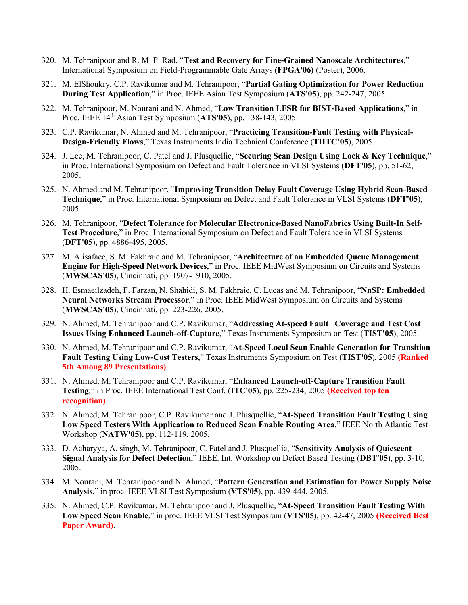- 320. M. Tehranipoor and R. M. P. Rad, "**Test and Recovery for Fine-Grained Nanoscale Architectures**," International Symposium on Field-Programmable Gate Arrays **(FPGA'06)** (Poster), 2006.
- 321. M. ElShoukry, C.P. Ravikumar and M. Tehranipoor, "**Partial Gating Optimization for Power Reduction During Test Application**," in Proc. IEEE Asian Test Symposium (**ATS'05**), pp. 242-247, 2005.
- 322. M. Tehranipoor, M. Nourani and N. Ahmed, "**Low Transition LFSR for BIST-Based Applications**," in Proc. IEEE 14th Asian Test Symposium (**ATS'05**), pp. 138-143, 2005.
- 323. C.P. Ravikumar, N. Ahmed and M. Tehranipoor, "**Practicing Transition-Fault Testing with Physical-Design-Friendly Flows**," Texas Instruments India Technical Conference (**TIITC'05**), 2005.
- 324. J. Lee, M. Tehranipoor, C. Patel and J. Plusquellic, "**Securing Scan Design Using Lock & Key Technique**," in Proc. International Symposium on Defect and Fault Tolerance in VLSI Systems (**DFT'05**), pp. 51-62, 2005.
- 325. N. Ahmed and M. Tehranipoor, "**Improving Transition Delay Fault Coverage Using Hybrid Scan-Based Technique**," in Proc. International Symposium on Defect and Fault Tolerance in VLSI Systems (**DFT'05**), 2005.
- 326. M. Tehranipoor, "**Defect Tolerance for Molecular Electronics-Based NanoFabrics Using Built-In Self-Test Procedure**," in Proc. International Symposium on Defect and Fault Tolerance in VLSI Systems (**DFT'05**), pp. 4886-495, 2005.
- 327. M. Alisafaee, S. M. Fakhraie and M. Tehranipoor, "**Architecture of an Embedded Queue Management Engine for High-Speed Network Devices**," in Proc. IEEE MidWest Symposium on Circuits and Systems (**MWSCAS'05**), Cincinnati, pp. 1907-1910, 2005.
- 328. H. Esmaeilzadeh, F. Farzan, N. Shahidi, S. M. Fakhraie, C. Lucas and M. Tehranipoor, "**NnSP: Embedded Neural Networks Stream Processor**," in Proc. IEEE MidWest Symposium on Circuits and Systems (**MWSCAS'05**), Cincinnati, pp. 223-226, 2005.
- 329. N. Ahmed, M. Tehranipoor and C.P. Ravikumar, "**Addressing At-speed Fault Coverage and Test Cost Issues Using Enhanced Launch-off-Capture**," Texas Instruments Symposium on Test (**TIST'05**), 2005.
- 330. N. Ahmed, M. Tehranipoor and C.P. Ravikumar, "**At-Speed Local Scan Enable Generation for Transition Fault Testing Using Low-Cost Testers**," Texas Instruments Symposium on Test (**TIST'05**), 2005 **(Ranked 5th Among 89 Presentations)**.
- 331. N. Ahmed, M. Tehranipoor and C.P. Ravikumar, "**Enhanced Launch-off-Capture Transition Fault Testing**," in Proc. IEEE International Test Conf. (**ITC'05**), pp. 225-234, 2005 **(Received top ten recognition)**.
- 332. N. Ahmed, M. Tehranipoor, C.P. Ravikumar and J. Plusquellic, "**At-Speed Transition Fault Testing Using Low Speed Testers With Application to Reduced Scan Enable Routing Area**," IEEE North Atlantic Test Workshop (**NATW'05**), pp. 112-119, 2005.
- 333. D. Acharyya, A. singh, M. Tehranipoor, C. Patel and J. Plusquellic, "**Sensitivity Analysis of Quiescent Signal Analysis for Defect Detection**," IEEE. Int. Workshop on Defect Based Testing (**DBT'05**), pp. 3-10, 2005.
- 334. M. Nourani, M. Tehranipoor and N. Ahmed, "**Pattern Generation and Estimation for Power Supply Noise Analysis**," in proc. IEEE VLSI Test Symposium (**VTS'05**), pp. 439-444, 2005.
- 335. N. Ahmed, C.P. Ravikumar, M. Tehranipoor and J. Plusquellic, "**At-Speed Transition Fault Testing With Low Speed Scan Enable**," in proc. IEEE VLSI Test Symposium (**VTS'05**), pp. 42-47, 2005 **(Received Best Paper Award)**.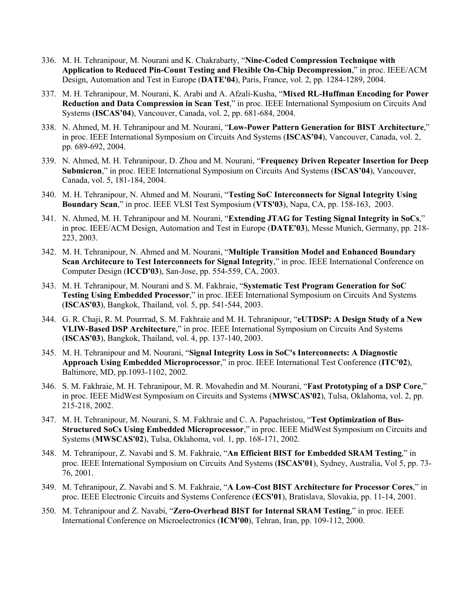- 336. M. H. Tehranipour, M. Nourani and K. Chakrabarty, "**Nine-Coded Compression Technique with Application to Reduced Pin-Count Testing and Flexible On-Chip Decompression**," in proc. IEEE/ACM Design, Automation and Test in Europe (**DATE'04**), Paris, France, vol. 2, pp. 1284-1289, 2004.
- 337. M. H. Tehranipour, M. Nourani, K. Arabi and A. Afzali-Kusha, "**Mixed RL-Huffman Encoding for Power Reduction and Data Compression in Scan Test**," in proc. IEEE International Symposium on Circuits And Systems (**ISCAS'04**), Vancouver, Canada, vol. 2, pp. 681-684, 2004.
- 338. N. Ahmed, M. H. Tehranipour and M. Nourani, "**Low-Power Pattern Generation for BIST Architecture**," in proc. IEEE International Symposium on Circuits And Systems (**ISCAS'04**), Vancouver, Canada, vol. 2, pp. 689-692, 2004.
- 339. N. Ahmed, M. H. Tehranipour, D. Zhou and M. Nourani, "**Frequency Driven Repeater Insertion for Deep Submicron**," in proc. IEEE International Symposium on Circuits And Systems (**ISCAS'04**), Vancouver, Canada, vol. 5, 181-184, 2004.
- 340. M. H. Tehranipour, N. Ahmed and M. Nourani, "**Testing SoC Interconnects for Signal Integrity Using Boundary Scan**," in proc. IEEE VLSI Test Symposium (**VTS'03**), Napa, CA, pp. 158-163, 2003.
- 341. N. Ahmed, M. H. Tehranipour and M. Nourani, "**Extending JTAG for Testing Signal Integrity in SoCs**," in proc. IEEE/ACM Design, Automation and Test in Europe (**DATE'03**), Messe Munich, Germany, pp. 218- 223, 2003.
- 342. M. H. Tehranipour, N. Ahmed and M. Nourani, "**Multiple Transition Model and Enhanced Boundary Scan Architecure to Test Interconnects for Signal Integrity**," in proc. IEEE International Conference on Computer Design (**ICCD'03**), San-Jose, pp. 554-559, CA, 2003.
- 343. M. H. Tehranipour, M. Nourani and S. M. Fakhraie, "**Systematic Test Program Generation for SoC Testing Using Embedded Processor**," in proc. IEEE International Symposium on Circuits And Systems (**ISCAS'03**), Bangkok, Thailand, vol. 5, pp. 541-544, 2003.
- 344. G. R. Chaji, R. M. Pourrrad, S. M. Fakhraie and M. H. Tehranipour, "**eUTDSP: A Design Study of a New VLIW-Based DSP Architecture**," in proc. IEEE International Symposium on Circuits And Systems (**ISCAS'03**), Bangkok, Thailand, vol. 4, pp. 137-140, 2003.
- 345. M. H. Tehranipour and M. Nourani, "**Signal Integrity Loss in SoC's Interconnects: A Diagnostic Approach Using Embedded Microprocessor**," in proc. IEEE International Test Conference (**ITC'02**), Baltimore, MD, pp.1093-1102, 2002.
- 346. S. M. Fakhraie, M. H. Tehranipour, M. R. Movahedin and M. Nourani, "**Fast Prototyping of a DSP Core**," in proc. IEEE MidWest Symposium on Circuits and Systems (**MWSCAS'02**), Tulsa, Oklahoma, vol. 2, pp. 215-218, 2002.
- 347. M. H. Tehranipour, M. Nourani, S. M. Fakhraie and C. A. Papachristou, "**Test Optimization of Bus-Structured SoCs Using Embedded Microprocessor**," in proc. IEEE MidWest Symposium on Circuits and Systems (**MWSCAS'02**), Tulsa, Oklahoma, vol. 1, pp. 168-171, 2002.
- 348. M. Tehranipour, Z. Navabi and S. M. Fakhraie, "**An Efficient BIST for Embedded SRAM Testing**," in proc. IEEE International Symposium on Circuits And Systems (**ISCAS'01**), Sydney, Australia, Vol 5, pp. 73- 76, 2001.
- 349. M. Tehranipour, Z. Navabi and S. M. Fakhraie, "**A Low-Cost BIST Architecture for Processor Cores**," in proc. IEEE Electronic Circuits and Systems Conference (**ECS'01**), Bratislava, Slovakia, pp. 11-14, 2001.
- 350. M. Tehranipour and Z. Navabi, "**Zero-Overhead BIST for Internal SRAM Testing**," in proc. IEEE International Conference on Microelectronics (**ICM'00**), Tehran, Iran, pp. 109-112, 2000.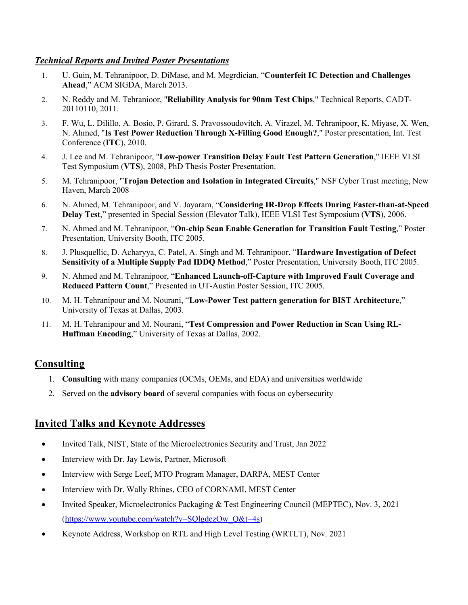### *Technical Reports and Invited Poster Presentations*

- 1. U. Guin, M. Tehranipoor, D. DiMase, and M. Megrdician, "**Counterfeit IC Detection and Challenges Ahead**," ACM SIGDA, March 2013.
- 2. N. Reddy and M. Tehranioor, "**Reliability Analysis for 90nm Test Chips**," Technical Reports, CADT-20110110, 2011.
- 3. F. Wu, L. Dilillo, A. Bosio, P. Girard, S. Pravossoudovitch, A. Virazel, M. Tehranipoor, K. Miyase, X. Wen, N. Ahmed, "**Is Test Power Reduction Through X-Filling Good Enough?**," Poster presentation, Int. Test Conference (**ITC**), 2010.
- 4. J. Lee and M. Tehranipoor, "**Low-power Transition Delay Fault Test Pattern Generation**," IEEE VLSI Test Symposium (**VTS**), 2008, PhD Thesis Poster Presentation.
- 5. M. Tehranipoor, "**Trojan Detection and Isolation in Integrated Circuits**," NSF Cyber Trust meeting, New Haven, March 2008
- 6. N. Ahmed, M. Tehranipoor, and V. Jayaram, "**Considering IR-Drop Effects During Faster-than-at-Speed Delay Test**," presented in Special Session (Elevator Talk), IEEE VLSI Test Symposium (**VTS**), 2006.
- 7. N. Ahmed and M. Tehranipoor, "**On-chip Scan Enable Generation for Transition Fault Testing**," Poster Presentation, University Booth, ITC 2005.
- 8. J. Plusquellic, D. Acharyya, C. Patel, A. Singh and M. Tehranipoor, "**Hardware Investigation of Defect Sensitivity of a Multiple Supply Pad IDDQ Method**," Poster Presentation, University Booth, ITC 2005.
- 9. N. Ahmed and M. Tehranipoor, "**Enhanced Launch-off-Capture with Improved Fault Coverage and Reduced Pattern Count**," Presented in UT-Austin Poster Session, ITC 2005.
- 10. M. H. Tehranipour and M. Nourani, "**Low-Power Test pattern generation for BIST Architecture**," University of Texas at Dallas, 2003.
- 11. M. H. Tehranipour and M. Nourani, "**Test Compression and Power Reduction in Scan Using RL-Huffman Encoding**," University of Texas at Dallas, 2002.

# **Consulting**

- 1. **Consulting** with many companies (OCMs, OEMs, and EDA) and universities worldwide
- 2. Served on the **advisory board** of several companies with focus on cybersecurity

## **Invited Talks and Keynote Addresses**

- Invited Talk, NIST, State of the Microelectronics Security and Trust, Jan 2022
- Interview with Dr. Jay Lewis, Partner, Microsoft
- Interview with Serge Leef, MTO Program Manager, DARPA, MEST Center
- Interview with Dr. Wally Rhines, CEO of CORNAMI, MEST Center
- Invited Speaker, Microelectronics Packaging & Test Engineering Council (MEPTEC), Nov. 3, 2021  $(htts://www.voutube.com/watch?v=SOlgdezOw Q&t=4s)$
- Keynote Address, Workshop on RTL and High Level Testing (WRTLT), Nov. 2021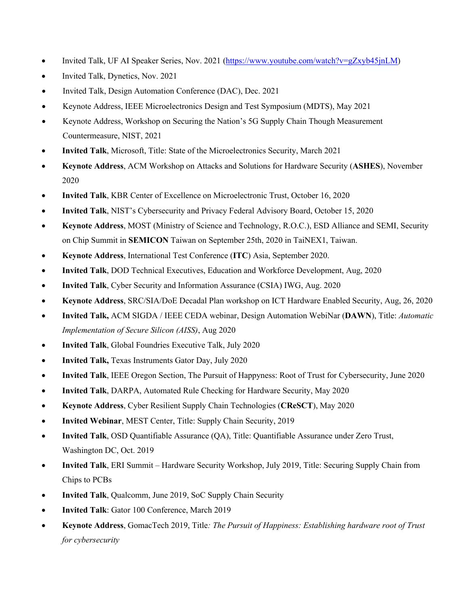- Invited Talk, UF AI Speaker Series, Nov. 2021 (https://www.youtube.com/watch?v=gZxyb45jnLM)
- Invited Talk, Dynetics, Nov. 2021
- Invited Talk, Design Automation Conference (DAC), Dec. 2021
- Keynote Address, IEEE Microelectronics Design and Test Symposium (MDTS), May 2021
- Keynote Address, Workshop on Securing the Nation's 5G Supply Chain Though Measurement Countermeasure, NIST, 2021
- **Invited Talk**, Microsoft, Title: State of the Microelectronics Security, March 2021
- **Keynote Address**, ACM Workshop on Attacks and Solutions for Hardware Security (**ASHES**), November 2020
- **Invited Talk**, KBR Center of Excellence on Microelectronic Trust, October 16, 2020
- **Invited Talk**, NIST's Cybersecurity and Privacy Federal Advisory Board, October 15, 2020
- **Keynote Address**, MOST (Ministry of Science and Technology, R.O.C.), ESD Alliance and SEMI, Security on Chip Summit in **SEMICON** Taiwan on September 25th, 2020 in TaiNEX1, Taiwan.
- **Keynote Address**, International Test Conference (**ITC**) Asia, September 2020.
- **Invited Talk**, DOD Technical Executives, Education and Workforce Development, Aug, 2020
- **Invited Talk**, Cyber Security and Information Assurance (CSIA) IWG, Aug. 2020
- **Keynote Address**, SRC/SIA/DoE Decadal Plan workshop on ICT Hardware Enabled Security, Aug, 26, 2020
- **Invited Talk,** ACM SIGDA / IEEE CEDA webinar, Design Automation WebiNar (**DAWN**), Title: *Automatic Implementation of Secure Silicon (AISS)*, Aug 2020
- **Invited Talk**, Global Foundries Executive Talk, July 2020
- **Invited Talk,** Texas Instruments Gator Day, July 2020
- **Invited Talk**, IEEE Oregon Section, The Pursuit of Happyness: Root of Trust for Cybersecurity, June 2020
- **Invited Talk**, DARPA, Automated Rule Checking for Hardware Security, May 2020
- **Keynote Address**, Cyber Resilient Supply Chain Technologies (**CReSCT**), May 2020
- **Invited Webinar**, MEST Center, Title: Supply Chain Security, 2019
- **Invited Talk**, OSD Quantifiable Assurance (QA), Title: Quantifiable Assurance under Zero Trust, Washington DC, Oct. 2019
- **Invited Talk**, ERI Summit Hardware Security Workshop, July 2019, Title: Securing Supply Chain from Chips to PCBs
- **Invited Talk**, Qualcomm, June 2019, SoC Supply Chain Security
- **Invited Talk**: Gator 100 Conference, March 2019
- **Keynote Address**, GomacTech 2019, Title*: The Pursuit of Happiness: Establishing hardware root of Trust for cybersecurity*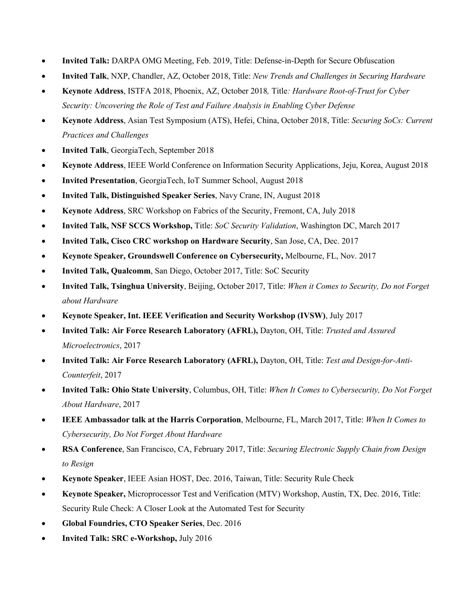- **Invited Talk:** DARPA OMG Meeting, Feb. 2019, Title: Defense-in-Depth for Secure Obfuscation
- **Invited Talk**, NXP, Chandler, AZ, October 2018, Title: *New Trends and Challenges in Securing Hardware*
- **Keynote Address**, ISTFA 2018, Phoenix, AZ, October 2018*,* Title*: Hardware Root-of-Trust for Cyber Security: Uncovering the Role of Test and Failure Analysis in Enabling Cyber Defense*
- **Keynote Address**, Asian Test Symposium (ATS), Hefei, China, October 2018, Title: *Securing SoCs: Current Practices and Challenges*
- **Invited Talk**, GeorgiaTech, September 2018
- **Keynote Address**, IEEE World Conference on Information Security Applications, Jeju, Korea, August 2018
- **Invited Presentation**, GeorgiaTech, IoT Summer School, August 2018
- **Invited Talk, Distinguished Speaker Series**, Navy Crane, IN, August 2018
- **Keynote Address**, SRC Workshop on Fabrics of the Security, Fremont, CA, July 2018
- **Invited Talk, NSF SCCS Workshop,** Title: *SoC Security Validation*, Washington DC, March 2017
- **Invited Talk, Cisco CRC workshop on Hardware Security**, San Jose, CA, Dec. 2017
- **Keynote Speaker, Groundswell Conference on Cybersecurity,** Melbourne, FL, Nov. 2017
- **Invited Talk, Qualcomm**, San Diego, October 2017, Title: SoC Security
- **Invited Talk, Tsinghua University**, Beijing, October 2017, Title: *When it Comes to Security, Do not Forget about Hardware*
- **Keynote Speaker, Int. IEEE Verification and Security Workshop (IVSW)**, July 2017
- **Invited Talk: Air Force Research Laboratory (AFRL),** Dayton, OH, Title: *Trusted and Assured Microelectronics*, 2017
- **Invited Talk: Air Force Research Laboratory (AFRL),** Dayton, OH, Title: *Test and Design-for-Anti-Counterfeit*, 2017
- **Invited Talk: Ohio State University**, Columbus, OH, Title: *When It Comes to Cybersecurity, Do Not Forget About Hardware*, 2017
- **IEEE Ambassador talk at the Harris Corporation**, Melbourne, FL, March 2017, Title: *When It Comes to Cybersecurity, Do Not Forget About Hardware*
- **RSA Conference**, San Francisco, CA, February 2017, Title: *Securing Electronic Supply Chain from Design to Resign*
- **Keynote Speaker**, IEEE Asian HOST, Dec. 2016, Taiwan, Title: Security Rule Check
- **Keynote Speaker,** Microprocessor Test and Verification (MTV) Workshop, Austin, TX, Dec. 2016, Title: Security Rule Check: A Closer Look at the Automated Test for Security
- **Global Foundries, CTO Speaker Series**, Dec. 2016
- **Invited Talk: SRC e-Workshop,** July 2016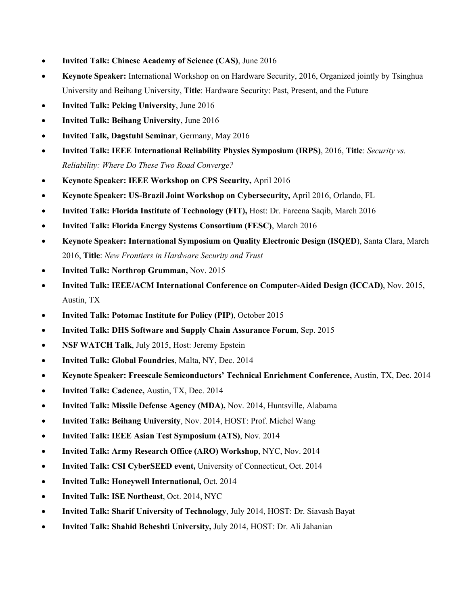- **Invited Talk: Chinese Academy of Science (CAS)**, June 2016
- **Keynote Speaker:** International Workshop on on Hardware Security, 2016, Organized jointly by Tsinghua University and Beihang University, **Title**: Hardware Security: Past, Present, and the Future
- **Invited Talk: Peking University**, June 2016
- **Invited Talk: Beihang University**, June 2016
- **Invited Talk, Dagstuhl Seminar**, Germany, May 2016
- **Invited Talk: IEEE International Reliability Physics Symposium (IRPS)**, 2016, **Title**: *Security vs. Reliability: Where Do These Two Road Converge?*
- **Keynote Speaker: IEEE Workshop on CPS Security,** April 2016
- **Keynote Speaker: US-Brazil Joint Workshop on Cybersecurity,** April 2016, Orlando, FL
- **Invited Talk: Florida Institute of Technology (FIT),** Host: Dr. Fareena Saqib, March 2016
- **Invited Talk: Florida Energy Systems Consortium (FESC)**, March 2016
- **Keynote Speaker: International Symposium on Quality Electronic Design (ISQED**), Santa Clara, March 2016, **Title**: *New Frontiers in Hardware Security and Trust*
- **Invited Talk: Northrop Grumman,** Nov. 2015
- **Invited Talk: IEEE/ACM International Conference on Computer-Aided Design (ICCAD)**, Nov. 2015, Austin, TX
- **Invited Talk: Potomac Institute for Policy (PIP)**, October 2015
- **Invited Talk: DHS Software and Supply Chain Assurance Forum**, Sep. 2015
- **NSF WATCH Talk, July 2015, Host: Jeremy Epstein**
- **Invited Talk: Global Foundries**, Malta, NY, Dec. 2014
- **Keynote Speaker: Freescale Semiconductors' Technical Enrichment Conference,** Austin, TX, Dec. 2014
- **Invited Talk: Cadence,** Austin, TX, Dec. 2014
- **Invited Talk: Missile Defense Agency (MDA),** Nov. 2014, Huntsville, Alabama
- **Invited Talk: Beihang University**, Nov. 2014, HOST: Prof. Michel Wang
- **Invited Talk: IEEE Asian Test Symposium (ATS)**, Nov. 2014
- **Invited Talk: Army Research Office (ARO) Workshop**, NYC, Nov. 2014
- **Invited Talk: CSI CyberSEED event,** University of Connecticut, Oct. 2014
- **Invited Talk: Honeywell International,** Oct. 2014
- **Invited Talk: ISE Northeast**, Oct. 2014, NYC
- **Invited Talk: Sharif University of Technology**, July 2014, HOST: Dr. Siavash Bayat
- **Invited Talk: Shahid Beheshti University,** July 2014, HOST: Dr. Ali Jahanian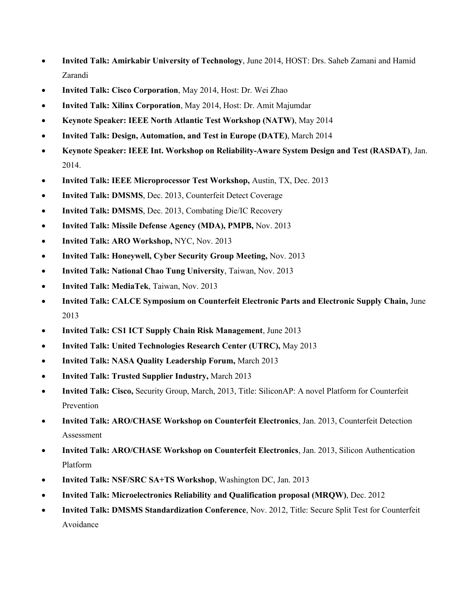- **Invited Talk: Amirkabir University of Technology**, June 2014, HOST: Drs. Saheb Zamani and Hamid Zarandi
- **Invited Talk: Cisco Corporation**, May 2014, Host: Dr. Wei Zhao
- **Invited Talk: Xilinx Corporation**, May 2014, Host: Dr. Amit Majumdar
- **Keynote Speaker: IEEE North Atlantic Test Workshop (NATW)**, May 2014
- **Invited Talk: Design, Automation, and Test in Europe (DATE)**, March 2014
- **Keynote Speaker: IEEE Int. Workshop on Reliability-Aware System Design and Test (RASDAT)**, Jan. 2014.
- **Invited Talk: IEEE Microprocessor Test Workshop,** Austin, TX, Dec. 2013
- **Invited Talk: DMSMS**, Dec. 2013, Counterfeit Detect Coverage
- **Invited Talk: DMSMS**, Dec. 2013, Combating Die/IC Recovery
- **Invited Talk: Missile Defense Agency (MDA), PMPB,** Nov. 2013
- **Invited Talk: ARO Workshop,** NYC, Nov. 2013
- **Invited Talk: Honeywell, Cyber Security Group Meeting,** Nov. 2013
- **Invited Talk: National Chao Tung University**, Taiwan, Nov. 2013
- **Invited Talk: MediaTek**, Taiwan, Nov. 2013
- **Invited Talk: CALCE Symposium on Counterfeit Electronic Parts and Electronic Supply Chain,** June 2013
- **Invited Talk: CS1 ICT Supply Chain Risk Management**, June 2013
- **Invited Talk: United Technologies Research Center (UTRC),** May 2013
- **Invited Talk: NASA Quality Leadership Forum,** March 2013
- **Invited Talk: Trusted Supplier Industry,** March 2013
- **Invited Talk: Cisco,** Security Group, March, 2013, Title: SiliconAP: A novel Platform for Counterfeit Prevention
- **Invited Talk: ARO/CHASE Workshop on Counterfeit Electronics**, Jan. 2013, Counterfeit Detection Assessment
- **Invited Talk: ARO/CHASE Workshop on Counterfeit Electronics**, Jan. 2013, Silicon Authentication Platform
- **Invited Talk: NSF/SRC SA+TS Workshop**, Washington DC, Jan. 2013
- **Invited Talk: Microelectronics Reliability and Qualification proposal (MRQW)**, Dec. 2012
- **Invited Talk: DMSMS Standardization Conference**, Nov. 2012, Title: Secure Split Test for Counterfeit Avoidance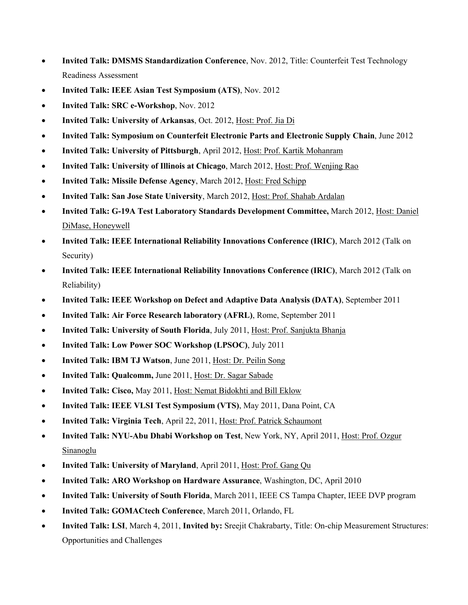- **Invited Talk: DMSMS Standardization Conference**, Nov. 2012, Title: Counterfeit Test Technology Readiness Assessment
- **Invited Talk: IEEE Asian Test Symposium (ATS)**, Nov. 2012
- **Invited Talk: SRC e-Workshop**, Nov. 2012
- **Invited Talk: University of Arkansas**, Oct. 2012, Host: Prof. Jia Di
- **Invited Talk: Symposium on Counterfeit Electronic Parts and Electronic Supply Chain**, June 2012
- **Invited Talk: University of Pittsburgh**, April 2012, Host: Prof. Kartik Mohanram
- **Invited Talk: University of Illinois at Chicago**, March 2012, Host: Prof. Wenjing Rao
- **Invited Talk: Missile Defense Agency**, March 2012, Host: Fred Schipp
- **Invited Talk: San Jose State University**, March 2012, Host: Prof. Shahab Ardalan
- **Invited Talk: G-19A Test Laboratory Standards Development Committee,** March 2012, Host: Daniel DiMase, Honeywell
- **Invited Talk: IEEE International Reliability Innovations Conference (IRIC)**, March 2012 (Talk on Security)
- **Invited Talk: IEEE International Reliability Innovations Conference (IRIC)**, March 2012 (Talk on Reliability)
- **Invited Talk: IEEE Workshop on Defect and Adaptive Data Analysis (DATA)**, September 2011
- **Invited Talk: Air Force Research laboratory (AFRL)**, Rome, September 2011
- **Invited Talk: University of South Florida**, July 2011, Host: Prof. Sanjukta Bhanja
- **Invited Talk: Low Power SOC Workshop (LPSOC)**, July 2011
- **Invited Talk: IBM TJ Watson**, June 2011, Host: Dr. Peilin Song
- **Invited Talk: Qualcomm,** June 2011, Host: Dr. Sagar Sabade
- **Invited Talk: Cisco,** May 2011, Host: Nemat Bidokhti and Bill Eklow
- **Invited Talk: IEEE VLSI Test Symposium (VTS)**, May 2011, Dana Point, CA
- **Invited Talk: Virginia Tech**, April 22, 2011, Host: Prof. Patrick Schaumont
- **Invited Talk: NYU-Abu Dhabi Workshop on Test**, New York, NY, April 2011, Host: Prof. Ozgur Sinanoglu
- **Invited Talk: University of Maryland**, April 2011, Host: Prof. Gang Qu
- **Invited Talk: ARO Workshop on Hardware Assurance**, Washington, DC, April 2010
- **Invited Talk: University of South Florida**, March 2011, IEEE CS Tampa Chapter, IEEE DVP program
- **Invited Talk: GOMACtech Conference**, March 2011, Orlando, FL
- **Invited Talk: LSI**, March 4, 2011, **Invited by:** Sreejit Chakrabarty, Title: On-chip Measurement Structures: Opportunities and Challenges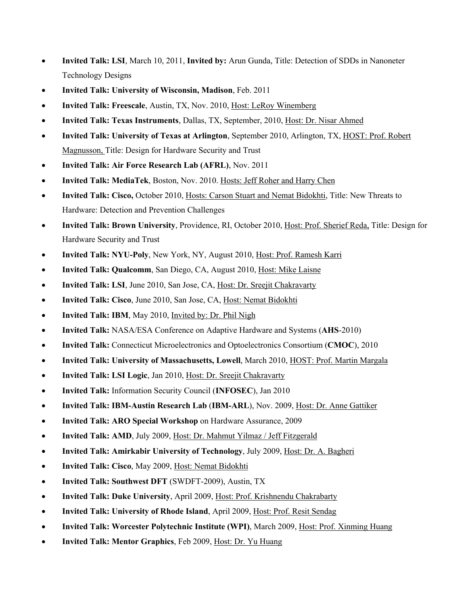- **Invited Talk: LSI**, March 10, 2011, **Invited by:** Arun Gunda, Title: Detection of SDDs in Nanoneter Technology Designs
- **Invited Talk: University of Wisconsin, Madison**, Feb. 2011
- **Invited Talk: Freescale**, Austin, TX, Nov. 2010, Host: LeRoy Winemberg
- **Invited Talk: Texas Instruments**, Dallas, TX, September, 2010, Host: Dr. Nisar Ahmed
- **Invited Talk: University of Texas at Arlington**, September 2010, Arlington, TX, HOST: Prof. Robert Magnusson, Title: Design for Hardware Security and Trust
- **Invited Talk: Air Force Research Lab (AFRL)**, Nov. 2011
- **Invited Talk: MediaTek**, Boston, Nov. 2010. Hosts: Jeff Roher and Harry Chen
- **Invited Talk: Cisco,** October 2010, Hosts: Carson Stuart and Nemat Bidokhti, Title: New Threats to Hardware: Detection and Prevention Challenges
- **Invited Talk: Brown University**, Providence, RI, October 2010, Host: Prof. Sherief Reda, Title: Design for Hardware Security and Trust
- **Invited Talk: NYU-Poly**, New York, NY, August 2010, Host: Prof. Ramesh Karri
- **Invited Talk: Qualcomm**, San Diego, CA, August 2010, Host: Mike Laisne
- **Invited Talk: LSI**, June 2010, San Jose, CA, Host: Dr. Sreejit Chakravarty
- **Invited Talk: Cisco**, June 2010, San Jose, CA, Host: Nemat Bidokhti
- **Invited Talk: IBM**, May 2010, Invited by: Dr. Phil Nigh
- **Invited Talk:** NASA/ESA Conference on Adaptive Hardware and Systems (**AHS**-2010)
- **Invited Talk:** Connecticut Microelectronics and Optoelectronics Consortium (**CMOC**), 2010
- **Invited Talk: University of Massachusetts, Lowell**, March 2010, HOST: Prof. Martin Margala
- **Invited Talk: LSI Logic**, Jan 2010, Host: Dr. Sreejit Chakravarty
- **Invited Talk:** Information Security Council (**INFOSEC**), Jan 2010
- **Invited Talk: IBM-Austin Research Lab** (**IBM-ARL**), Nov. 2009, Host: Dr. Anne Gattiker
- **Invited Talk: ARO Special Workshop** on Hardware Assurance, 2009
- **Invited Talk: AMD**, July 2009, Host: Dr. Mahmut Yilmaz / Jeff Fitzgerald
- **Invited Talk: Amirkabir University of Technology**, July 2009, Host: Dr. A. Bagheri
- **Invited Talk: Cisco**, May 2009, Host: Nemat Bidokhti
- **Invited Talk: Southwest DFT** (SWDFT-2009), Austin, TX
- **Invited Talk: Duke University**, April 2009, Host: Prof. Krishnendu Chakrabarty
- **Invited Talk: University of Rhode Island**, April 2009, Host: Prof. Resit Sendag
- **Invited Talk: Worcester Polytechnic Institute (WPI)**, March 2009, Host: Prof. Xinming Huang
- **Invited Talk: Mentor Graphics**, Feb 2009, Host: Dr. Yu Huang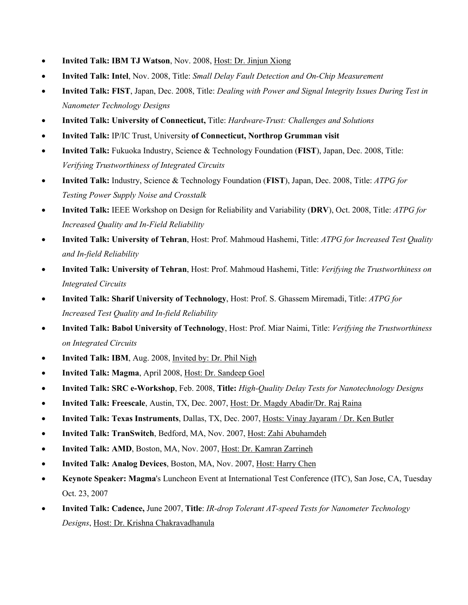- **Invited Talk: IBM TJ Watson**, Nov. 2008, Host: Dr. Jinjun Xiong
- **Invited Talk: Intel**, Nov. 2008, Title: *Small Delay Fault Detection and On-Chip Measurement*
- **Invited Talk: FIST**, Japan, Dec. 2008, Title: *Dealing with Power and Signal Integrity Issues During Test in Nanometer Technology Designs*
- **Invited Talk: University of Connecticut,** Title: *Hardware-Trust: Challenges and Solutions*
- **Invited Talk:** IP/IC Trust, University **of Connecticut, Northrop Grumman visit**
- **Invited Talk:** Fukuoka Industry, Science & Technology Foundation (**FIST**), Japan, Dec. 2008, Title: *Verifying Trustworthiness of Integrated Circuits*
- **Invited Talk:** Industry, Science & Technology Foundation (**FIST**), Japan, Dec. 2008, Title: *ATPG for Testing Power Supply Noise and Crosstalk*
- **Invited Talk:** IEEE Workshop on Design for Reliability and Variability (**DRV**), Oct. 2008, Title: *ATPG for Increased Quality and In-Field Reliability*
- **Invited Talk: University of Tehran**, Host: Prof. Mahmoud Hashemi, Title: *ATPG for Increased Test Quality and In-field Reliability*
- **Invited Talk: University of Tehran**, Host: Prof. Mahmoud Hashemi, Title: *Verifying the Trustworthiness on Integrated Circuits*
- **Invited Talk: Sharif University of Technology**, Host: Prof. S. Ghassem Miremadi, Title: *ATPG for Increased Test Quality and In-field Reliability*
- **Invited Talk: Babol University of Technology**, Host: Prof. Miar Naimi, Title: *Verifying the Trustworthiness on Integrated Circuits*
- **Invited Talk: IBM**, Aug. 2008, *Invited by: Dr. Phil Nigh*
- **Invited Talk: Magma**, April 2008, Host: Dr. Sandeep Goel
- **Invited Talk: SRC e-Workshop**, Feb. 2008, **Title:** *High-Quality Delay Tests for Nanotechnology Designs*
- **Invited Talk: Freescale**, Austin, TX, Dec. 2007, Host: Dr. Magdy Abadir/Dr. Raj Raina
- **Invited Talk: Texas Instruments**, Dallas, TX, Dec. 2007, Hosts: Vinay Jayaram / Dr. Ken Butler
- **Invited Talk: TranSwitch**, Bedford, MA, Nov. 2007, Host: Zahi Abuhamdeh
- **Invited Talk: AMD**, Boston, MA, Nov. 2007, Host: Dr. Kamran Zarrineh
- **Invited Talk: Analog Devices**, Boston, MA, Nov. 2007, Host: Harry Chen
- **Keynote Speaker: Magma**'s Luncheon Event at International Test Conference (ITC), San Jose, CA, Tuesday Oct. 23, 2007
- **Invited Talk: Cadence,** June 2007, **Title**: *IR-drop Tolerant AT-speed Tests for Nanometer Technology Designs*, Host: Dr. Krishna Chakravadhanula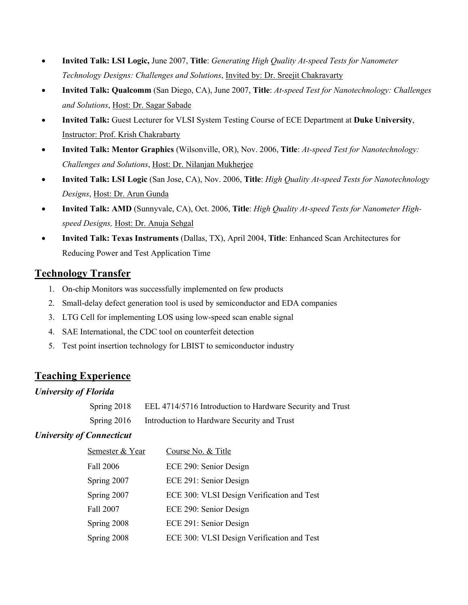- **Invited Talk: LSI Logic,** June 2007, **Title**: *Generating High Quality At-speed Tests for Nanometer Technology Designs: Challenges and Solutions*, Invited by: Dr. Sreejit Chakravarty
- **Invited Talk: Qualcomm** (San Diego, CA), June 2007, **Title**: *At-speed Test for Nanotechnology: Challenges and Solutions*, Host: Dr. Sagar Sabade
- **Invited Talk:** Guest Lecturer for VLSI System Testing Course of ECE Department at **Duke University**, Instructor: Prof. Krish Chakrabarty
- **Invited Talk: Mentor Graphics** (Wilsonville, OR), Nov. 2006, **Title**: *At-speed Test for Nanotechnology: Challenges and Solutions*, Host: Dr. Nilanjan Mukherjee
- **Invited Talk: LSI Logic** (San Jose, CA), Nov. 2006, **Title**: *High Quality At-speed Tests for Nanotechnology Designs*, Host: Dr. Arun Gunda
- **Invited Talk: AMD** (Sunnyvale, CA), Oct. 2006, **Title**: *High Quality At-speed Tests for Nanometer Highspeed Designs,* Host: Dr. Anuja Sehgal
- **Invited Talk: Texas Instruments** (Dallas, TX), April 2004, **Title**: Enhanced Scan Architectures for Reducing Power and Test Application Time

# **Technology Transfer**

- 1. On-chip Monitors was successfully implemented on few products
- 2. Small-delay defect generation tool is used by semiconductor and EDA companies
- 3. LTG Cell for implementing LOS using low-speed scan enable signal
- 4. SAE International, the CDC tool on counterfeit detection
- 5. Test point insertion technology for LBIST to semiconductor industry

# **Teaching Experience**

## *University of Florida*

| Spring 2018 | EEL 4714/5716 Introduction to Hardware Security and Trust |
|-------------|-----------------------------------------------------------|
| Spring 2016 | Introduction to Hardware Security and Trust               |

## *University of Connecticut*

| Semester & Year | Course No. & Title                         |
|-----------------|--------------------------------------------|
| Fall 2006       | ECE 290: Senior Design                     |
| Spring 2007     | ECE 291: Senior Design                     |
| Spring 2007     | ECE 300: VLSI Design Verification and Test |
| Fall 2007       | ECE 290: Senior Design                     |
| Spring 2008     | ECE 291: Senior Design                     |
| Spring 2008     | ECE 300: VLSI Design Verification and Test |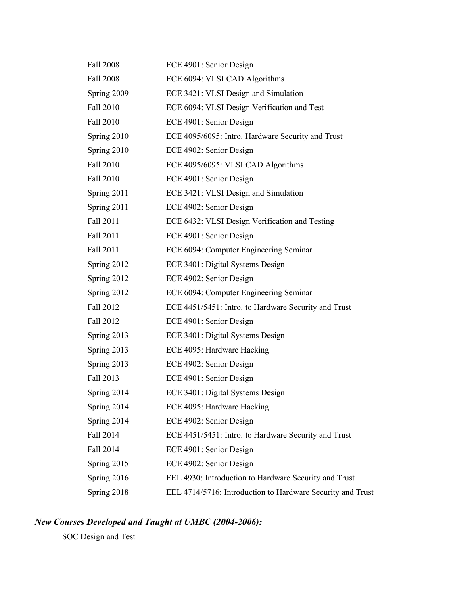| <b>Fall 2008</b> | ECE 4901: Senior Design                                    |
|------------------|------------------------------------------------------------|
| Fall 2008        | ECE 6094: VLSI CAD Algorithms                              |
| Spring 2009      | ECE 3421: VLSI Design and Simulation                       |
| Fall 2010        | ECE 6094: VLSI Design Verification and Test                |
| Fall 2010        | ECE 4901: Senior Design                                    |
| Spring 2010      | ECE 4095/6095: Intro. Hardware Security and Trust          |
| Spring 2010      | ECE 4902: Senior Design                                    |
| Fall 2010        | ECE 4095/6095: VLSI CAD Algorithms                         |
| Fall 2010        | ECE 4901: Senior Design                                    |
| Spring $2011$    | ECE 3421: VLSI Design and Simulation                       |
| Spring 2011      | ECE 4902: Senior Design                                    |
| Fall 2011        | ECE 6432: VLSI Design Verification and Testing             |
| Fall 2011        | ECE 4901: Senior Design                                    |
| Fall 2011        | ECE 6094: Computer Engineering Seminar                     |
| Spring $2012$    | ECE 3401: Digital Systems Design                           |
| Spring 2012      | ECE 4902: Senior Design                                    |
| Spring 2012      | ECE 6094: Computer Engineering Seminar                     |
| Fall 2012        | ECE 4451/5451: Intro. to Hardware Security and Trust       |
| Fall 2012        | ECE 4901: Senior Design                                    |
| Spring 2013      | ECE 3401: Digital Systems Design                           |
| Spring 2013      | ECE 4095: Hardware Hacking                                 |
| Spring 2013      | ECE 4902: Senior Design                                    |
| Fall 2013        | ECE 4901: Senior Design                                    |
| Spring 2014      | ECE 3401: Digital Systems Design                           |
| Spring 2014      | ECE 4095: Hardware Hacking                                 |
| Spring 2014      | ECE 4902: Senior Design                                    |
| Fall 2014        | ECE 4451/5451: Intro. to Hardware Security and Trust       |
| Fall 2014        | ECE 4901: Senior Design                                    |
| Spring 2015      | ECE 4902: Senior Design                                    |
| Spring 2016      | EEL 4930: Introduction to Hardware Security and Trust      |
| Spring 2018      | EEL 4714/5716: Introduction to Hardware Security and Trust |

# *New Courses Developed and Taught at UMBC (2004-2006):*

SOC Design and Test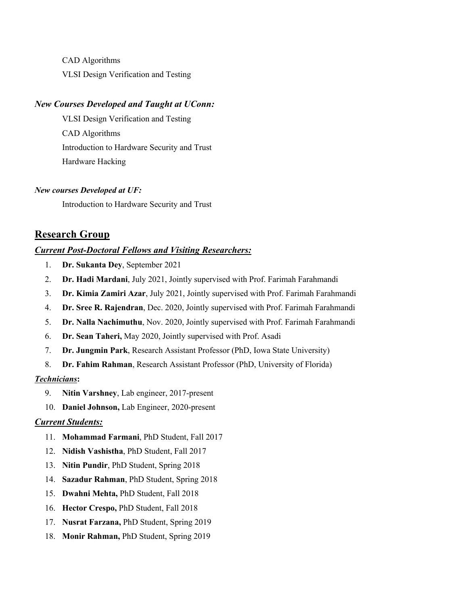CAD Algorithms VLSI Design Verification and Testing

### *New Courses Developed and Taught at UConn:*

VLSI Design Verification and Testing CAD Algorithms Introduction to Hardware Security and Trust Hardware Hacking

#### *New courses Developed at UF:*

Introduction to Hardware Security and Trust

## **Research Group**

#### *Current Post-Doctoral Fellows and Visiting Researchers:*

- 1. **Dr. Sukanta Dey**, September 2021
- 2. **Dr. Hadi Mardani**, July 2021, Jointly supervised with Prof. Farimah Farahmandi
- 3. **Dr. Kimia Zamiri Azar**, July 2021, Jointly supervised with Prof. Farimah Farahmandi
- 4. **Dr. Sree R. Rajendran**, Dec. 2020, Jointly supervised with Prof. Farimah Farahmandi
- 5. **Dr. Nalla Nachimuthu**, Nov. 2020, Jointly supervised with Prof. Farimah Farahmandi
- 6. **Dr. Sean Taheri,** May 2020, Jointly supervised with Prof. Asadi
- 7. **Dr. Jungmin Park**, Research Assistant Professor (PhD, Iowa State University)
- 8. **Dr. Fahim Rahman**, Research Assistant Professor (PhD, University of Florida)

#### *Technicians***:**

- 9. **Nitin Varshney**, Lab engineer, 2017-present
- 10. **Daniel Johnson,** Lab Engineer, 2020-present

#### *Current Students:*

- 11. **Mohammad Farmani**, PhD Student, Fall 2017
- 12. **Nidish Vashistha**, PhD Student, Fall 2017
- 13. **Nitin Pundir**, PhD Student, Spring 2018
- 14. **Sazadur Rahman**, PhD Student, Spring 2018
- 15. **Dwahni Mehta,** PhD Student, Fall 2018
- 16. **Hector Crespo,** PhD Student, Fall 2018
- 17. **Nusrat Farzana,** PhD Student, Spring 2019
- 18. **Monir Rahman,** PhD Student, Spring 2019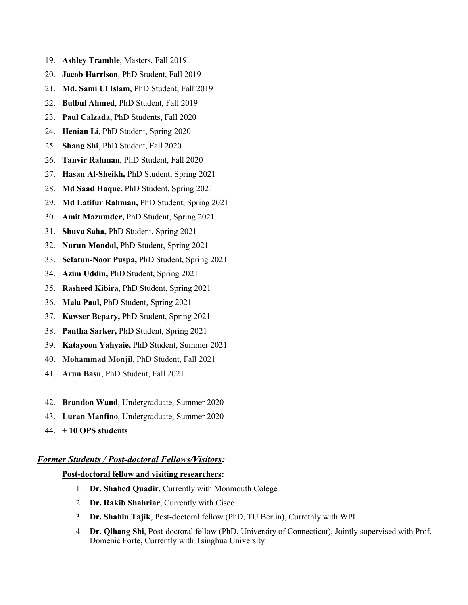- 19. **Ashley Tramble**, Masters, Fall 2019
- 20. **Jacob Harrison**, PhD Student, Fall 2019
- 21. **Md. Sami Ul Islam**, PhD Student, Fall 2019
- 22. **Bulbul Ahmed**, PhD Student, Fall 2019
- 23. **Paul Calzada**, PhD Students, Fall 2020
- 24. **Henian Li**, PhD Student, Spring 2020
- 25. **Shang Shi**, PhD Student, Fall 2020
- 26. **Tanvir Rahman**, PhD Student, Fall 2020
- 27. **Hasan Al-Sheikh,** PhD Student, Spring 2021
- 28. **Md Saad Haque,** PhD Student, Spring 2021
- 29. **Md Latifur Rahman,** PhD Student, Spring 2021
- 30. **Amit Mazumder,** PhD Student, Spring 2021
- 31. **Shuva Saha,** PhD Student, Spring 2021
- 32. **Nurun Mondol,** PhD Student, Spring 2021
- 33. **Sefatun-Noor Puspa,** PhD Student, Spring 2021
- 34. **Azim Uddin,** PhD Student, Spring 2021
- 35. **Rasheed Kibira,** PhD Student, Spring 2021
- 36. **Mala Paul,** PhD Student, Spring 2021
- 37. **Kawser Bepary,** PhD Student, Spring 2021
- 38. **Pantha Sarker,** PhD Student, Spring 2021
- 39. **Katayoon Yahyaie,** PhD Student, Summer 2021
- 40. **Mohammad Monjil**, PhD Student, Fall 2021
- 41. **Arun Basu**, PhD Student, Fall 2021
- 42. **Brandon Wand**, Undergraduate, Summer 2020
- 43. **Luran Manfino**, Undergraduate, Summer 2020
- 44. **+ 10 OPS students**

#### *Former Students / Post-doctoral Fellows/Visitors:*

#### **Post-doctoral fellow and visiting researchers:**

- 1. **Dr. Shahed Quadir**, Currently with Monmouth Colege
- 2. **Dr. Rakib Shahriar**, Currently with Cisco
- 3. **Dr. Shahin Tajik**, Post-doctoral fellow (PhD, TU Berlin), Curretnly with WPI
- 4. **Dr. Qihang Shi**, Post-doctoral fellow (PhD, University of Connecticut), Jointly supervised with Prof. Domenic Forte, Currently with Tsinghua University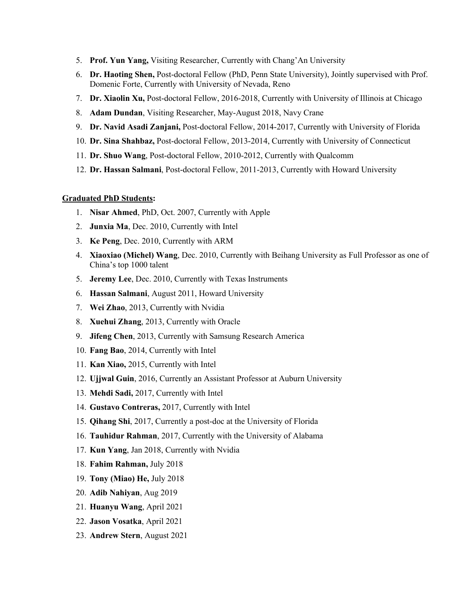- 5. **Prof. Yun Yang,** Visiting Researcher, Currently with Chang'An University
- 6. **Dr. Haoting Shen,** Post-doctoral Fellow (PhD, Penn State University), Jointly supervised with Prof. Domenic Forte, Currently with University of Nevada, Reno
- 7. **Dr. Xiaolin Xu,** Post-doctoral Fellow, 2016-2018, Currently with University of Illinois at Chicago
- 8. **Adam Dundan**, Visiting Researcher, May-August 2018, Navy Crane
- 9. **Dr. Navid Asadi Zanjani,** Post-doctoral Fellow, 2014-2017, Currently with University of Florida
- 10. **Dr. Sina Shahbaz,** Post-doctoral Fellow, 2013-2014, Currently with University of Connecticut
- 11. **Dr. Shuo Wang**, Post-doctoral Fellow, 2010-2012, Currently with Qualcomm
- 12. **Dr. Hassan Salmani**, Post-doctoral Fellow, 2011-2013, Currently with Howard University

#### **Graduated PhD Students:**

- 1. **Nisar Ahmed**, PhD, Oct. 2007, Currently with Apple
- 2. **Junxia Ma**, Dec. 2010, Currently with Intel
- 3. **Ke Peng**, Dec. 2010, Currently with ARM
- 4. **Xiaoxiao (Michel) Wang**, Dec. 2010, Currently with Beihang University as Full Professor as one of China's top 1000 talent
- 5. **Jeremy Lee**, Dec. 2010, Currently with Texas Instruments
- 6. **Hassan Salmani**, August 2011, Howard University
- 7. **Wei Zhao**, 2013, Currently with Nvidia
- 8. **Xuehui Zhang**, 2013, Currently with Oracle
- 9. **Jifeng Chen**, 2013, Currently with Samsung Research America
- 10. **Fang Bao**, 2014, Currently with Intel
- 11. **Kan Xiao,** 2015, Currently with Intel
- 12. **Ujjwal Guin**, 2016, Currently an Assistant Professor at Auburn University
- 13. **Mehdi Sadi,** 2017, Currently with Intel
- 14. **Gustavo Contreras,** 2017, Currently with Intel
- 15. **Qihang Shi**, 2017, Currently a post-doc at the University of Florida
- 16. **Tauhidur Rahman**, 2017, Currently with the University of Alabama
- 17. **Kun Yang**, Jan 2018, Currently with Nvidia
- 18. **Fahim Rahman,** July 2018
- 19. **Tony (Miao) He,** July 2018
- 20. **Adib Nahiyan**, Aug 2019
- 21. **Huanyu Wang**, April 2021
- 22. **Jason Vosatka**, April 2021
- 23. **Andrew Stern**, August 2021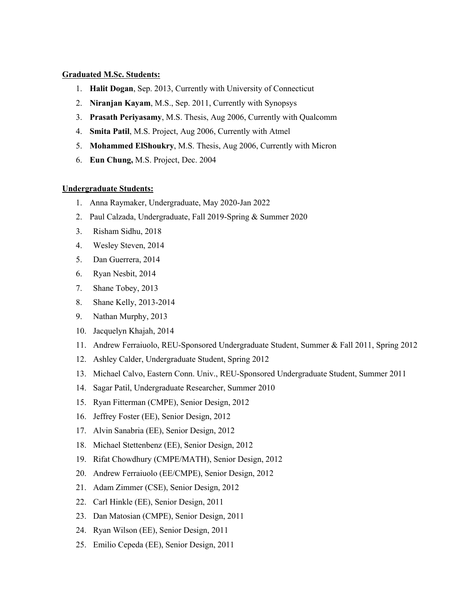#### **Graduated M.Sc. Students:**

- 1. **Halit Dogan**, Sep. 2013, Currently with University of Connecticut
- 2. **Niranjan Kayam**, M.S., Sep. 2011, Currently with Synopsys
- 3. **Prasath Periyasamy**, M.S. Thesis, Aug 2006, Currently with Qualcomm
- 4. **Smita Patil**, M.S. Project, Aug 2006, Currently with Atmel
- 5. **Mohammed ElShoukry**, M.S. Thesis, Aug 2006, Currently with Micron
- 6. **Eun Chung,** M.S. Project, Dec. 2004

### **Undergraduate Students:**

- 1. Anna Raymaker, Undergraduate, May 2020-Jan 2022
- 2. Paul Calzada, Undergraduate, Fall 2019-Spring & Summer 2020
- 3. Risham Sidhu, 2018
- 4. Wesley Steven, 2014
- 5. Dan Guerrera, 2014
- 6. Ryan Nesbit, 2014
- 7. Shane Tobey, 2013
- 8. Shane Kelly, 2013-2014
- 9. Nathan Murphy, 2013
- 10. Jacquelyn Khajah, 2014
- 11. Andrew Ferraiuolo, REU-Sponsored Undergraduate Student, Summer & Fall 2011, Spring 2012
- 12. Ashley Calder, Undergraduate Student, Spring 2012
- 13. Michael Calvo, Eastern Conn. Univ., REU-Sponsored Undergraduate Student, Summer 2011
- 14. Sagar Patil, Undergraduate Researcher, Summer 2010
- 15. Ryan Fitterman (CMPE), Senior Design, 2012
- 16. Jeffrey Foster (EE), Senior Design, 2012
- 17. Alvin Sanabria (EE), Senior Design, 2012
- 18. Michael Stettenbenz (EE), Senior Design, 2012
- 19. Rifat Chowdhury (CMPE/MATH), Senior Design, 2012
- 20. Andrew Ferraiuolo (EE/CMPE), Senior Design, 2012
- 21. Adam Zimmer (CSE), Senior Design, 2012
- 22. Carl Hinkle (EE), Senior Design, 2011
- 23. Dan Matosian (CMPE), Senior Design, 2011
- 24. Ryan Wilson (EE), Senior Design, 2011
- 25. Emilio Cepeda (EE), Senior Design, 2011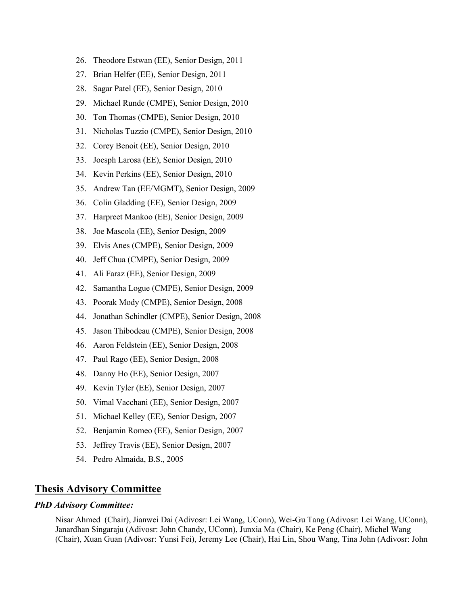- 26. Theodore Estwan (EE), Senior Design, 2011
- 27. Brian Helfer (EE), Senior Design, 2011
- 28. Sagar Patel (EE), Senior Design, 2010
- 29. Michael Runde (CMPE), Senior Design, 2010
- 30. Ton Thomas (CMPE), Senior Design, 2010
- 31. Nicholas Tuzzio (CMPE), Senior Design, 2010
- 32. Corey Benoit (EE), Senior Design, 2010
- 33. Joesph Larosa (EE), Senior Design, 2010
- 34. Kevin Perkins (EE), Senior Design, 2010
- 35. Andrew Tan (EE/MGMT), Senior Design, 2009
- 36. Colin Gladding (EE), Senior Design, 2009
- 37. Harpreet Mankoo (EE), Senior Design, 2009
- 38. Joe Mascola (EE), Senior Design, 2009
- 39. Elvis Anes (CMPE), Senior Design, 2009
- 40. Jeff Chua (CMPE), Senior Design, 2009
- 41. Ali Faraz (EE), Senior Design, 2009
- 42. Samantha Logue (CMPE), Senior Design, 2009
- 43. Poorak Mody (CMPE), Senior Design, 2008
- 44. Jonathan Schindler (CMPE), Senior Design, 2008
- 45. Jason Thibodeau (CMPE), Senior Design, 2008
- 46. Aaron Feldstein (EE), Senior Design, 2008
- 47. Paul Rago (EE), Senior Design, 2008
- 48. Danny Ho (EE), Senior Design, 2007
- 49. Kevin Tyler (EE), Senior Design, 2007
- 50. Vimal Vacchani (EE), Senior Design, 2007
- 51. Michael Kelley (EE), Senior Design, 2007
- 52. Benjamin Romeo (EE), Senior Design, 2007
- 53. Jeffrey Travis (EE), Senior Design, 2007
- 54. Pedro Almaida, B.S., 2005

# **Thesis Advisory Committee**

#### *PhD Advisory Committee:*

Nisar Ahmed (Chair), Jianwei Dai (Adivosr: Lei Wang, UConn), Wei-Gu Tang (Adivosr: Lei Wang, UConn), Janardhan Singaraju (Adivosr: John Chandy, UConn), Junxia Ma (Chair), Ke Peng (Chair), Michel Wang (Chair), Xuan Guan (Adivosr: Yunsi Fei), Jeremy Lee (Chair), Hai Lin, Shou Wang, Tina John (Adivosr: John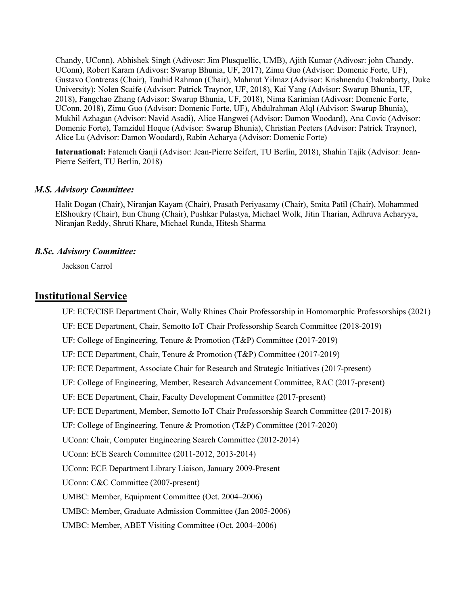Chandy, UConn), Abhishek Singh (Adivosr: Jim Plusquellic, UMB), Ajith Kumar (Adivosr: john Chandy, UConn), Robert Karam (Adivosr: Swarup Bhunia, UF, 2017), Zimu Guo (Advisor: Domenic Forte, UF), Gustavo Contreras (Chair), Tauhid Rahman (Chair), Mahmut Yilmaz (Advisor: Krishnendu Chakrabarty, Duke University); Nolen Scaife (Advisor: Patrick Traynor, UF, 2018), Kai Yang (Advisor: Swarup Bhunia, UF, 2018), Fangchao Zhang (Advisor: Swarup Bhunia, UF, 2018), Nima Karimian (Adivosr: Domenic Forte, UConn, 2018), Zimu Guo (Advisor: Domenic Forte, UF), Abdulrahman Alql (Advisor: Swarup Bhunia), Mukhil Azhagan (Advisor: Navid Asadi), Alice Hangwei (Advisor: Damon Woodard), Ana Covic (Advisor: Domenic Forte), Tamzidul Hoque (Advisor: Swarup Bhunia), Christian Peeters (Advisor: Patrick Traynor), Alice Lu (Advisor: Damon Woodard), Rabin Acharya (Advisor: Domenic Forte)

**International:** Fatemeh Ganji (Advisor: Jean-Pierre Seifert, TU Berlin, 2018), Shahin Tajik (Advisor: Jean-Pierre Seifert, TU Berlin, 2018)

#### *M.S. Advisory Committee:*

Halit Dogan (Chair), Niranjan Kayam (Chair), Prasath Periyasamy (Chair), Smita Patil (Chair), Mohammed ElShoukry (Chair), Eun Chung (Chair), Pushkar Pulastya, Michael Wolk, Jitin Tharian, Adhruva Acharyya, Niranjan Reddy, Shruti Khare, Michael Runda, Hitesh Sharma

#### *B.Sc. Advisory Committee:*

Jackson Carrol

## **Institutional Service**

UF: ECE/CISE Department Chair, Wally Rhines Chair Professorship in Homomorphic Professorships (2021)

UF: ECE Department, Chair, Semotto IoT Chair Professorship Search Committee (2018-2019)

UF: College of Engineering, Tenure & Promotion (T&P) Committee (2017-2019)

UF: ECE Department, Chair, Tenure & Promotion (T&P) Committee (2017-2019)

UF: ECE Department, Associate Chair for Research and Strategic Initiatives (2017-present)

UF: College of Engineering, Member, Research Advancement Committee, RAC (2017-present)

UF: ECE Department, Chair, Faculty Development Committee (2017-present)

UF: ECE Department, Member, Semotto IoT Chair Professorship Search Committee (2017-2018)

UF: College of Engineering, Tenure & Promotion (T&P) Committee (2017-2020)

UConn: Chair, Computer Engineering Search Committee (2012-2014)

UConn: ECE Search Committee (2011-2012, 2013-2014)

UConn: ECE Department Library Liaison, January 2009-Present

UConn: C&C Committee (2007-present)

UMBC: Member, Equipment Committee (Oct. 2004–2006)

UMBC: Member, Graduate Admission Committee (Jan 2005-2006)

UMBC: Member, ABET Visiting Committee (Oct. 2004–2006)